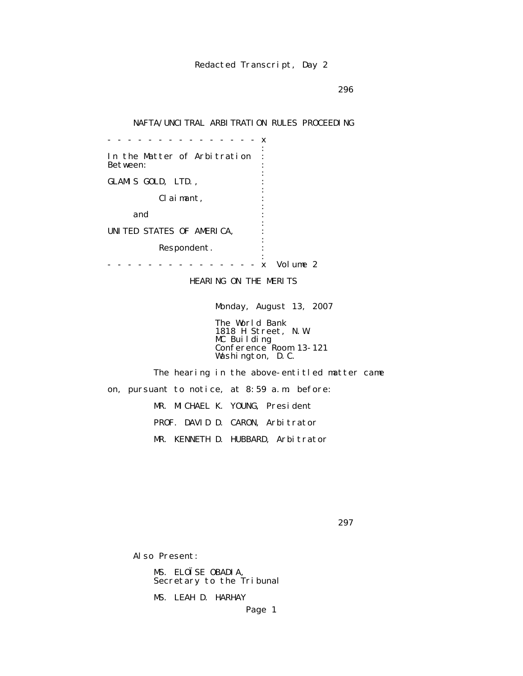$296$ 

# NAFTA/UNCITRAL ARBITRATION RULES PROCEEDING

 - - - - - - - - - - - - - - - x the contract of the contract of the contract of the contract of the contract of the contract of the contract of In the Matter of Arbitration : Between: the contract of the contract of the contract of the contract of the contract of the contract of the contract of GLAMIS GOLD, LTD., the contract of the contract of the contract of the contract of the contract of the contract of the contract of Claimant, : the contract of the contract of the contract of the contract of the contract of the contract of the contract of and  $\cdots$  : the contract of the contract of the contract of the contract of the contract of the contract of the contract of UNITED STATES OF AMERICA, : the contract of the contract of the contract of the contract of the contract of the contract of the contract of Respondent. the contract of the contract of the contract of the contract of the contract of the contract of the contract of - - - - - - - - - - - - - - - x Volume 2

HEARING ON THE MERITS

Monday, August 13, 2007

 The World Bank 1818 H Street, N.W. MC Building Conference Room 13-121 Washington, D.C.

 The hearing in the above-entitled matter came on, pursuant to notice, at 8:59 a.m. before: MR. MICHAEL K. YOUNG, President PROF. DAVID D. CARON, Arbitrator MR. KENNETH D. HUBBARD, Arbitrator

 $297$ 

Also Present:

 MS. ELOÏSE OBADIA, Secretary to the Tribunal

MS. LEAH D. HARHAY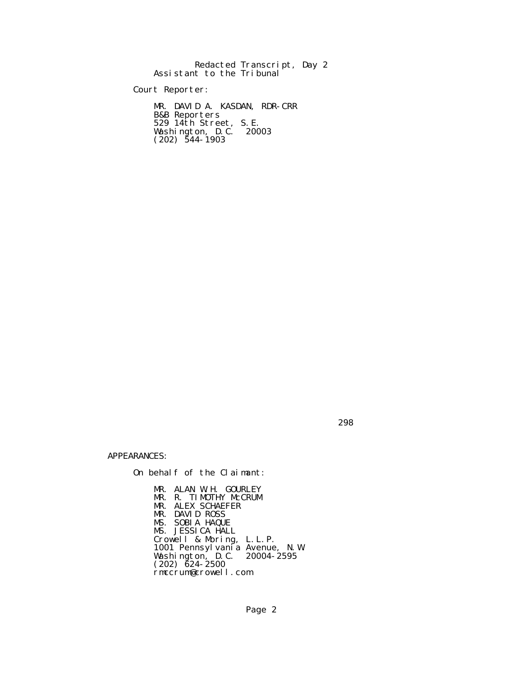Redacted Transcript, Day 2 Assistant to the Tribunal

Court Reporter:

 MR. DAVID A. KASDAN, RDR-CRR B&B Reporters 529 14th Street, S.E. Washington, D.C. 20003  $(202)$  544-1903

298

APPEARANCES:

On behalf of the Claimant:

 MR. ALAN W.H. GOURLEY MR. R. TIMOTHY McCRUM MR. ALEX SCHAEFER MR. DAVID ROSS MS. SOBIA HAQUE MS. JESSICA HALL Crowell & Moring, L.L.P. 1001 Pennsylvania Avenue, N.W. Washington, D.C. 20004-2595  $(202)$   $\bar{6}24 - 2500$ rmccrum@crowell.com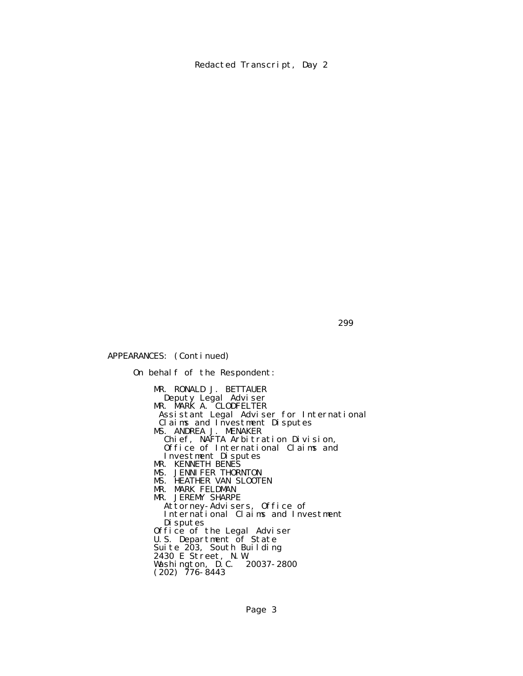APPEARANCES: (Continued)

 On behalf of the Respondent: MR. RONALD J. BETTAUER Deputy Legal Adviser **MR. MARK A. CLODFELTER**  Assistant Legal Adviser for International Claims and Investment Disputes MS. ANDREA J. MENAKER Chief, NAFTA Arbitration Division, Office of International Claims and Investment Disputes MR. KENNETH BENES MS. JENNIFER THORNTON MS. HEATHER VAN SLOOTEN MR. MARK FELDMAN MR. JEREMY SHARPE Attorney-Advisers, Office of International Claims and Investment Disputes Office of the Legal Adviser U.S. Department of State Suite 203, South Building 2430 E Street, N.W. Washington, D.C. 20037-2800  $(202)$  776-8443

 $299$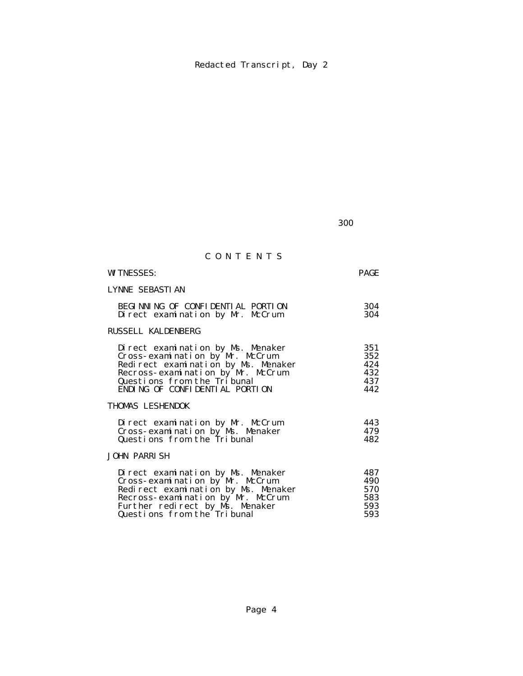$300$ 

# C O N T E N T S

| <b>WITNESSES:</b>                                                                                |                                                                                                               | <b>PAGE</b>                            |
|--------------------------------------------------------------------------------------------------|---------------------------------------------------------------------------------------------------------------|----------------------------------------|
| LYNNE SEBASTIAN                                                                                  |                                                                                                               |                                        |
|                                                                                                  | BEGINNING OF CONFIDENTIAL PORTION<br>Direct examination by Mr. McCrum                                         | 304<br>304                             |
| <b>RUSSELL KALDENBERG</b>                                                                        |                                                                                                               |                                        |
| Cross-examination by Mr. McCrum<br>Questions from the Tribunal<br>ENDING OF CONFIDENTIAL PORTION | Direct examination by Ms. Menaker<br>Redirect examination by Ms. Menaker<br>Recross-examination by Mr. McCrum | 351<br>352<br>424<br>432<br>437<br>442 |
| THOMAS LESHENDOK                                                                                 |                                                                                                               |                                        |
| Questions from the Tribunal<br><b>JOHN PARRISH</b>                                               | Direct examination by Mr. McCrum<br>Cross-examination by Ms. Menaker                                          | 443<br>479<br>482                      |
| Cross-examination by Mr. McCrum<br>Further redirect by Ms. Menaker                               | Direct examination by Ms. Menaker<br>Redirect examination by Ms. Menaker<br>Recross-examination by Mr. McCrum | 487<br>490<br>570<br>583<br>593        |

# Questions from the Tribunal 593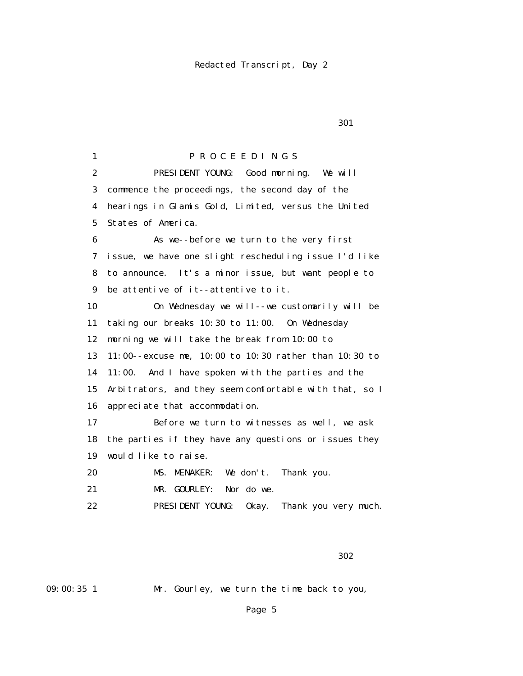1 P R O C E E D I N G S 2 PRESIDENT YOUNG: Good morning. We will 3 commence the proceedings, the second day of the 4 hearings in Glamis Gold, Limited, versus the United 5 States of America. 6 As we--before we turn to the very first 7 issue, we have one slight rescheduling issue I'd like 8 to announce. It's a minor issue, but want people to 9 be attentive of it--attentive to it. 10 On Wednesday we will--we customarily will be 11 taking our breaks 10:30 to 11:00. On Wednesday 12 morning we will take the break from 10:00 to 13 11:00--excuse me, 10:00 to 10:30 rather than 10:30 to 14 11:00. And I have spoken with the parties and the 15 Arbitrators, and they seem comfortable with that, so I 16 appreciate that accommodation. 17 Before we turn to witnesses as well, we ask 18 the parties if they have any questions or issues they 19 would like to raise. 20 MS. MENAKER: We don't. Thank you. 21 MR. GOURLEY: Nor do we. 22 PRESIDENT YOUNG: Okay. Thank you very much.

 $302$ 

09:00:35 1 Mr. Gourley, we turn the time back to you,

Page 5

<u>301</u>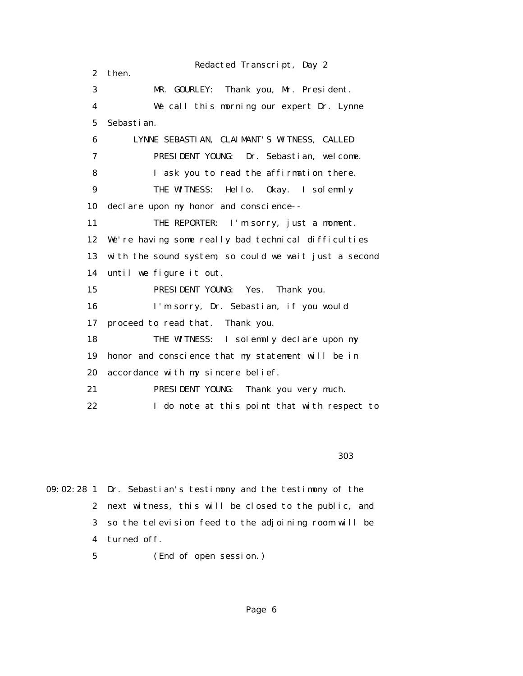Redacted Transcript, Day 2 2 then. 3 MR. GOURLEY: Thank you, Mr. President. 4 We call this morning our expert Dr. Lynne 5 Sebastian. 6 LYNNE SEBASTIAN, CLAIMANT'S WITNESS, CALLED 7 PRESIDENT YOUNG: Dr. Sebastian, welcome. 8 I ask you to read the affirmation there. 9 THE WITNESS: Hello. Okay. I solemnly 10 declare upon my honor and conscience-- 11 THE REPORTER: I'm sorry, just a moment. 12 We're having some really bad technical difficulties 13 with the sound system, so could we wait just a second 14 until we figure it out. 15 PRESIDENT YOUNG: Yes. Thank you. 16 I'm sorry, Dr. Sebastian, if you would 17 proceed to read that. Thank you. 18 THE WITNESS: I solemnly declare upon my 19 honor and conscience that my statement will be in 20 accordance with my sincere belief. 21 PRESIDENT YOUNG: Thank you very much. 22 I do note at this point that with respect to

 $303$ 

09:02:28 1 Dr. Sebastian's testimony and the testimony of the 2 next witness, this will be closed to the public, and 3 so the television feed to the adjoining room will be 4 turned off.

5 (End of open session.)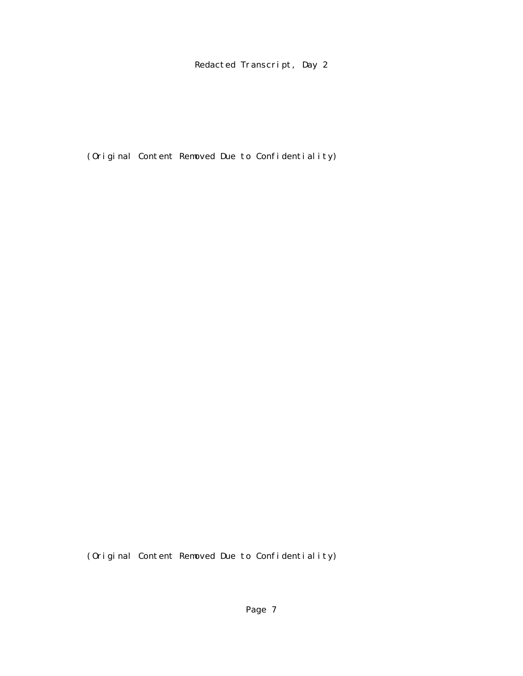(Original Content Removed Due to Confidentiality)

(Original Content Removed Due to Confidentiality)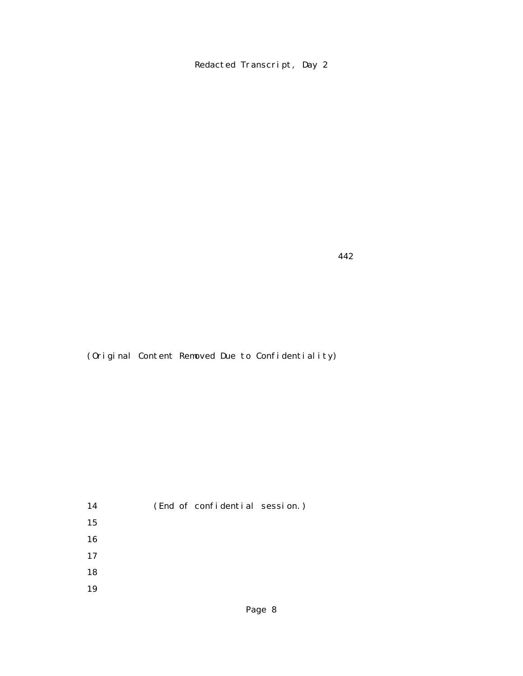442

(Original Content Removed Due to Confidentiality)

 14 (End of confidential session.) 15 16 17 18 19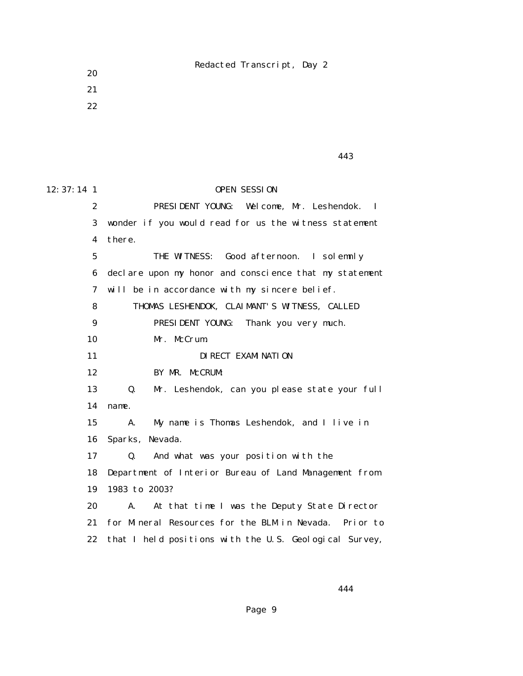21 22

20

 $443$ 

12:37:14 1 OPEN SESSION 2 PRESIDENT YOUNG: Welcome, Mr. Leshendok. I 3 wonder if you would read for us the witness statement 4 there. 5 THE WITNESS: Good afternoon. I solemnly 6 declare upon my honor and conscience that my statement 7 will be in accordance with my sincere belief. 8 THOMAS LESHENDOK, CLAIMANT'S WITNESS, CALLED 9 PRESIDENT YOUNG: Thank you very much. 10 Mr. McCrum. 11 **DIRECT EXAMINATION**  12 BY MR. McCRUM: 13 Q. Mr. Leshendok, can you please state your full 14 name. 15 A. My name is Thomas Leshendok, and I live in 16 Sparks, Nevada. 17 Q. And what was your position with the 18 Department of Interior Bureau of Land Management from 19 1983 to 2003? 20 A. At that time I was the Deputy State Director 21 for Mineral Resources for the BLM in Nevada. Prior to 22 that I held positions with the U.S. Geological Survey,

444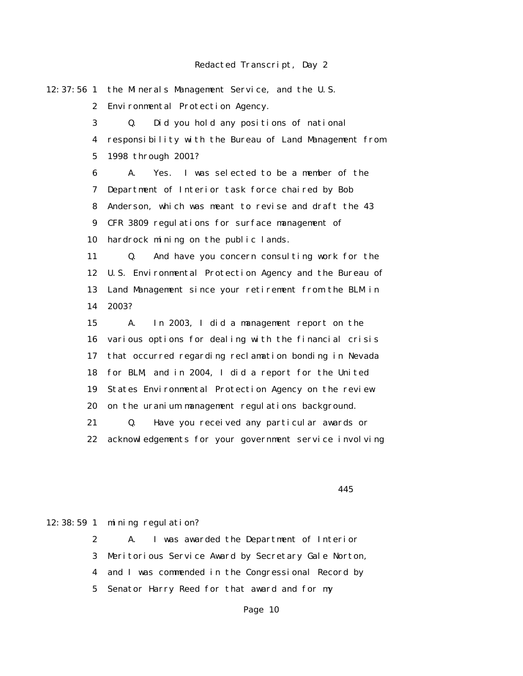12:37:56 1 the Minerals Management Service, and the U.S. 2 Environmental Protection Agency. 3 Q. Did you hold any positions of national 4 responsibility with the Bureau of Land Management from 5 1998 through 2001? 6 A. Yes. I was selected to be a member of the 7 Department of Interior task force chaired by Bob 8 Anderson, which was meant to revise and draft the 43 9 CFR 3809 regulations for surface management of 10 hardrock mining on the public lands. 11 Q. And have you concern consulting work for the 12 U.S. Environmental Protection Agency and the Bureau of 13 Land Management since your retirement from the BLM in 14 2003? 15 A. In 2003, I did a management report on the 16 various options for dealing with the financial crisis 17 that occurred regarding reclamation bonding in Nevada 18 for BLM, and in 2004, I did a report for the United 19 States Environmental Protection Agency on the review 20 on the uranium management regulations background. 21 Q. Have you received any particular awards or 22 acknowledgements for your government service involving

 $445$ 

#### 12:38:59 1 mining regulation?

 2 A. I was awarded the Department of Interior 3 Meritorious Service Award by Secretary Gale Norton, 4 and I was commended in the Congressional Record by 5 Senator Harry Reed for that award and for my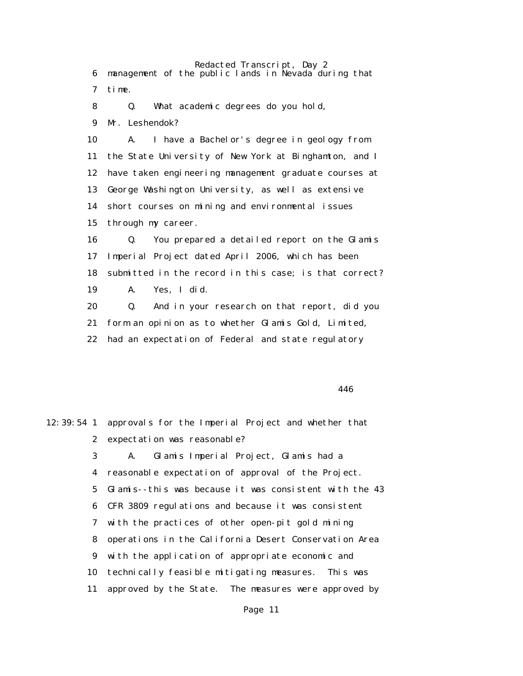Redacted Transcript, Day 2 6 management of the public lands in Nevada during that 7 time. 8 Q. What academic degrees do you hold, 9 Mr. Leshendok? 10 A. I have a Bachelor's degree in geology from 11 the State University of New York at Binghamton, and I 12 have taken engineering management graduate courses at 13 George Washington University, as well as extensive 14 short courses on mining and environmental issues 15 through my career. 16 Q. You prepared a detailed report on the Glamis 17 Imperial Project dated April 2006, which has been 18 submitted in the record in this case; is that correct? 19 A. Yes, I did. 20 Q. And in your research on that report, did you 21 form an opinion as to whether Glamis Gold, Limited, 22 had an expectation of Federal and state regulatory

 $446$ 

|                | 12:39:54 1 approvals for the Imperial Project and whether that |
|----------------|----------------------------------------------------------------|
| $\mathbf{2}$   | expectation was reasonable?                                    |
| 3 <sup>1</sup> | Glamis Imperial Project, Glamis had a<br>A.                    |
| 4              | reasonable expectation of approval of the Project.             |
| 5              | Glamis--this was because it was consistent with the 43         |
| 6              | CFR 3809 regulations and because it was consistent             |
| 7              | with the practices of other open-pit gold mining               |
| 8              | operations in the California Desert Conservation Area          |
| 9              | with the application of appropriate economic and               |
| 10             | technically feasible mitigating measures. This was             |
| 11             | approved by the State. The measures were approved by           |
|                |                                                                |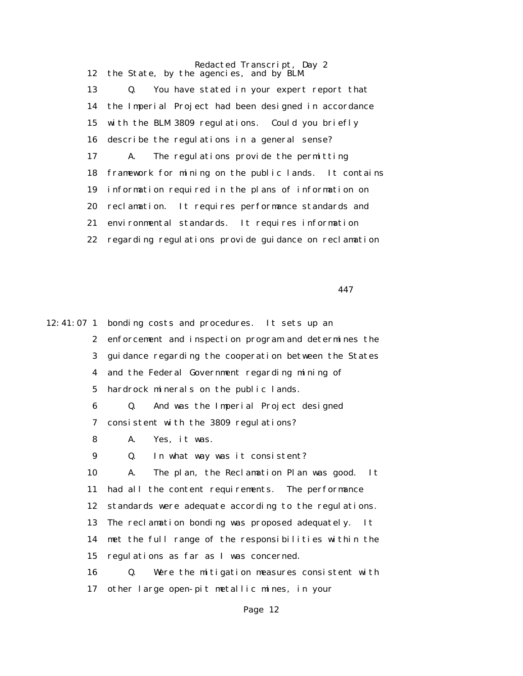Redacted Transcript, Day 2 12 the State, by the agencies, and by BLM. 13 Q. You have stated in your expert report that 14 the Imperial Project had been designed in accordance 15 with the BLM 3809 regulations. Could you briefly 16 describe the regulations in a general sense? 17 A. The regulations provide the permitting 18 framework for mining on the public lands. It contains 19 information required in the plans of information on 20 reclamation. It requires performance standards and 21 environmental standards. It requires information 22 regarding regulations provide guidance on reclamation

 $447$ 

12:41:07 1 bonding costs and procedures. It sets up an 2 enforcement and inspection program and determines the 3 guidance regarding the cooperation between the States 4 and the Federal Government regarding mining of 5 hardrock minerals on the public lands. 6 Q. And was the Imperial Project designed 7 consistent with the 3809 regulations? 8 A. Yes, it was. 9 Q. In what way was it consistent? 10 A. The plan, the Reclamation Plan was good. It 11 had all the content requirements. The performance 12 standards were adequate according to the regulations. 13 The reclamation bonding was proposed adequately. It 14 met the full range of the responsibilities within the 15 regulations as far as I was concerned. 16 Q. Were the mitigation measures consistent with 17 other large open-pit metallic mines, in your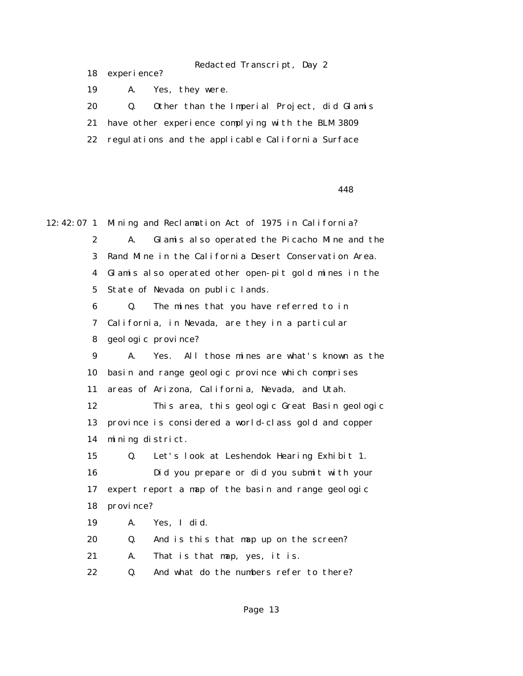18 experience?

19 A. Yes, they were.

20 Q. Other than the Imperial Project, did Glamis

21 have other experience complying with the BLM 3809

22 regulations and the applicable California Surface

<u>448</u>

12:42:07 1 Mining and Reclamation Act of 1975 in California? 2 A. Glamis also operated the Picacho Mine and the 3 Rand Mine in the California Desert Conservation Area. 4 Glamis also operated other open-pit gold mines in the 5 State of Nevada on public lands. 6 Q. The mines that you have referred to in 7 California, in Nevada, are they in a particular 8 geologic province? 9 A. Yes. All those mines are what's known as the 10 basin and range geologic province which comprises 11 areas of Arizona, California, Nevada, and Utah. 12 This area, this geologic Great Basin geologic 13 province is considered a world-class gold and copper 14 mining district. 15 Q. Let's look at Leshendok Hearing Exhibit 1. 16 Did you prepare or did you submit with your 17 expert report a map of the basin and range geologic 18 province? 19 A. Yes, I did. 20 Q. And is this that map up on the screen? 21 A. That is that map, yes, it is. 22 0. And what do the numbers refer to there?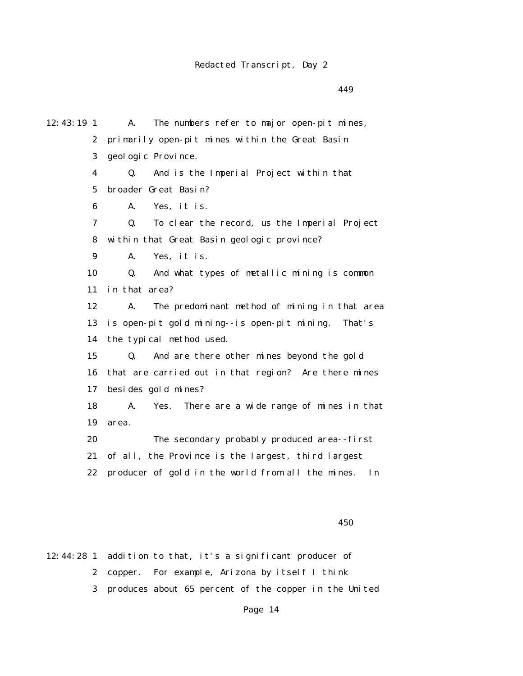$449$ 

12:43:19 1 A. The numbers refer to major open-pit mines, 2 primarily open-pit mines within the Great Basin 3 geologic Province. 4 Q. And is the Imperial Project within that 5 broader Great Basin? 6 A. Yes, it is. 7 Q. To clear the record, us the Imperial Project 8 within that Great Basin geologic province? 9 A. Yes, it is. 10 Q. And what types of metallic mining is common 11 in that area? 12 A. The predominant method of mining in that area 13 is open-pit gold mining--is open-pit mining. That's 14 the typical method used. 15 Q. And are there other mines beyond the gold 16 that are carried out in that region? Are there mines 17 besides gold mines? 18 A. Yes. There are a wide range of mines in that 19 area. 20 The secondary probably produced area--first 21 of all, the Province is the largest, third largest 22 producer of gold in the world from all the mines. In

 $450$ 

12:44:28 1 addition to that, it's a significant producer of

- 2 copper. For example, Arizona by itself I think
- 3 produces about 65 percent of the copper in the United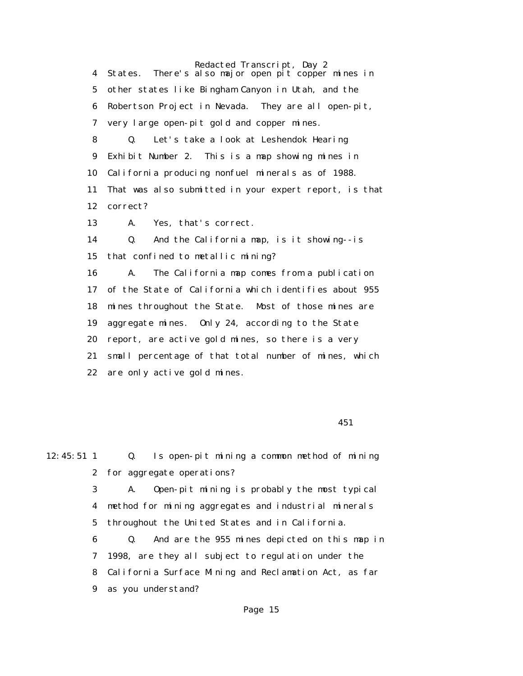Redacted Transcript, Day 2 4 States. There's also major open pit copper mines in 5 other states like Bingham Canyon in Utah, and the 6 Robertson Project in Nevada. They are all open-pit, 7 very large open-pit gold and copper mines. 8 Q. Let's take a look at Leshendok Hearing 9 Exhibit Number 2. This is a map showing mines in 10 California producing nonfuel minerals as of 1988. 11 That was also submitted in your expert report, is that 12 correct? 13 A. Yes, that's correct. 14 Q. And the California map, is it showing--is 15 that confined to metallic mining? 16 A. The California map comes from a publication 17 of the State of California which identifies about 955 18 mines throughout the State. Most of those mines are 19 aggregate mines. Only 24, according to the State 20 report, are active gold mines, so there is a very 21 small percentage of that total number of mines, which 22 are only active gold mines.

 $451$ 

12:45:51 1 Q. Is open-pit mining a common method of mining 2 for aggregate operations?

 3 A. Open-pit mining is probably the most typical 4 method for mining aggregates and industrial minerals 5 throughout the United States and in California.

 6 Q. And are the 955 mines depicted on this map in 7 1998, are they all subject to regulation under the 8 California Surface Mining and Reclamation Act, as far 9 as you understand?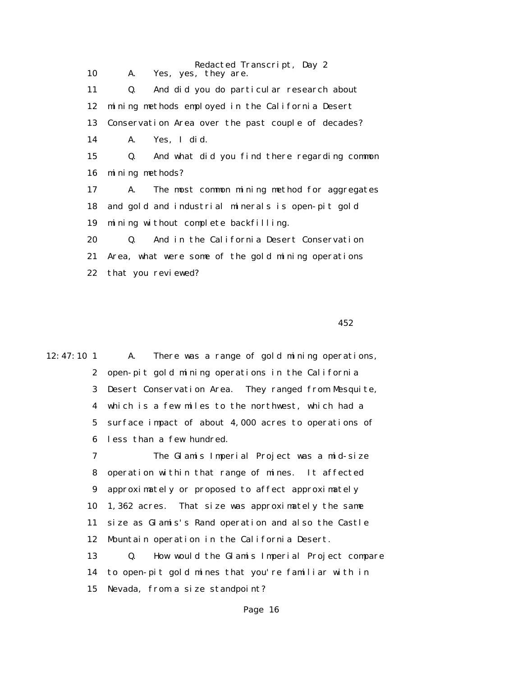Redacted Transcript, Day 2 10 A. Yes, yes, they are. 11 Q. And did you do particular research about 12 mining methods employed in the California Desert 13 Conservation Area over the past couple of decades? 14 A. Yes, I did. 15 Q. And what did you find there regarding common 16 mining methods? 17 A. The most common mining method for aggregates 18 and gold and industrial minerals is open-pit gold 19 mining without complete backfilling. 20 Q. And in the California Desert Conservation 21 Area, what were some of the gold mining operations 22 that you reviewed?

 $452$ 

12:47:10 1 A. There was a range of gold mining operations, 2 open-pit gold mining operations in the California 3 Desert Conservation Area. They ranged from Mesquite, 4 which is a few miles to the northwest, which had a 5 surface impact of about 4,000 acres to operations of 6 less than a few hundred. 7 The Glamis Imperial Project was a mid-size 8 operation within that range of mines. It affected 9 approximately or proposed to affect approximately 10 1,362 acres. That size was approximately the same 11 size as Glamis's Rand operation and also the Castle

12 Mountain operation in the California Desert.

 13 Q. How would the Glamis Imperial Project compare 14 to open-pit gold mines that you're familiar with in 15 Nevada, from a size standpoint?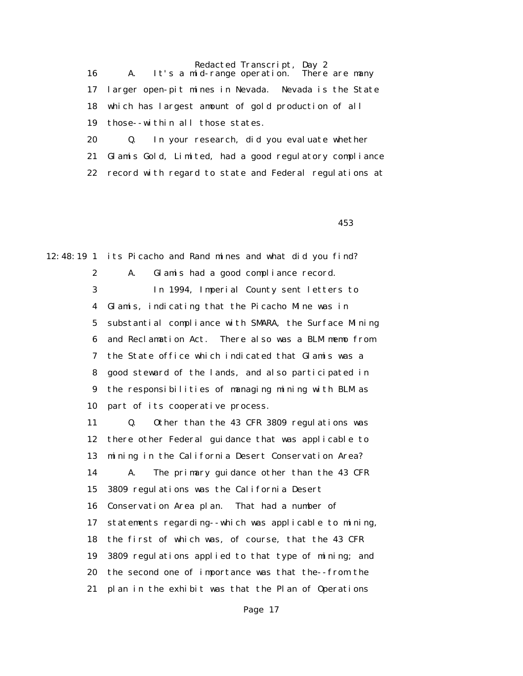Redacted Transcript, Day 2<br>dd-range operation. There are many 16  $A.$  It's a mid-range operation. 17 larger open-pit mines in Nevada. Nevada is the State 18 which has largest amount of gold production of all 19 those--within all those states.

 20 Q. In your research, did you evaluate whether 21 Glamis Gold, Limited, had a good regulatory compliance 22 record with regard to state and Federal regulations at

 $453$ 

12:48:19 1 its Picacho and Rand mines and what did you find? 2 A. Glamis had a good compliance record. 3 In 1994, Imperial County sent letters to 4 Glamis, indicating that the Picacho Mine was in 5 substantial compliance with SMARA, the Surface Mining 6 and Reclamation Act. There also was a BLM memo from 7 the State office which indicated that Glamis was a 8 good steward of the lands, and also participated in 9 the responsibilities of managing mining with BLM as 10 part of its cooperative process.

> 11 Q. Other than the 43 CFR 3809 regulations was 12 there other Federal guidance that was applicable to 13 mining in the California Desert Conservation Area? 14 A. The primary guidance other than the 43 CFR 15 3809 regulations was the California Desert 16 Conservation Area plan. That had a number of 17 statements regarding--which was applicable to mining, 18 the first of which was, of course, that the 43 CFR 19 3809 regulations applied to that type of mining; and 20 the second one of importance was that the--from the 21 plan in the exhibit was that the Plan of Operations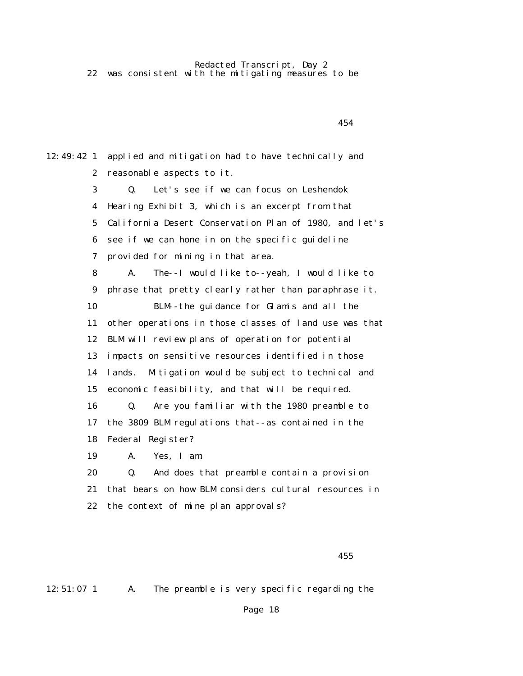Redacted Transcript, Day 2 22 was consistent with the mitigating measures to be

 $454$ 12:49:42 1 applied and mitigation had to have technically and 2 reasonable aspects to it. 3 Q. Let's see if we can focus on Leshendok 4 Hearing Exhibit 3, which is an excerpt from that 5 California Desert Conservation Plan of 1980, and let's 6 see if we can hone in on the specific guideline 7 provided for mining in that area. 8 A. The--I would like to--yeah, I would like to 9 phrase that pretty clearly rather than paraphrase it. 10 BLM--the guidance for Glamis and all the 11 other operations in those classes of land use was that 12 BLM will review plans of operation for potential 13 impacts on sensitive resources identified in those 14 lands. Mitigation would be subject to technical and 15 economic feasibility, and that will be required. 16 Q. Are you familiar with the 1980 preamble to 17 the 3809 BLM regulations that--as contained in the 18 Federal Register? 19 A. Yes, I am. 20 Q. And does that preamble contain a provision 21 that bears on how BLM considers cultural resources in 22 the context of mine plan approvals?

 $455$ 

12:51:07 1 A. The preamble is very specific regarding the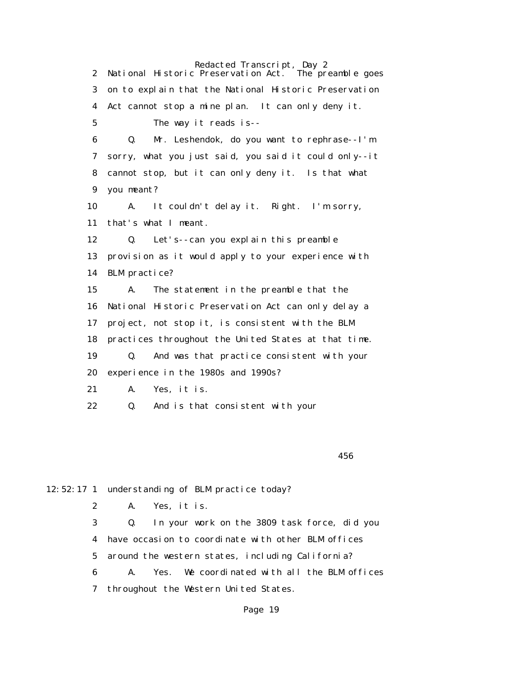Redacted Transcript, Day 2<br>Preservation Act. The preamble goes 2 National Historic Preservation Act. 3 on to explain that the National Historic Preservation 4 Act cannot stop a mine plan. It can only deny it. 5 The way it reads is-- 6 Q. Mr. Leshendok, do you want to rephrase--I'm 7 sorry, what you just said, you said it could only--it 8 cannot stop, but it can only deny it. Is that what 9 you meant? 10 A. It couldn't delay it. Right. I'm sorry, 11 that's what I meant. 12 Q. Let's--can you explain this preamble 13 provision as it would apply to your experience with 14 BLM practice? 15 A. The statement in the preamble that the 16 National Historic Preservation Act can only delay a 17 project, not stop it, is consistent with the BLM 18 practices throughout the United States at that time. 19 Q. And was that practice consistent with your 20 experience in the 1980s and 1990s? 21 A. Yes, it is. 22 Q. And is that consistent with your

 $456$ 

12:52:17 1 understanding of BLM practice today?

2 A. Yes, it is.

 3 Q. In your work on the 3809 task force, did you 4 have occasion to coordinate with other BLM offices 5 around the western states, including California? 6 A. Yes. We coordinated with all the BLM offices 7 throughout the Western United States.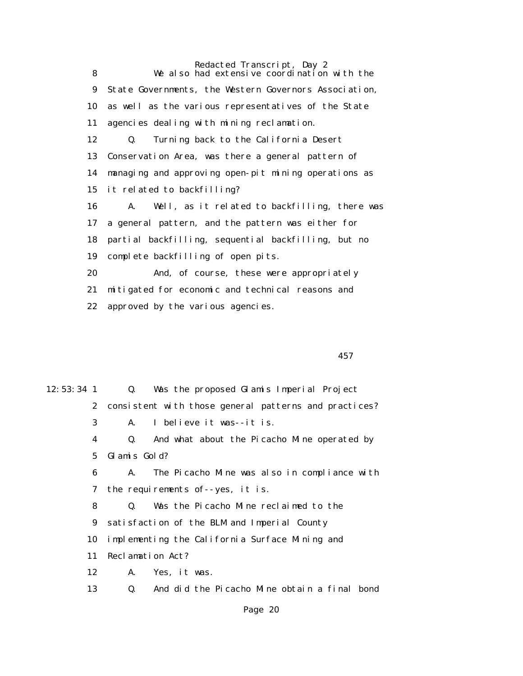Redacted Transcript, Day 2 8 We also had extensive coordination with the 9 State Governments, the Western Governors Association, 10 as well as the various representatives of the State 11 agencies dealing with mining reclamation. 12 Q. Turning back to the California Desert 13 Conservation Area, was there a general pattern of 14 managing and approving open-pit mining operations as 15 it related to backfilling? 16 A. Well, as it related to backfilling, there was 17 a general pattern, and the pattern was either for 18 partial backfilling, sequential backfilling, but no 19 complete backfilling of open pits. 20 And, of course, these were appropriately 21 mitigated for economic and technical reasons and 22 approved by the various agencies.

 $457$ 

| $12:53:34$ 1 |              | Was the proposed Glamis Imperial Project<br>Q.        |
|--------------|--------------|-------------------------------------------------------|
|              | $\mathbf{2}$ | consistent with those general patterns and practices? |
|              | 3            | I believe it was--it is.<br>A.                        |
|              | 4            | And what about the Picacho Mine operated by<br>Q.     |
|              | $5^{\circ}$  | Glamis Gold?                                          |
|              | 6            | The Picacho Mine was also in compliance with<br>A.    |
|              | 7            | the requirements of--yes, it is.                      |
|              | 8            | Was the Picacho Mine reclaimed to the<br>Q.           |
|              | 9            | satisfaction of the BLM and Imperial County           |
| 10           |              | implementing the California Surface Mining and        |
| 11           |              | Reclamation Act?                                      |
| 12           |              | Yes, it was.<br>A.                                    |
| 13           |              | And did the Picacho Mine obtain a final bond<br>Q.    |
|              |              |                                                       |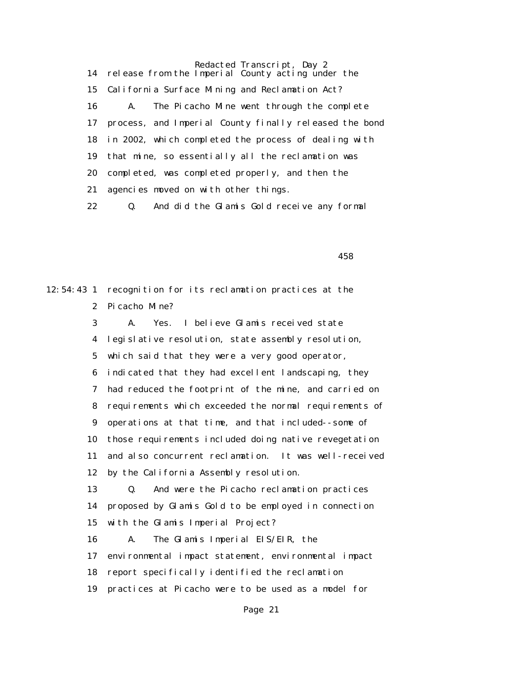Redacted Transcript, Day 2 14 release from the Imperial County acting under the 15 California Surface Mining and Reclamation Act? 16 A. The Picacho Mine went through the complete 17 process, and Imperial County finally released the bond 18 in 2002, which completed the process of dealing with 19 that mine, so essentially all the reclamation was 20 completed, was completed properly, and then the 21 agencies moved on with other things. 22 Q. And did the Glamis Gold receive any formal

 $458$ 

12:54:43 1 recognition for its reclamation practices at the 2 Picacho Mine? 3 A. Yes. I believe Glamis received state 4 legislative resolution, state assembly resolution, 5 which said that they were a very good operator, 6 indicated that they had excellent landscaping, they 7 had reduced the footprint of the mine, and carried on 8 requirements which exceeded the normal requirements of 9 operations at that time, and that included--some of 10 those requirements included doing native revegetation 11 and also concurrent reclamation. It was well-received 12 by the California Assembly resolution. 13 Q. And were the Picacho reclamation practices 14 proposed by Glamis Gold to be employed in connection 15 with the Glamis Imperial Project? 16 A. The Glamis Imperial EIS/EIR, the 17 environmental impact statement, environmental impact 18 report specifically identified the reclamation 19 practices at Picacho were to be used as a model for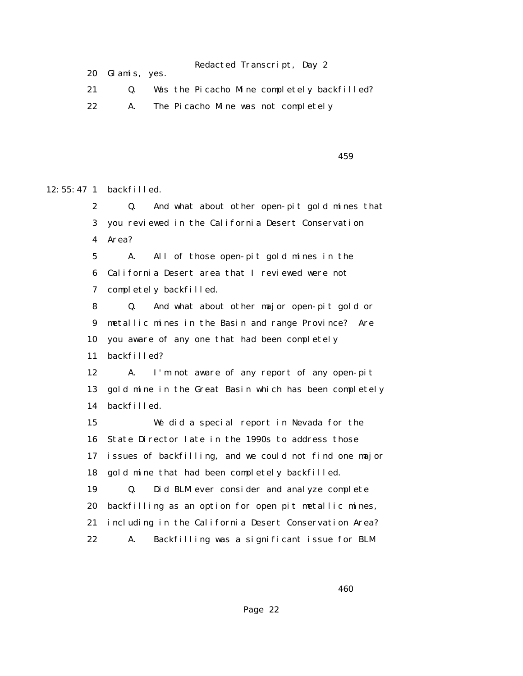20 Glamis, yes.

21 Q. Was the Picacho Mine completely backfilled?

22 A. The Picacho Mine was not completely

 $459$ 

12:55:47 1 backfilled.

 2 Q. And what about other open-pit gold mines that 3 you reviewed in the California Desert Conservation 4 Area? 5 A. All of those open-pit gold mines in the 6 California Desert area that I reviewed were not 7 completely backfilled. 8 Q. And what about other major open-pit gold or 9 metallic mines in the Basin and range Province? Are 10 you aware of any one that had been completely 11 backfilled? 12 A. I'm not aware of any report of any open-pit 13 gold mine in the Great Basin which has been completely 14 backfilled. 15 We did a special report in Nevada for the 16 State Director late in the 1990s to address those

 17 issues of backfilling, and we could not find one major 18 gold mine that had been completely backfilled.

 19 Q. Did BLM ever consider and analyze complete 20 backfilling as an option for open pit metallic mines, 21 including in the California Desert Conservation Area? 22 A. Backfilling was a significant issue for BLM

 $460$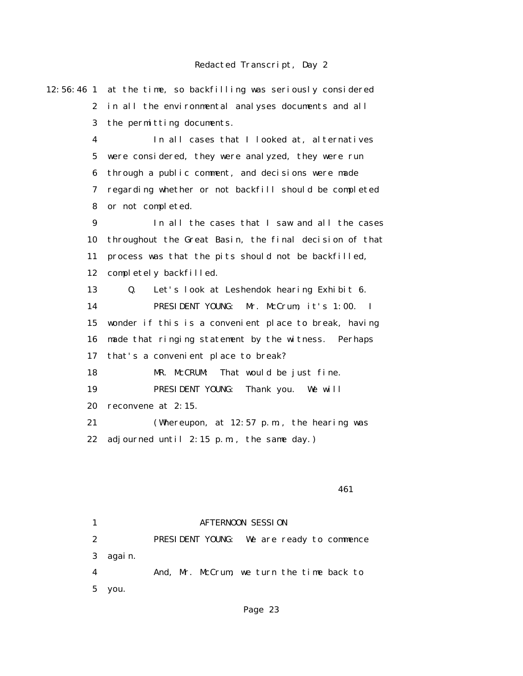12:56:46 1 at the time, so backfilling was seriously considered 2 in all the environmental analyses documents and all 3 the permitting documents. 4 In all cases that I looked at, alternatives 5 were considered, they were analyzed, they were run 6 through a public comment, and decisions were made 7 regarding whether or not backfill should be completed 8 or not completed. 9 In all the cases that I saw and all the cases 10 throughout the Great Basin, the final decision of that 11 process was that the pits should not be backfilled, 12 completely backfilled. 13 Q. Let's look at Leshendok hearing Exhibit 6. 14 PRESIDENT YOUNG: Mr. McCrum, it's 1:00. I 15 wonder if this is a convenient place to break, having 16 made that ringing statement by the witness. Perhaps 17 that's a convenient place to break? 18 MR. McCRUM: That would be just fine. 19 PRESIDENT YOUNG: Thank you. We will 20 reconvene at 2:15. 21 (Whereupon, at 12:57 p.m., the hearing was 22 adjourned until 2:15 p.m., the same day.) 461

> 1 **AFTERNOON SESSION**  2 PRESIDENT YOUNG: We are ready to commence 3 again. 4 And, Mr. McCrum, we turn the time back to 5 you.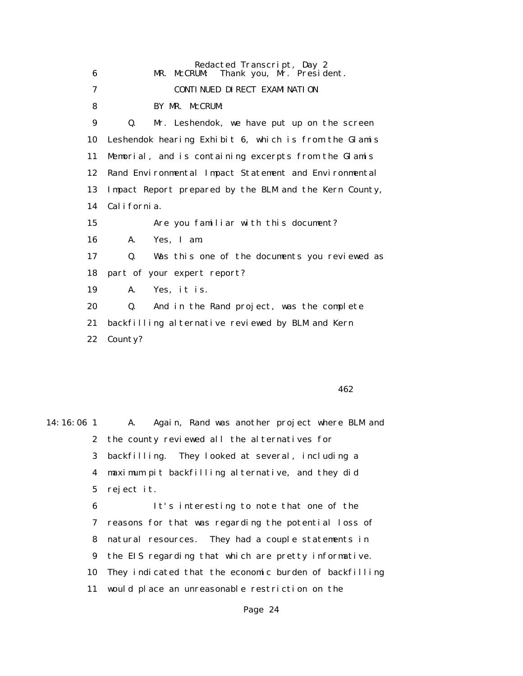| 6  | Redacted Transcript, Day 2<br>Thank you, Mr. President.<br>MR. McCRUM: |
|----|------------------------------------------------------------------------|
| 7  | CONTINUED DIRECT EXAMINATION                                           |
| 8  | BY MR. McCRUM:                                                         |
| 9  | Mr. Leshendok, we have put up on the screen<br>$\mathbf{0}$ .          |
| 10 | Leshendok hearing Exhibit 6, which is from the Glamis                  |
| 11 | Memorial, and is containing excerpts from the Glamis                   |
| 12 | Rand Environmental Impact Statement and Environmental                  |
| 13 | Impact Report prepared by the BLM and the Kern County,                 |
| 14 | Cal i forni a.                                                         |
| 15 | Are you familiar with this document?                                   |
| 16 | Yes, I am.<br>$\mathbf{A}$ .                                           |
| 17 | Was this one of the documents you reviewed as<br>Q.                    |
| 18 | part of your expert report?                                            |
| 19 | Yes, it is.<br>A.                                                      |
| 20 | Q.<br>And in the Rand project, was the complete                        |
| 21 | backfilling alternative reviewed by BLM and Kern                       |
| 22 | County?                                                                |
|    |                                                                        |

 $462$ 

14:16:06 1 A. Again, Rand was another project where BLM and 2 the county reviewed all the alternatives for 3 backfilling. They looked at several, including a 4 maximum pit backfilling alternative, and they did 5 reject it. 6 It's interesting to note that one of the 7 reasons for that was regarding the potential loss of 8 natural resources. They had a couple statements in 9 the EIS regarding that which are pretty informative.

10 They indicated that the economic burden of backfilling

11 would place an unreasonable restriction on the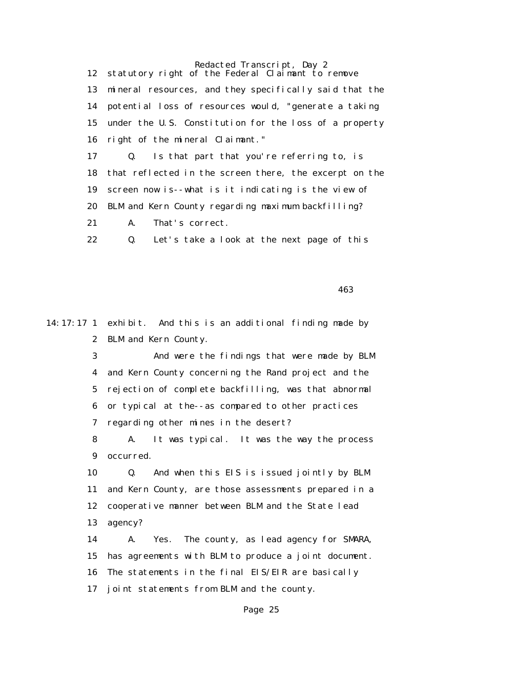Redacted Transcript, Day 2 12 statutory right of the Federal Claimant to remove 13 mineral resources, and they specifically said that the 14 potential loss of resources would, "generate a taking 15 under the U.S. Constitution for the loss of a property 16 right of the mineral Claimant." 17 Q. Is that part that you're referring to, is 18 that reflected in the screen there, the excerpt on the 19 screen now is--what is it indicating is the view of 20 BLM and Kern County regarding maximum backfilling? 21 A. That's correct. 22 Q. Let's take a look at the next page of this

 $463$ 

14:17:17 1 exhibit. And this is an additional finding made by 2 BLM and Kern County.

> 3 And were the findings that were made by BLM 4 and Kern County concerning the Rand project and the 5 rejection of complete backfilling, was that abnormal 6 or typical at the--as compared to other practices 7 regarding other mines in the desert?

> 8 A. It was typical. It was the way the process 9 occurred.

> 10 Q. And when this EIS is issued jointly by BLM 11 and Kern County, are those assessments prepared in a 12 cooperative manner between BLM and the State lead 13 agency?

> 14 A. Yes. The county, as lead agency for SMARA, 15 has agreements with BLM to produce a joint document. 16 The statements in the final EIS/EIR are basically 17 joint statements from BLM and the county.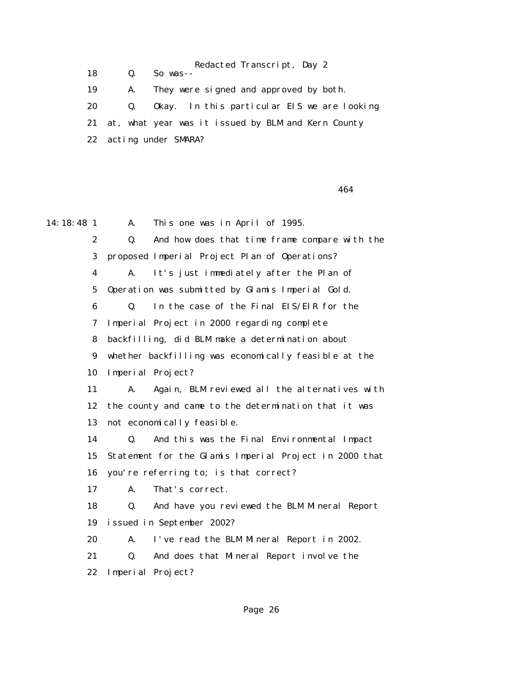Redacted Transcript, Day 2 18 Q. So was-- 19 A. They were signed and approved by both. 20 Q. Okay. In this particular EIS we are looking 21 at, what year was it issued by BLM and Kern County 22 acting under SMARA?

464

14:18:48 1 A. This one was in April of 1995. 2 Q. And how does that time frame compare with the 3 proposed Imperial Project Plan of Operations? 4 A. It's just immediately after the Plan of 5 Operation was submitted by Glamis Imperial Gold. 6 Q. In the case of the Final EIS/EIR for the 7 Imperial Project in 2000 regarding complete 8 backfilling, did BLM make a determination about 9 whether backfilling was economically feasible at the 10 Imperial Project? 11 A. Again, BLM reviewed all the alternatives with 12 the county and came to the determination that it was 13 not economically feasible. 14 Q. And this was the Final Environmental Impact 15 Statement for the Glamis Imperial Project in 2000 that 16 you're referring to; is that correct? 17 A. That's correct. 18 Q. And have you reviewed the BLM Mineral Report 19 issued in September 2002? 20 A. I've read the BLM Mineral Report in 2002. 21 Q. And does that Mineral Report involve the 22 Imperial Project?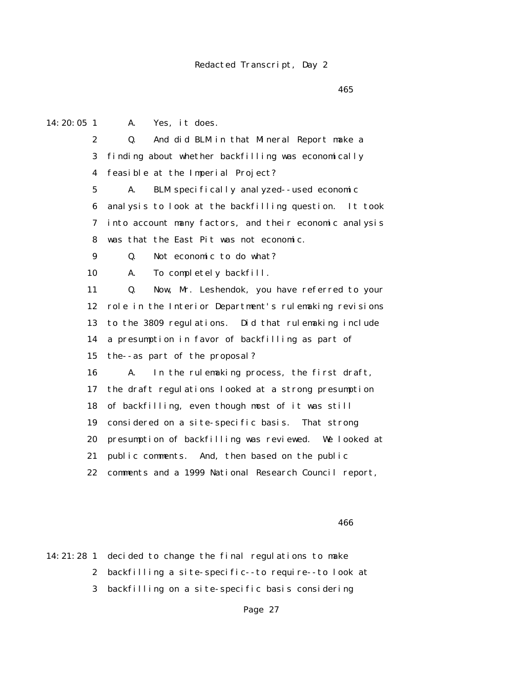$465$ 

 2 Q. And did BLM in that Mineral Report make a 3 finding about whether backfilling was economically 4 feasible at the Imperial Project? 5 A. BLM specifically analyzed--used economic 6 analysis to look at the backfilling question. It took 7 into account many factors, and their economic analysis 8 was that the East Pit was not economic. 9 Q. Not economic to do what? 10 A. To completely backfill. 11 Q. Now, Mr. Leshendok, you have referred to your 12 role in the Interior Department's rulemaking revisions 13 to the 3809 regulations. Did that rulemaking include 14 a presumption in favor of backfilling as part of 15 the--as part of the proposal? 16 A. In the rulemaking process, the first draft, 17 the draft regulations looked at a strong presumption 18 of backfilling, even though most of it was still 19 considered on a site-specific basis. That strong 20 presumption of backfilling was reviewed. We looked at 21 public comments. And, then based on the public 22 comments and a 1999 National Research Council report,

14:20:05 1 A. Yes, it does.

 $466$ 

14:21:28 1 decided to change the final regulations to make 2 backfilling a site-specific--to require--to look at 3 backfilling on a site-specific basis considering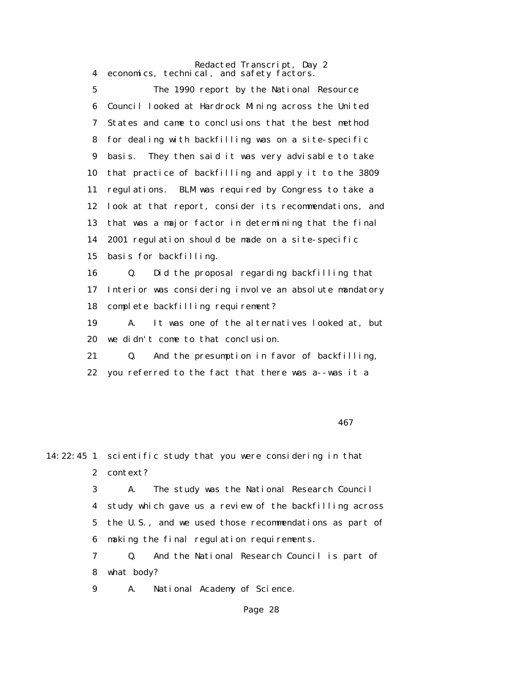Redacted Transcript, Day 2 4 economics, technical, and safety factors.

 5 The 1990 report by the National Resource 6 Council looked at Hardrock Mining across the United 7 States and came to conclusions that the best method 8 for dealing with backfilling was on a site-specific 9 basis. They then said it was very advisable to take 10 that practice of backfilling and apply it to the 3809 11 regulations. BLM was required by Congress to take a 12 look at that report, consider its recommendations, and 13 that was a major factor in determining that the final 14 2001 regulation should be made on a site-specific 15 basis for backfilling. 16 Q. Did the proposal regarding backfilling that 17 Interior was considering involve an absolute mandatory 18 complete backfilling requirement? 19 A. It was one of the alternatives looked at, but 20 we didn't come to that conclusion. 21 Q. And the presumption in favor of backfilling,

22 you referred to the fact that there was a--was it a

 $467$ 

14:22:45 1 scientific study that you were considering in that 2 context?

> 3 A. The study was the National Research Council 4 study which gave us a review of the backfilling across 5 the U.S., and we used those recommendations as part of 6 making the final regulation requirements.

 7 Q. And the National Research Council is part of 8 what body?

9 A. National Academy of Science.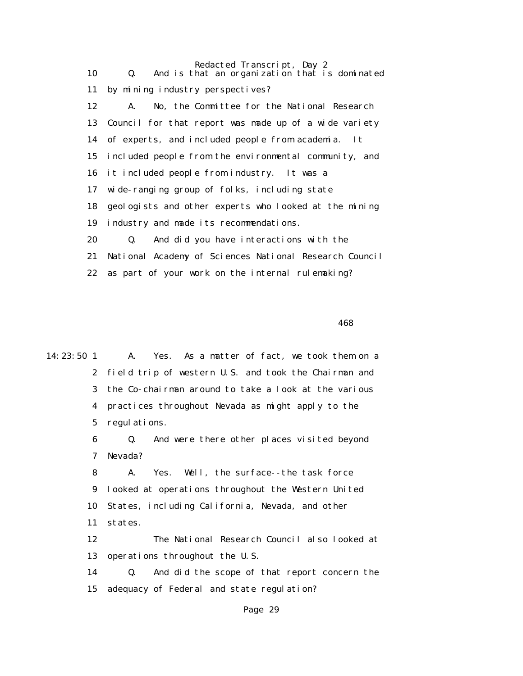| 10 | Redacted Transcript, Day 2<br>And is that an organization that is dominated<br>Q. |
|----|-----------------------------------------------------------------------------------|
| 11 | by mining industry perspectives?                                                  |
| 12 | No, the Committee for the National Research<br>A.                                 |
|    | 13 Council for that report was made up of a wide variety                          |
|    | 14 of experts, and included people from academia. It                              |
| 15 | included people from the environmental community, and                             |
|    | 16 it included people from industry. It was a                                     |
| 17 | wide-ranging group of folks, including state                                      |
| 18 | geologists and other experts who looked at the mining                             |
| 19 | industry and made its recommendations.                                            |
| 20 | And did you have interactions with the<br>Q.                                      |
| 21 | National Academy of Sciences National Research Council                            |
| 22 | as part of your work on the internal rulemaking?                                  |

 $468$ 

14:23:50 1 A. Yes. As a matter of fact, we took them on a 2 field trip of western U.S. and took the Chairman and 3 the Co-chairman around to take a look at the various 4 practices throughout Nevada as might apply to the 5 regulations. 6 Q. And were there other places visited beyond 7 Nevada? 8 A. Yes. Well, the surface--the task force 9 looked at operations throughout the Western United 10 States, including California, Nevada, and other 11 states. 12 The National Research Council also looked at 13 operations throughout the U.S. 14 Q. And did the scope of that report concern the 15 adequacy of Federal and state regulation?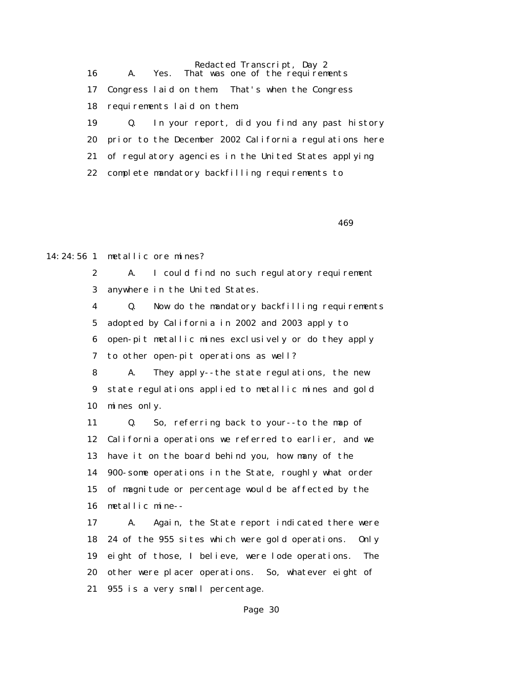Redacted Transcript, Day 2 16 A. Yes. That was one of the requirements 17 Congress laid on them. That's when the Congress 18 requirements laid on them. 19 Q. In your report, did you find any past history 20 prior to the December 2002 California regulations here 21 of regulatory agencies in the United States applying 22 complete mandatory backfilling requirements to

 $469$ 

14:24:56 1 metallic ore mines?

 2 A. I could find no such regulatory requirement 3 anywhere in the United States.

 4 Q. Now do the mandatory backfilling requirements 5 adopted by California in 2002 and 2003 apply to 6 open-pit metallic mines exclusively or do they apply

7 to other open-pit operations as well?

 8 A. They apply--the state regulations, the new 9 state regulations applied to metallic mines and gold 10 mines only.

 11 Q. So, referring back to your--to the map of 12 California operations we referred to earlier, and we 13 have it on the board behind you, how many of the 14 900-some operations in the State, roughly what order 15 of magnitude or percentage would be affected by the 16 metallic mine--

 17 A. Again, the State report indicated there were 18 24 of the 955 sites which were gold operations. Only 19 eight of those, I believe, were lode operations. The 20 other were placer operations. So, whatever eight of 21 955 is a very small percentage.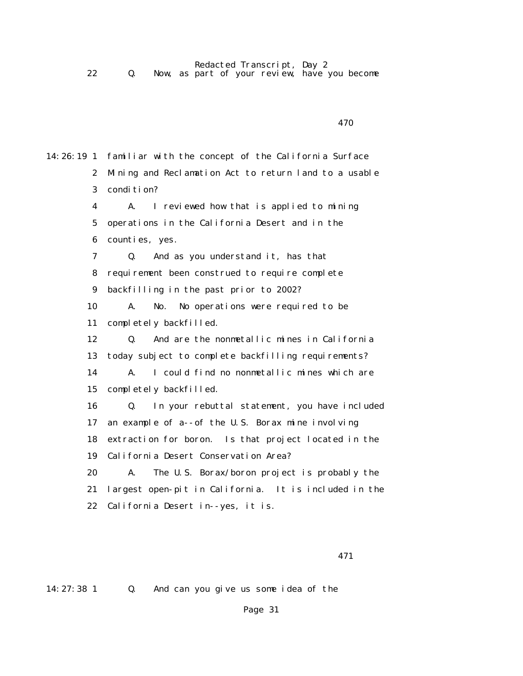Redacted Transcript, Day 2 22 Q. Now, as part of your review, have you become

```
 470
```
14:26:19 1 familiar with the concept of the California Surface 2 Mining and Reclamation Act to return land to a usable 3 condition? 4 A. I reviewed how that is applied to mining 5 operations in the California Desert and in the 6 counties, yes. 7 Q. And as you understand it, has that 8 requirement been construed to require complete 9 backfilling in the past prior to 2002? 10 A. No. No operations were required to be 11 completely backfilled. 12 Q. And are the nonmetallic mines in California 13 today subject to complete backfilling requirements? 14 A. I could find no nonmetallic mines which are 15 completely backfilled. 16 Q. In your rebuttal statement, you have included 17 an example of a--of the U.S. Borax mine involving 18 extraction for boron. Is that project located in the 19 California Desert Conservation Area? 20 A. The U.S. Borax/boron project is probably the 21 largest open-pit in California. It is included in the 22 California Desert in--yes, it is.

14:27:38 1 Q. And can you give us some idea of the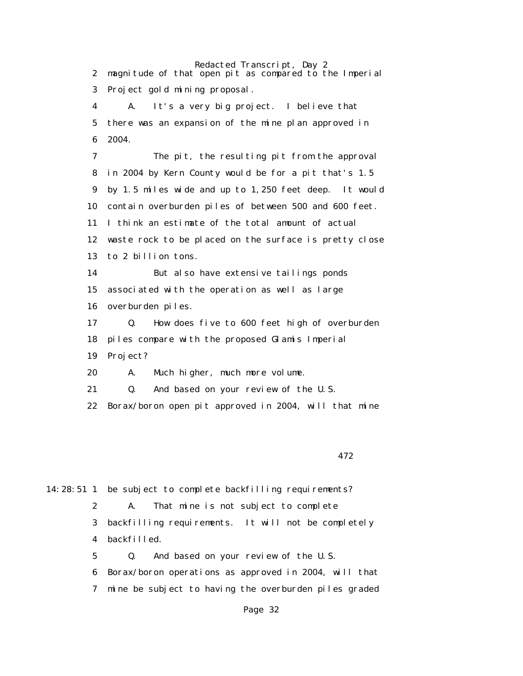Redacted Transcript, Day 2 2 magnitude of that open pit as compared to the Imperial 3 Project gold mining proposal. 4 A. It's a very big project. I believe that 5 there was an expansion of the mine plan approved in 6 2004. 7 The pit, the resulting pit from the approval 8 in 2004 by Kern County would be for a pit that's 1.5 9 by 1.5 miles wide and up to 1,250 feet deep. It would 10 contain overburden piles of between 500 and 600 feet. 11 I think an estimate of the total amount of actual 12 waste rock to be placed on the surface is pretty close 13 to 2 billion tons. 14 But also have extensive tailings ponds 15 associated with the operation as well as large 16 overburden piles. 17 Q. How does five to 600 feet high of overburden 18 piles compare with the proposed Glamis Imperial 19 Project? 20 A. Much higher, much more volume. 21 Q. And based on your review of the U.S. 22 Borax/boron open pit approved in 2004, will that mine

472

14:28:51 1 be subject to complete backfilling requirements? 2 A. That mine is not subject to complete 3 backfilling requirements. It will not be completely 4 backfilled. 5 Q. And based on your review of the U.S. 6 Borax/boron operations as approved in 2004, will that

7 mine be subject to having the overburden piles graded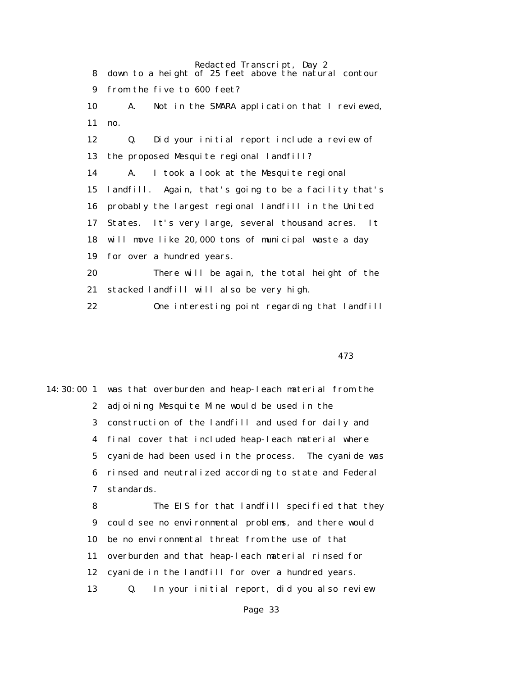Redacted Transcript, Day 2 8 down to a height of 25 feet above the natural contour 9 from the five to 600 feet? 10 A. Not in the SMARA application that I reviewed, 11 no. 12 Q. Did your initial report include a review of 13 the proposed Mesquite regional landfill? 14 A. I took a look at the Mesquite regional 15 landfill. Again, that's going to be a facility that's 16 probably the largest regional landfill in the United 17 States. It's very large, several thousand acres. It 18 will move like 20,000 tons of municipal waste a day 19 for over a hundred years. 20 There will be again, the total height of the 21 stacked landfill will also be very high.

22 One interesting point regarding that landfill

473

14:30:00 1 was that overburden and heap-leach material from the 2 adjoining Mesquite Mine would be used in the 3 construction of the landfill and used for daily and 4 final cover that included heap-leach material where 5 cyanide had been used in the process. The cyanide was 6 rinsed and neutralized according to state and Federal 7 standards. 8 The EIS for that landfill specified that they 9 could see no environmental problems, and there would

10 be no environmental threat from the use of that

11 overburden and that heap-leach material rinsed for

- 12 cyanide in the landfill for over a hundred years.
- 13 Q. In your initial report, did you also review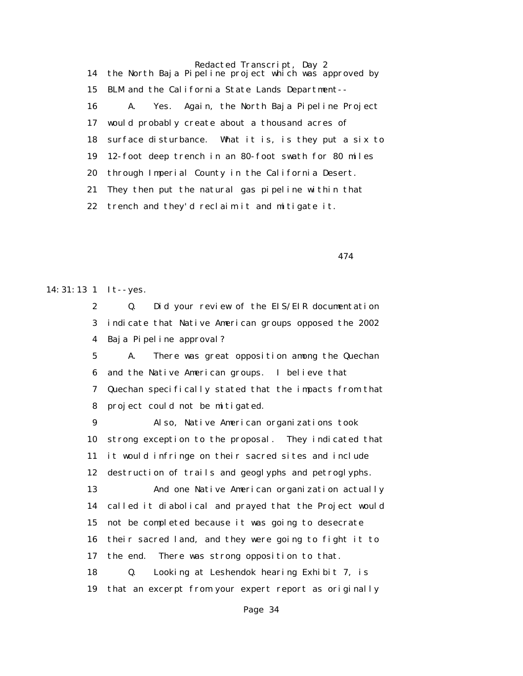Redacted Transcript, Day 2 14 the North Baja Pipeline project which was approved by 15 BLM and the California State Lands Department-- 16 A. Yes. Again, the North Baja Pipeline Project 17 would probably create about a thousand acres of 18 surface disturbance. What it is, is they put a six to 19 12-foot deep trench in an 80-foot swath for 80 miles 20 through Imperial County in the California Desert. 21 They then put the natural gas pipeline within that 22 trench and they'd reclaim it and mitigate it.

474

14:31:13 1 It--yes.

 2 Q. Did your review of the EIS/EIR documentation 3 indicate that Native American groups opposed the 2002 4 Baja Pipeline approval?

 5 A. There was great opposition among the Quechan 6 and the Native American groups. I believe that 7 Quechan specifically stated that the impacts from that 8 project could not be mitigated.

 9 Also, Native American organizations took 10 strong exception to the proposal. They indicated that 11 it would infringe on their sacred sites and include 12 destruction of trails and geoglyphs and petroglyphs.

 13 And one Native American organization actually 14 called it diabolical and prayed that the Project would 15 not be completed because it was going to desecrate 16 their sacred land, and they were going to fight it to 17 the end. There was strong opposition to that. 18 Q. Looking at Leshendok hearing Exhibit 7, is

19 that an excerpt from your expert report as originally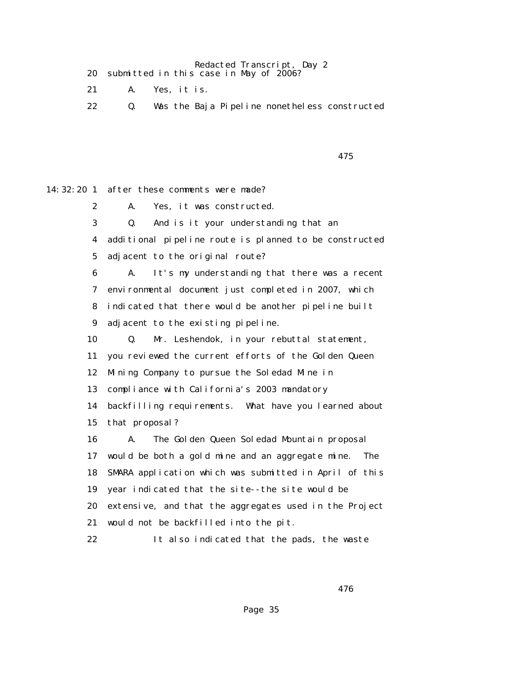Redacted Transcript, Day 2 20 submitted in this case in May of 2006?

- 21 A. Yes, it is.
- 22 Q. Was the Baja Pipeline nonetheless constructed

475

14:32:20 1 after these comments were made?

 2 A. Yes, it was constructed. 3 Q. And is it your understanding that an 4 additional pipeline route is planned to be constructed 5 adjacent to the original route? 6 A. It's my understanding that there was a recent 7 environmental document just completed in 2007, which 8 indicated that there would be another pipeline built 9 adjacent to the existing pipeline. 10 Q. Mr. Leshendok, in your rebuttal statement, 11 you reviewed the current efforts of the Golden Queen 12 Mining Company to pursue the Soledad Mine in 13 compliance with California's 2003 mandatory 14 backfilling requirements. What have you learned about 15 that proposal? 16 A. The Golden Queen Soledad Mountain proposal 17 would be both a gold mine and an aggregate mine. The 18 SMARA application which was submitted in April of this 19 year indicated that the site--the site would be 20 extensive, and that the aggregates used in the Project 21 would not be backfilled into the pit. 22 It also indicated that the pads, the waste

 $476$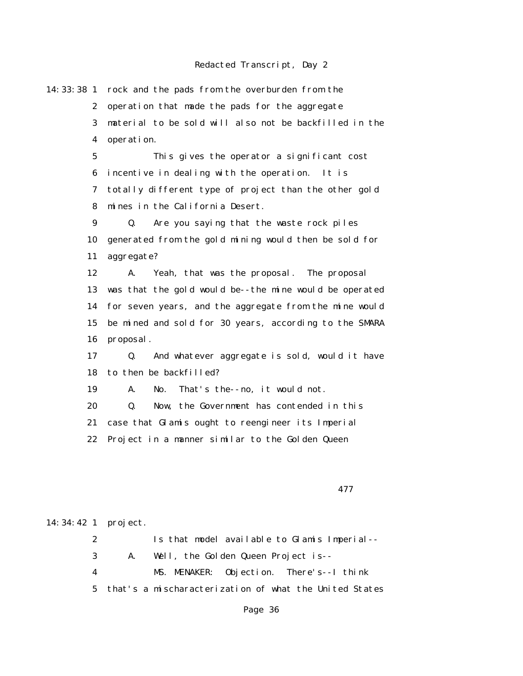14:33:38 1 rock and the pads from the overburden from the 2 operation that made the pads for the aggregate 3 material to be sold will also not be backfilled in the 4 operation. 5 This gives the operator a significant cost 6 incentive in dealing with the operation. It is 7 totally different type of project than the other gold 8 mines in the California Desert. 9 Q. Are you saying that the waste rock piles 10 generated from the gold mining would then be sold for 11 aggregate? 12 A. Yeah, that was the proposal. The proposal 13 was that the gold would be--the mine would be operated 14 for seven years, and the aggregate from the mine would 15 be mined and sold for 30 years, according to the SMARA 16 proposal. 17 Q. And whatever aggregate is sold, would it have 18 to then be backfilled? 19 A. No. That's the--no, it would not. 20 Q. Now, the Government has contended in this 21 case that Glamis ought to reengineer its Imperial 22 Project in a manner similar to the Golden Queen

477

#### 14:34:42 1 project.

 2 Is that model available to Glamis Imperial-- 3 A. Well, the Golden Queen Project is-- 4 MS. MENAKER: Objection. There's--I think 5 that's a mischaracterization of what the United States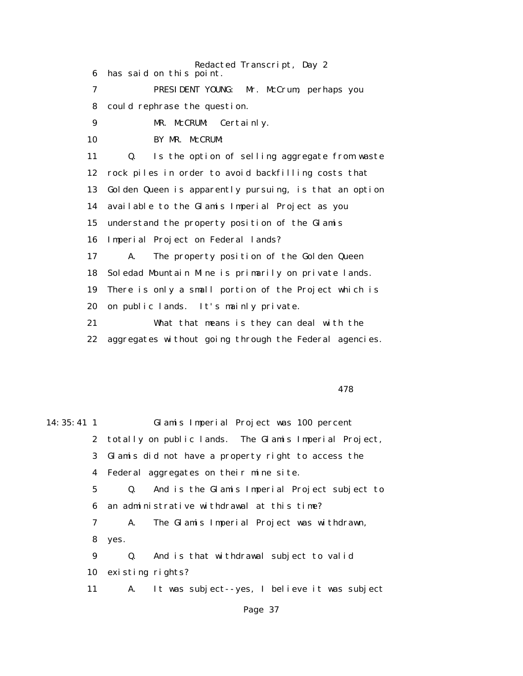Redacted Transcript, Day 2 6 has said on this point. 7 PRESIDENT YOUNG: Mr. McCrum, perhaps you 8 could rephrase the question. 9 MR. McCRUM: Certainly. 10 BY MR. McCRUM: 11 Q. Is the option of selling aggregate from waste 12 rock piles in order to avoid backfilling costs that 13 Golden Queen is apparently pursuing, is that an option 14 available to the Glamis Imperial Project as you 15 understand the property position of the Glamis 16 Imperial Project on Federal lands? 17 A. The property position of the Golden Queen 18 Soledad Mountain Mine is primarily on private lands. 19 There is only a small portion of the Project which is 20 on public lands. It's mainly private. 21 What that means is they can deal with the 22 aggregates without going through the Federal agencies.

478

| $14:35:41 \;1$ |             |                  | Glamis Imperial Project was 100 percent                 |
|----------------|-------------|------------------|---------------------------------------------------------|
|                |             |                  | 2 totally on public lands. The Glamis Imperial Project, |
|                |             |                  | 3 Glamis did not have a property right to access the    |
|                |             |                  | 4 Federal aggregates on their mine site.                |
|                | $5^{\circ}$ |                  | Q. And is the Glamis Imperial Project subject to        |
|                | 6           |                  | an administrative withdrawal at this time?              |
|                | 7           | A.               | The Glamis Imperial Project was withdrawn,              |
|                | 8           | yes.             |                                                         |
|                | 9           | Q.               | And is that withdrawal subject to valid                 |
|                | 10          | existing rights? |                                                         |
|                | 11          | <b>A.</b>        | It was subject--yes, I believe it was subject           |
|                |             |                  |                                                         |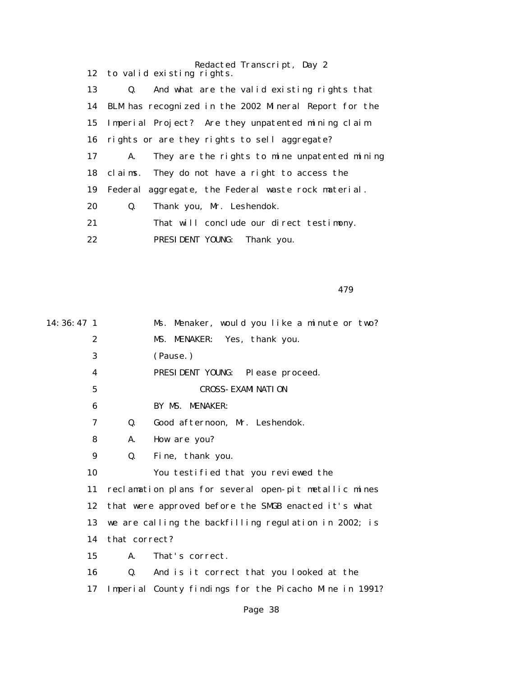|    | Redacted Transcript, Day 2                                    |
|----|---------------------------------------------------------------|
|    | 12 to valid existing rights.                                  |
| 13 | And what are the valid existing rights that<br>$\mathbf{Q}_1$ |
|    | 14 BLM has recognized in the 2002 Mineral Report for the      |
| 15 | Imperial Project? Are they unpatented mining claim            |
|    | 16 rights or are they rights to sell aggregate?               |
| 17 | They are the rights to mine unpatented mining<br>A.           |
|    | 18 claims. They do not have a right to access the             |
| 19 | Federal aggregate, the Federal waste rock material.           |
| 20 | Thank you, Mr. Leshendok.<br>Q.                               |
| 21 | That will conclude our direct testimony.                      |
| 22 | PRESIDENT YOUNG:<br>Thank you.                                |

479

| 14: 36: 47 1     |                                                      | Ms. Menaker, would you like a minute or two?           |  |
|------------------|------------------------------------------------------|--------------------------------------------------------|--|
| $\boldsymbol{2}$ |                                                      | MS. MENAKER: Yes, thank you.                           |  |
| 3                |                                                      | (Pause.)                                               |  |
| 4                |                                                      | PRESIDENT YOUNG:<br>Please proceed.                    |  |
| $\mathbf 5$      |                                                      | <b>CROSS- EXAMI NATI ON</b>                            |  |
| 6                |                                                      | BY MS. MENAKER:                                        |  |
| 7                | Q.                                                   | Good afternoon, Mr. Leshendok.                         |  |
| 8                | A.                                                   | How are you?                                           |  |
| 9                | Q.                                                   | Fine, thank you.                                       |  |
| 10               |                                                      | You testified that you reviewed the                    |  |
| 11               |                                                      | reclamation plans for several open-pit metallic mines  |  |
| 12               | that were approved before the SMGB enacted it's what |                                                        |  |
| 13               |                                                      | we are calling the backfilling regulation in 2002; is  |  |
| 14               | that correct?                                        |                                                        |  |
| 15               | A.                                                   | That's correct.                                        |  |
| 16               | Q.                                                   | And is it correct that you looked at the               |  |
| 17               |                                                      | Imperial County findings for the Picacho Mine in 1991? |  |
|                  |                                                      |                                                        |  |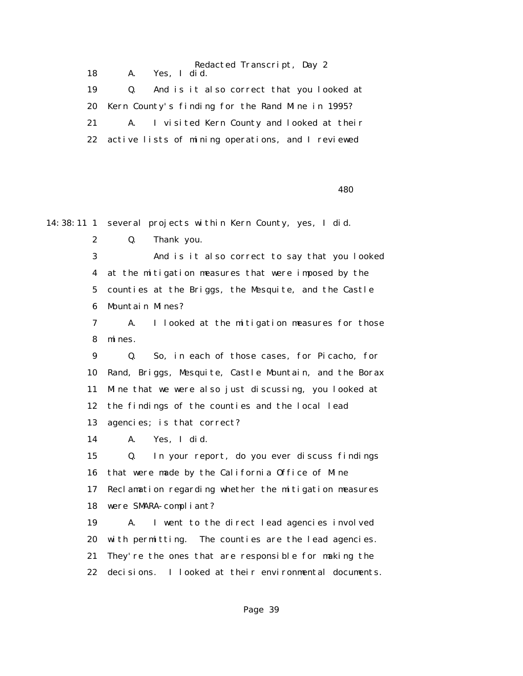Redacted Transcript, Day 2 18 A. Yes, I did. 19 Q. And is it also correct that you looked at 20 Kern County's finding for the Rand Mine in 1995? 21 A. I visited Kern County and looked at their 22 active lists of mining operations, and I reviewed

 $480$ 

14:38:11 1 several projects within Kern County, yes, I did.

2 Q. Thank you.

 3 And is it also correct to say that you looked 4 at the mitigation measures that were imposed by the 5 counties at the Briggs, the Mesquite, and the Castle 6 Mountain Mines?

 7 A. I looked at the mitigation measures for those 8 mines.

 9 Q. So, in each of those cases, for Picacho, for 10 Rand, Briggs, Mesquite, Castle Mountain, and the Borax 11 Mine that we were also just discussing, you looked at 12 the findings of the counties and the local lead 13 agencies; is that correct?

14 A. Yes, I did.

 15 Q. In your report, do you ever discuss findings 16 that were made by the California Office of Mine 17 Reclamation regarding whether the mitigation measures 18 were SMARA-compliant?

 19 A. I went to the direct lead agencies involved 20 with permitting. The counties are the lead agencies. 21 They're the ones that are responsible for making the 22 decisions. I looked at their environmental documents.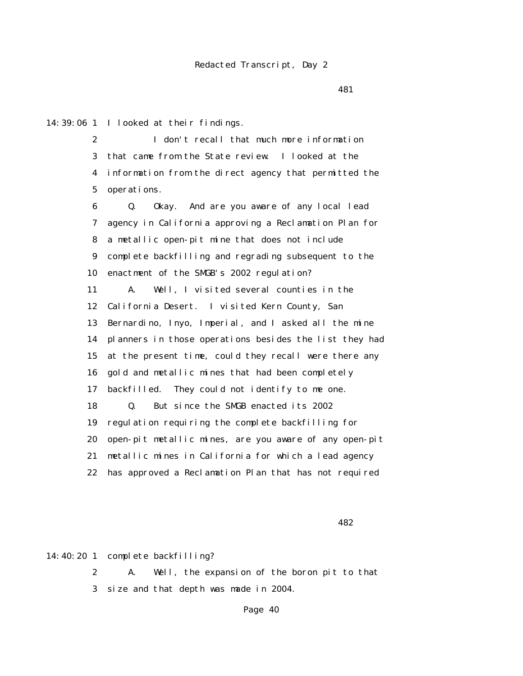481

14:39:06 1 I looked at their findings.

 2 I don't recall that much more information 3 that came from the State review. I looked at the 4 information from the direct agency that permitted the 5 operations.

 6 Q. Okay. And are you aware of any local lead 7 agency in California approving a Reclamation Plan for 8 a metallic open-pit mine that does not include 9 complete backfilling and regrading subsequent to the 10 enactment of the SMGB's 2002 regulation? 11 A. Well, I visited several counties in the 12 California Desert. I visited Kern County, San 13 Bernardino, Inyo, Imperial, and I asked all the mine 14 planners in those operations besides the list they had 15 at the present time, could they recall were there any 16 gold and metallic mines that had been completely 17 backfilled. They could not identify to me one. 18 Q. But since the SMGB enacted its 2002 19 regulation requiring the complete backfilling for 20 open-pit metallic mines, are you aware of any open-pit 21 metallic mines in California for which a lead agency 22 has approved a Reclamation Plan that has not required

**482** 

14:40:20 1 complete backfilling?

 2 A. Well, the expansion of the boron pit to that 3 size and that depth was made in 2004.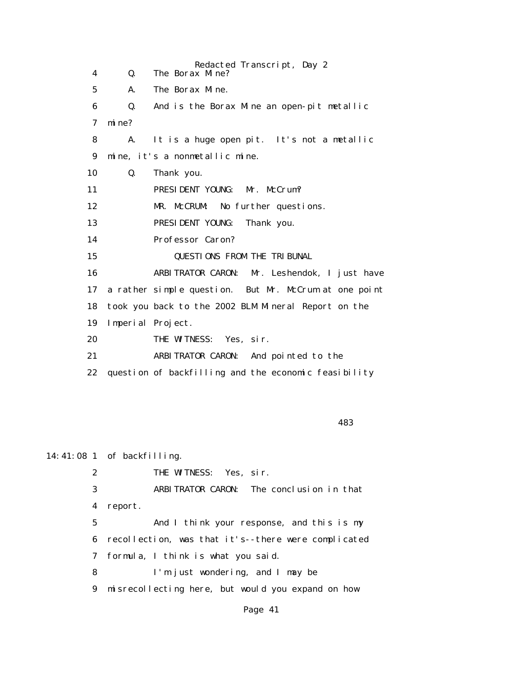Redacted Transcript, Day 2 4 Q. The Borax Mine? 5 A. The Borax Mine. 6 Q. And is the Borax Mine an open-pit metallic 7 mine? 8 A. It is a huge open pit. It's not a metallic 9 mine, it's a nonmetallic mine. 10 Q. Thank you. 11 PRESIDENT YOUNG: Mr. McCrum? 12 MR. McCRUM: No further questions. 13 PRESIDENT YOUNG: Thank you. 14 Professor Caron? 15 QUESTIONS FROM THE TRIBUNAL 16 ARBITRATOR CARON: Mr. Leshendok, I just have 17 a rather simple question. But Mr. McCrum at one point 18 took you back to the 2002 BLM Mineral Report on the 19 Imperial Project. 20 THE WITNESS: Yes. sir. 21 ARBITRATOR CARON: And pointed to the 22 question of backfilling and the economic feasibility

<u>483</u>

14:41:08 1 of backfilling. 2 THE WITNESS: Yes, sir. 3 ARBITRATOR CARON: The conclusion in that 4 report. 5 And I think your response, and this is my 6 recollection, was that it's--there were complicated 7 formula, I think is what you said. 8 I'm just wondering, and I may be 9 misrecollecting here, but would you expand on how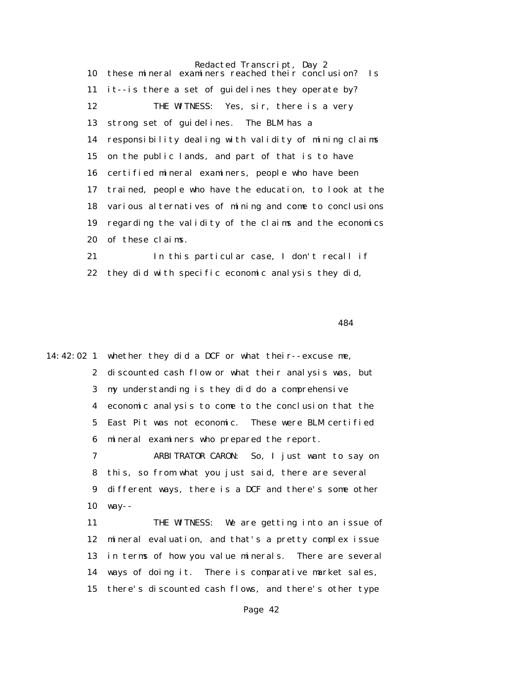Redacted Transcript, Day 2 10 these mineral examiners reached their conclusion? Is 11 it--is there a set of guidelines they operate by? 12 THE WITNESS: Yes, sir, there is a very 13 strong set of guidelines. The BLM has a 14 responsibility dealing with validity of mining claims 15 on the public lands, and part of that is to have 16 certified mineral examiners, people who have been 17 trained, people who have the education, to look at the 18 various alternatives of mining and come to conclusions 19 regarding the validity of the claims and the economics 20 of these claims.

 21 In this particular case, I don't recall if 22 they did with specific economic analysis they did,

484

14:42:02 1 whether they did a DCF or what their--excuse me, 2 discounted cash flow or what their analysis was, but 3 my understanding is they did do a comprehensive 4 economic analysis to come to the conclusion that the 5 East Pit was not economic. These were BLM certified 6 mineral examiners who prepared the report.

> 7 ARBITRATOR CARON: So, I just want to say on 8 this, so from what you just said, there are several 9 different ways, there is a DCF and there's some other 10 way--

 11 THE WITNESS: We are getting into an issue of 12 mineral evaluation, and that's a pretty complex issue 13 in terms of how you value minerals. There are several 14 ways of doing it. There is comparative market sales, 15 there's discounted cash flows, and there's other type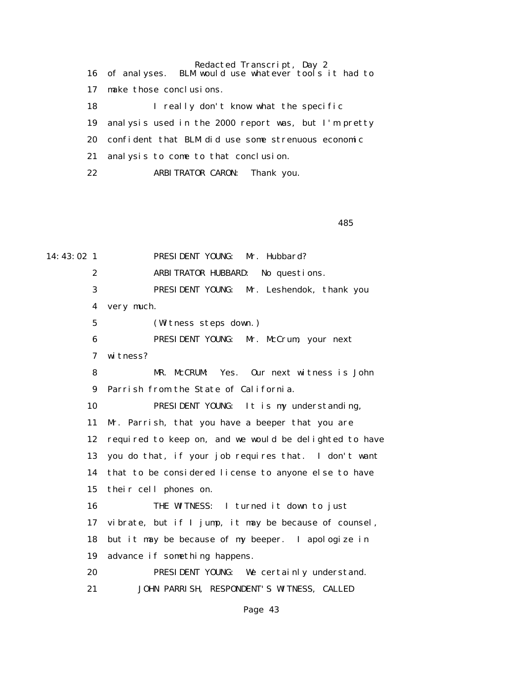Redacted Transcript, Day 2 16 of analyses. BLM would use whatever tools it had to 17 make those conclusions. 18 I really don't know what the specific 19 analysis used in the 2000 report was, but I'm pretty 20 confident that BLM did use some strenuous economic 21 analysis to come to that conclusion. 22 ARBITRATOR CARON: Thank you.

 $485$ 

14:43:02 1 PRESIDENT YOUNG: Mr. Hubbard? 2 ARBITRATOR HUBBARD: No questions. 3 PRESIDENT YOUNG: Mr. Leshendok, thank you 4 very much. 5 (Witness steps down.) 6 PRESIDENT YOUNG: Mr. McCrum, your next 7 witness? 8 MR. McCRUM: Yes. Our next witness is John 9 Parrish from the State of California. 10 PRESIDENT YOUNG: It is my understanding, 11 Mr. Parrish, that you have a beeper that you are 12 required to keep on, and we would be delighted to have 13 you do that, if your job requires that. I don't want 14 that to be considered license to anyone else to have 15 their cell phones on. 16 THE WITNESS: I turned it down to just 17 vibrate, but if I jump, it may be because of counsel, 18 but it may be because of my beeper. I apologize in 19 advance if something happens. 20 PRESIDENT YOUNG: We certainly understand. 21 JOHN PARRISH, RESPONDENT'S WITNESS, CALLED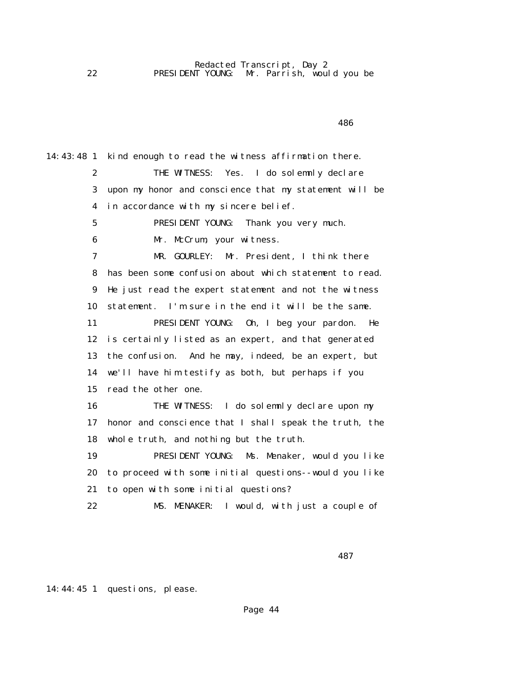14:43:48 1 kind enough to read the witness affirmation there. 2 THE WITNESS: Yes. I do solemnly declare 3 upon my honor and conscience that my statement will be 4 in accordance with my sincere belief. 5 PRESIDENT YOUNG: Thank you very much. 6 Mr. McCrum, your witness. 7 MR. GOURLEY: Mr. President, I think there 8 has been some confusion about which statement to read. 9 He just read the expert statement and not the witness 10 statement. I'm sure in the end it will be the same. 11 PRESIDENT YOUNG: Oh, I beg your pardon. He 12 is certainly listed as an expert, and that generated 13 the confusion. And he may, indeed, be an expert, but 14 we'll have him testify as both, but perhaps if you 15 read the other one. 16 THE WITNESS: I do solemnly declare upon my 17 honor and conscience that I shall speak the truth, the 18 whole truth, and nothing but the truth. 19 PRESIDENT YOUNG: Ms. Menaker, would you like 20 to proceed with some initial questions--would you like 21 to open with some initial questions? 22 MS. MENAKER: I would, with just a couple of

487

14:44:45 1 questions, please.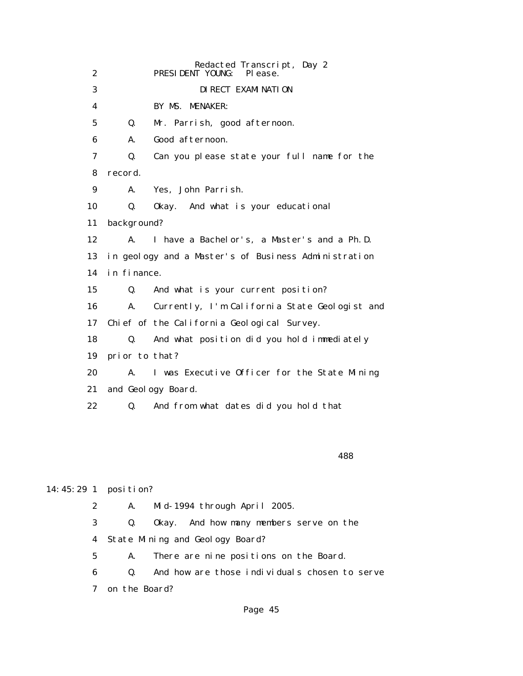|                 |                | Redacted Transcript, Day 2                           |
|-----------------|----------------|------------------------------------------------------|
| $\mathbf{2}$    |                | PRESIDENT YOUNG:<br>Pl ease.                         |
| 3               |                | DI RECT EXAMI NATI ON                                |
| 4               |                | BY MS. MENAKER:                                      |
| $5\overline{ }$ | Q.             | Mr. Parrish, good afternoon.                         |
| 6               | A.             | Good afternoon.                                      |
| 7               | Q.             | Can you please state your full name for the          |
| 8               | record.        |                                                      |
| 9               | A.             | Yes, John Parrish.                                   |
| 10              | Q.             | Okay. And what is your educational                   |
| 11              | background?    |                                                      |
| 12              | $\mathbf{A}$ . | I have a Bachelor's, a Master's and a Ph.D.          |
| 13              |                | in geology and a Master's of Business Administration |
| 14              | in finance.    |                                                      |
| 15              | Q.             | And what is your current position?                   |
| 16              | A.             | Currently, I'm California State Geologist and        |
| 17              |                | Chief of the California Geological Survey.           |
| 18              | Q.             | And what position did you hold immediately           |
| 19              | prior to that? |                                                      |
| 20              | A.             | I was Executive Officer for the State Mining         |
| 21              |                | and Geology Board.                                   |
| 22              | Q.             | And from what dates did you hold that                |
|                 |                |                                                      |

<u>488 and the set of the set of the set of the set of the set of the set of the set of the set of the set of the set of the set of the set of the set of the set of the set of the set of the set of the set of the set of the </u>

## 14:45:29 1 position?

2 A. Mid-1994 through April 2005.

 3 Q. Okay. And how many members serve on the 4 State Mining and Geology Board?

5 A. There are nine positions on the Board.

 6 Q. And how are those individuals chosen to serve 7 on the Board?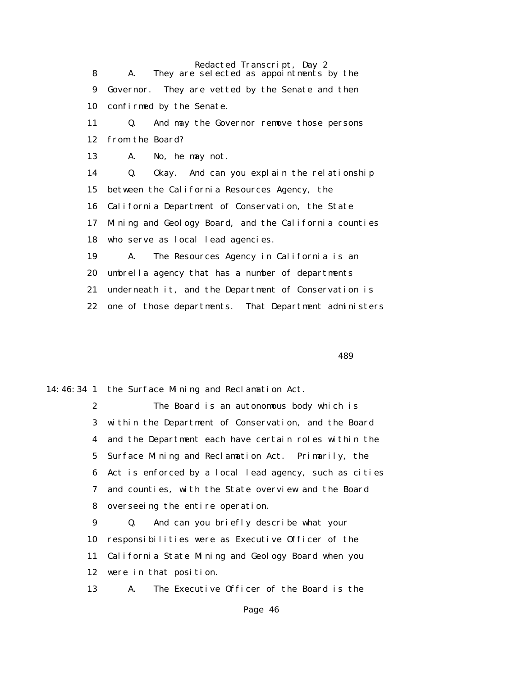Redacted Transcript, Day 2 8 A. They are selected as appointments by the 9 Governor. They are vetted by the Senate and then 10 confirmed by the Senate. 11 Q. And may the Governor remove those persons 12 from the Board? 13 A. No, he may not. 14 Q. Okay. And can you explain the relationship 15 between the California Resources Agency, the 16 California Department of Conservation, the State 17 Mining and Geology Board, and the California counties 18 who serve as local lead agencies. 19 A. The Resources Agency in California is an 20 umbrella agency that has a number of departments 21 underneath it, and the Department of Conservation is 22 one of those departments. That Department administers

 $489$ 

14:46:34 1 the Surface Mining and Reclamation Act.

 2 The Board is an autonomous body which is 3 within the Department of Conservation, and the Board 4 and the Department each have certain roles within the 5 Surface Mining and Reclamation Act. Primarily, the 6 Act is enforced by a local lead agency, such as cities 7 and counties, with the State overview and the Board 8 overseeing the entire operation.

 9 Q. And can you briefly describe what your 10 responsibilities were as Executive Officer of the 11 California State Mining and Geology Board when you 12 were in that position.

13 A. The Executive Officer of the Board is the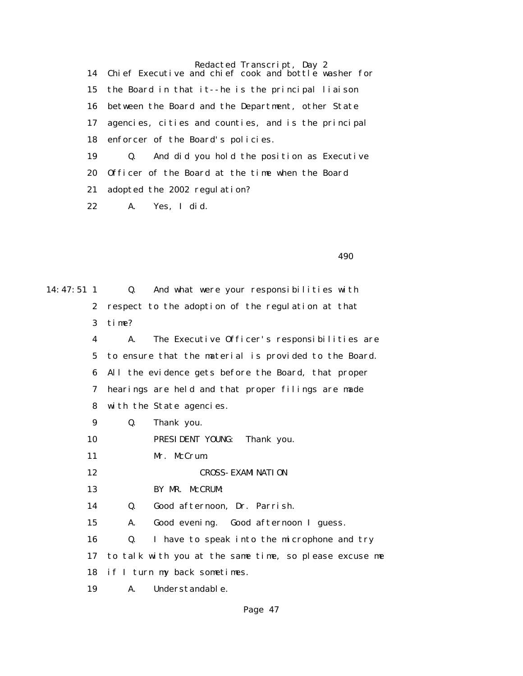Redacted Transcript, Day 2 14 Chief Executive and chief cook and bottle washer for 15 the Board in that it--he is the principal liaison 16 between the Board and the Department, other State 17 agencies, cities and counties, and is the principal 18 enforcer of the Board's policies. 19 Q. And did you hold the position as Executive 20 Officer of the Board at the time when the Board 21 adopted the 2002 regulation? 22 A. Yes, I did.

 $490$ 

14:47:51 1 Q. And what were your responsibilities with 2 respect to the adoption of the regulation at that 3 time? 4 A. The Executive Officer's responsibilities are 5 to ensure that the material is provided to the Board. 6 All the evidence gets before the Board, that proper 7 hearings are held and that proper filings are made 8 with the State agencies. 9 Q. Thank you. 10 PRESIDENT YOUNG: Thank you. 11 Mr. McCrum. 12 CROSS-EXAMINATION 13 BY MR. McCRUM: 14 Q. Good afternoon, Dr. Parrish. 15 A. Good evening. Good afternoon I guess. 16 Q. I have to speak into the microphone and try 17 to talk with you at the same time, so please excuse me 18 if I turn my back sometimes. 19 A. Understandable.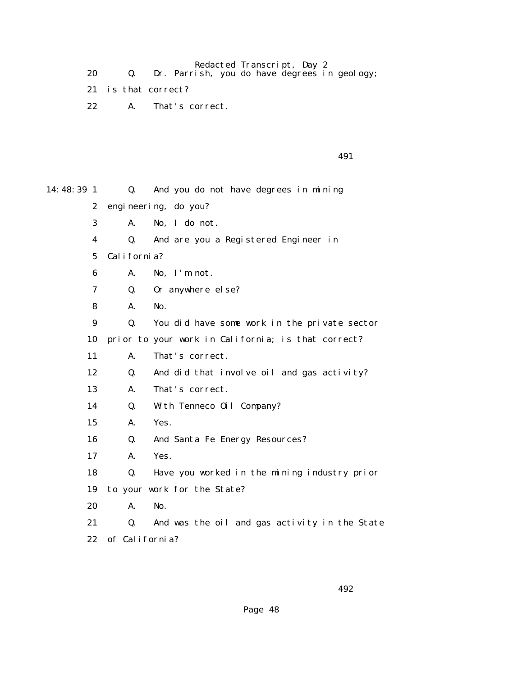Redacted Transcript, Day 2

- 20 Q. Dr. Parrish, you do have degrees in geology;
	- 21 is that correct?
	- 22 A. That's correct.

|  |  | 491 |
|--|--|-----|
|  |  |     |

| 14: 48: 39 1     | Q.             | And you do not have degrees in mining              |
|------------------|----------------|----------------------------------------------------|
| $\boldsymbol{2}$ |                | engineering, do you?                               |
| 3                | A.             | No, I do not.                                      |
| 4                | Q.             | And are you a Registered Engineer in               |
| 5                | California?    |                                                    |
| 6                | A.             | No, I'm not.                                       |
| 7                | Q.             | Or anywhere else?                                  |
| 8                | A.             | No.                                                |
| $\boldsymbol{9}$ | Q.             | You did have some work in the private sector       |
| 10               |                | prior to your work in California; is that correct? |
| 11               | A.             | That's correct.                                    |
| 12               | Q.             | And did that involve oil and gas activity?         |
| 13               | A.             | That's correct.                                    |
| 14               | Q.             | With Tenneco Oil Company?                          |
| 15               | A.             | Yes.                                               |
| 16               | Q.             | And Santa Fe Energy Resources?                     |
| 17               | A.             | Yes.                                               |
| 18               | Q.             | Have you worked in the mining industry prior       |
| 19               |                | to your work for the State?                        |
| 20               | A.             | No.                                                |
| 21               | Q.             | And was the oil and gas activity in the State      |
| 22               | of California? |                                                    |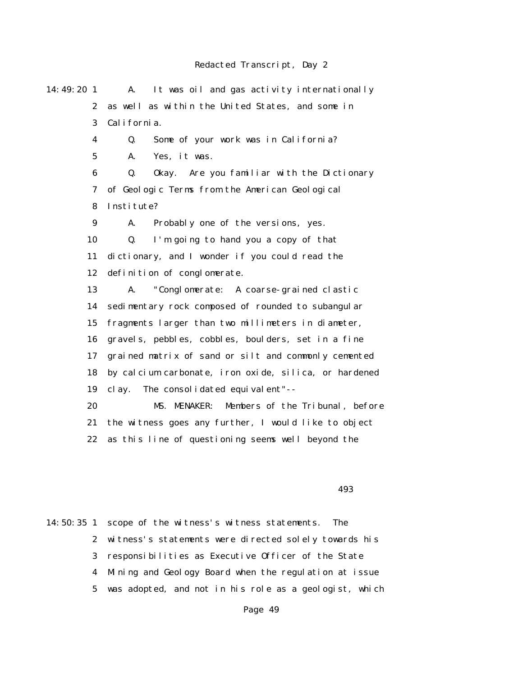14:49:20 1 A. It was oil and gas activity internationally 2 as well as within the United States, and some in 3 California. 4 Q. Some of your work was in California? 5 A. Yes, it was. 6 Q. Okay. Are you familiar with the Dictionary 7 of Geologic Terms from the American Geological 8 Institute? 9 A. Probably one of the versions, yes. 10 Q. I'm going to hand you a copy of that 11 dictionary, and I wonder if you could read the 12 definition of conglomerate. 13 A. "Conglomerate: A coarse-grained clastic 14 sedimentary rock composed of rounded to subangular 15 fragments larger than two millimeters in diameter, 16 gravels, pebbles, cobbles, boulders, set in a fine 17 grained matrix of sand or silt and commonly cemented 18 by calcium carbonate, iron oxide, silica, or hardened 19 clay. The consolidated equivalent"-- 20 MS. MENAKER: Members of the Tribunal, before 21 the witness goes any further, I would like to object 22 as this line of questioning seems well beyond the  $493$ 

14:50:35 1 scope of the witness's witness statements. The 2 witness's statements were directed solely towards his 3 responsibilities as Executive Officer of the State 4 Mining and Geology Board when the regulation at issue 5 was adopted, and not in his role as a geologist, which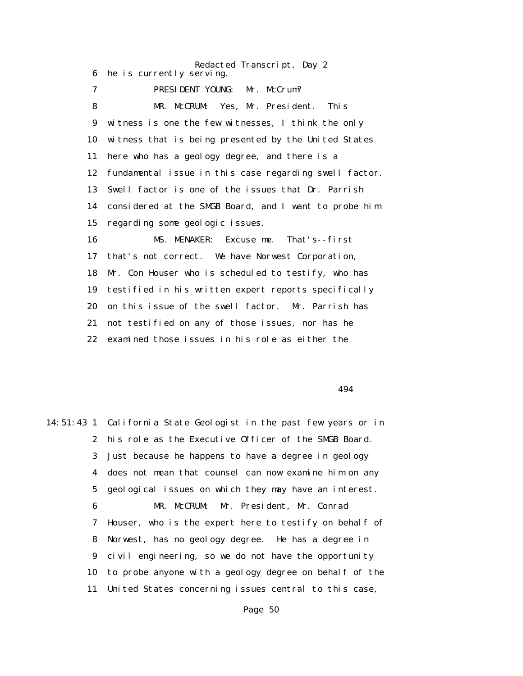Redacted Transcript, Day 2 6 he is currently serving. 7 PRESIDENT YOUNG: Mr. McCrum? 8 MR. McCRUM: Yes, Mr. President. This 9 witness is one the few witnesses, I think the only 10 witness that is being presented by the United States 11 here who has a geology degree, and there is a 12 fundamental issue in this case regarding swell factor. 13 Swell factor is one of the issues that Dr. Parrish 14 considered at the SMGB Board, and I want to probe him 15 regarding some geologic issues. 16 MS. MENAKER: Excuse me. That's--first 17 that's not correct. We have Norwest Corporation, 18 Mr. Con Houser who is scheduled to testify, who has 19 testified in his written expert reports specifically 20 on this issue of the swell factor. Mr. Parrish has 21 not testified on any of those issues, nor has he 22 examined those issues in his role as either the

494

14:51:43 1 California State Geologist in the past few years or in 2 his role as the Executive Officer of the SMGB Board. 3 Just because he happens to have a degree in geology 4 does not mean that counsel can now examine him on any 5 geological issues on which they may have an interest. 6 MR. McCRUM: Mr. President, Mr. Conrad 7 Houser, who is the expert here to testify on behalf of 8 Norwest, has no geology degree. He has a degree in 9 civil engineering, so we do not have the opportunity 10 to probe anyone with a geology degree on behalf of the 11 United States concerning issues central to this case,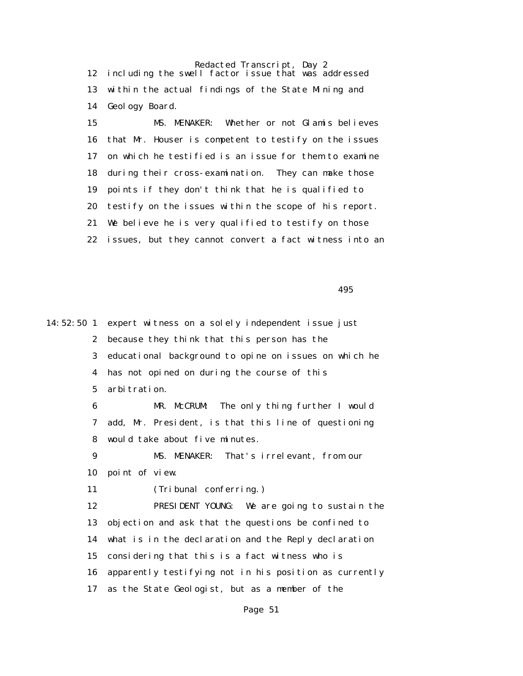Redacted Transcript, Day 2 12 including the swell factor issue that was addressed 13 within the actual findings of the State Mining and 14 Geology Board.

 15 MS. MENAKER: Whether or not Glamis believes 16 that Mr. Houser is competent to testify on the issues 17 on which he testified is an issue for them to examine 18 during their cross-examination. They can make those 19 points if they don't think that he is qualified to 20 testify on the issues within the scope of his report. 21 We believe he is very qualified to testify on those 22 issues, but they cannot convert a fact witness into an

 $495$ 

14:52:50 1 expert witness on a solely independent issue just 2 because they think that this person has the 3 educational background to opine on issues on which he 4 has not opined on during the course of this 5 arbitration. 6 MR. McCRUM: The only thing further I would 7 add, Mr. President, is that this line of questioning 8 would take about five minutes. 9 MS. MENAKER: That's irrelevant, from our 10 point of view. 11 (Tribunal conferring.) 12 PRESIDENT YOUNG: We are going to sustain the 13 objection and ask that the questions be confined to 14 what is in the declaration and the Reply declaration 15 considering that this is a fact witness who is 16 apparently testifying not in his position as currently 17 as the State Geologist, but as a member of the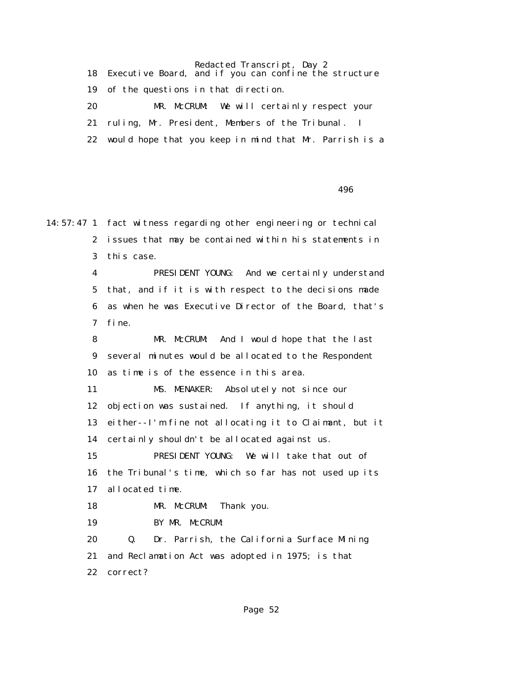Redacted Transcript, Day 2

 18 Executive Board, and if you can confine the structure 19 of the questions in that direction. 20 MR. McCRUM: We will certainly respect your 21 ruling, Mr. President, Members of the Tribunal. I 22 would hope that you keep in mind that Mr. Parrish is a

 $496$ 

14:57:47 1 fact witness regarding other engineering or technical 2 issues that may be contained within his statements in 3 this case. 4 PRESIDENT YOUNG: And we certainly understand 5 that, and if it is with respect to the decisions made 6 as when he was Executive Director of the Board, that's 7 fine. 8 MR. McCRUM: And I would hope that the last 9 several minutes would be allocated to the Respondent 10 as time is of the essence in this area. 11 MS. MENAKER: Absolutely not since our 12 objection was sustained. If anything, it should 13 either--I'm fine not allocating it to Claimant, but it 14 certainly shouldn't be allocated against us. 15 PRESIDENT YOUNG: We will take that out of 16 the Tribunal's time, which so far has not used up its 17 allocated time. 18 MR. McCRUM: Thank you. 19 BY MR. McCRUM: 20 Q. Dr. Parrish, the California Surface Mining 21 and Reclamation Act was adopted in 1975; is that 22 correct?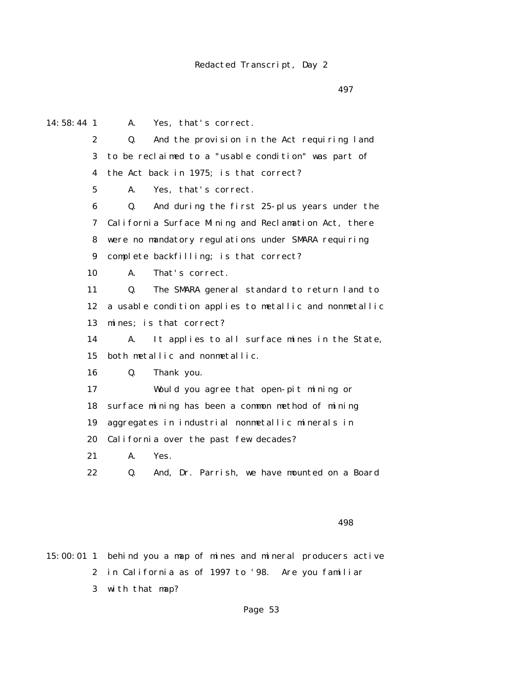#### Redacted Transcript, Day 2

 $497$ 

14:58:44 1 A. Yes, that's correct. 2 Q. And the provision in the Act requiring land 3 to be reclaimed to a "usable condition" was part of 4 the Act back in 1975; is that correct? 5 A. Yes, that's correct. 6 Q. And during the first 25-plus years under the 7 California Surface Mining and Reclamation Act, there 8 were no mandatory regulations under SMARA requiring 9 complete backfilling; is that correct? 10 A. That's correct. 11 Q. The SMARA general standard to return land to 12 a usable condition applies to metallic and nonmetallic 13 mines; is that correct? 14 A. It applies to all surface mines in the State, 15 both metallic and nonmetallic. 16 Q. Thank you. 17 Would you agree that open-pit mining or 18 surface mining has been a common method of mining 19 aggregates in industrial nonmetallic minerals in 20 California over the past few decades? 21 A. Yes. 22 Q. And, Dr. Parrish, we have mounted on a Board

 $498$ 

15:00:01 1 behind you a map of mines and mineral producers active 2 in California as of 1997 to '98. Are you familiar 3 with that map?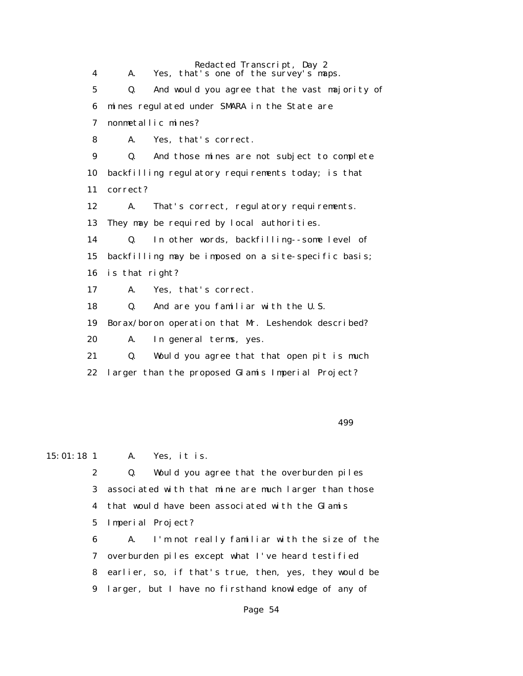Redacted Transcript, Day 2 4 A. Yes, that's one of the survey's maps. 5 Q. And would you agree that the vast majority of 6 mines regulated under SMARA in the State are 7 nonmetallic mines? 8 A. Yes, that's correct. 9 Q. And those mines are not subject to complete 10 backfilling regulatory requirements today; is that 11 correct? 12 A. That's correct, regulatory requirements. 13 They may be required by local authorities. 14 Q. In other words, backfilling--some level of 15 backfilling may be imposed on a site-specific basis; 16 is that right? 17 A. Yes, that's correct. 18 Q. And are you familiar with the U.S. 19 Borax/boron operation that Mr. Leshendok described? 20 A. In general terms, yes. 21 Q. Would you agree that that open pit is much 22 larger than the proposed Glamis Imperial Project?

#### $499$

15:01:18 1 A. Yes, it is.

 2 Q. Would you agree that the overburden piles 3 associated with that mine are much larger than those 4 that would have been associated with the Glamis 5 Imperial Project?

 6 A. I'm not really familiar with the size of the 7 overburden piles except what I've heard testified 8 earlier, so, if that's true, then, yes, they would be 9 larger, but I have no firsthand knowledge of any of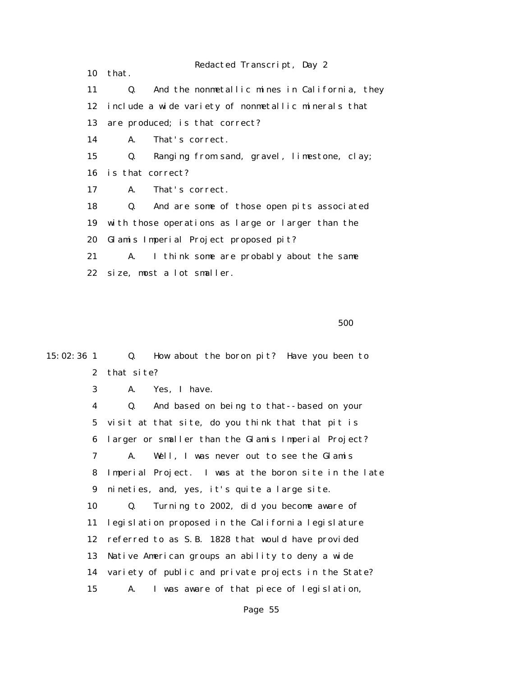Redacted Transcript, Day 2

 10 that. 11 Q. And the nonmetallic mines in California, they 12 include a wide variety of nonmetallic minerals that 13 are produced; is that correct? 14 A. That's correct. 15 Q. Ranging from sand, gravel, limestone, clay; 16 is that correct? 17 A. That's correct. 18 Q. And are some of those open pits associated 19 with those operations as large or larger than the 20 Glamis Imperial Project proposed pit? 21 A. I think some are probably about the same 22 size, most a lot smaller.

 $500$ 

 2 that site? 3 A. Yes, I have. 4 Q. And based on being to that--based on your 5 visit at that site, do you think that that pit is 6 larger or smaller than the Glamis Imperial Project? 7 A. Well, I was never out to see the Glamis 8 Imperial Project. I was at the boron site in the late 9 nineties, and, yes, it's quite a large site. 10 Q. Turning to 2002, did you become aware of 11 legislation proposed in the California legislature 12 referred to as S.B. 1828 that would have provided 13 Native American groups an ability to deny a wide 14 variety of public and private projects in the State? 15 A. I was aware of that piece of legislation,

15:02:36 1 Q. How about the boron pit? Have you been to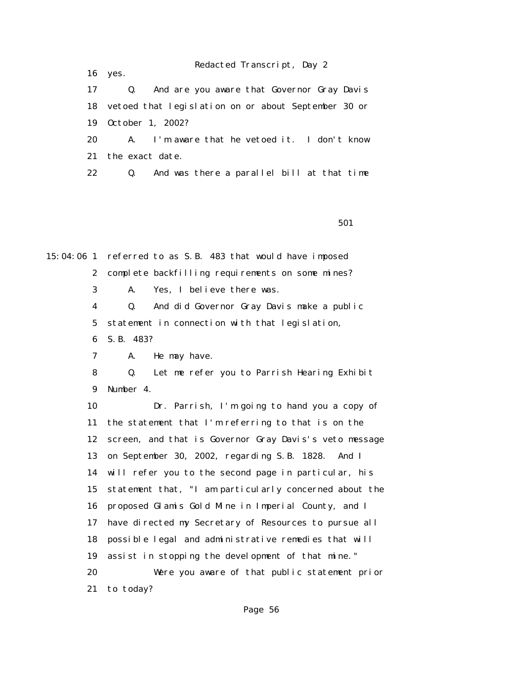16 yes.

 17 Q. And are you aware that Governor Gray Davis 18 vetoed that legislation on or about September 30 or 19 October 1, 2002? 20 A. I'm aware that he vetoed it. I don't know

21 the exact date.

22 Q. And was there a parallel bill at that time

 $501$ 

15:04:06 1 referred to as S.B. 483 that would have imposed 2 complete backfilling requirements on some mines? 3 A. Yes, I believe there was. 4 Q. And did Governor Gray Davis make a public

5 statement in connection with that legislation,

6 S.B. 483?

7 A. He may have.

 8 Q. Let me refer you to Parrish Hearing Exhibit 9 Number 4.

 10 Dr. Parrish, I'm going to hand you a copy of 11 the statement that I'm referring to that is on the 12 screen, and that is Governor Gray Davis's veto message 13 on September 30, 2002, regarding S.B. 1828. And I 14 will refer you to the second page in particular, his 15 statement that, "I am particularly concerned about the 16 proposed Glamis Gold Mine in Imperial County, and I 17 have directed my Secretary of Resources to pursue all 18 possible legal and administrative remedies that will 19 assist in stopping the development of that mine." 20 Were you aware of that public statement prior 21 to today?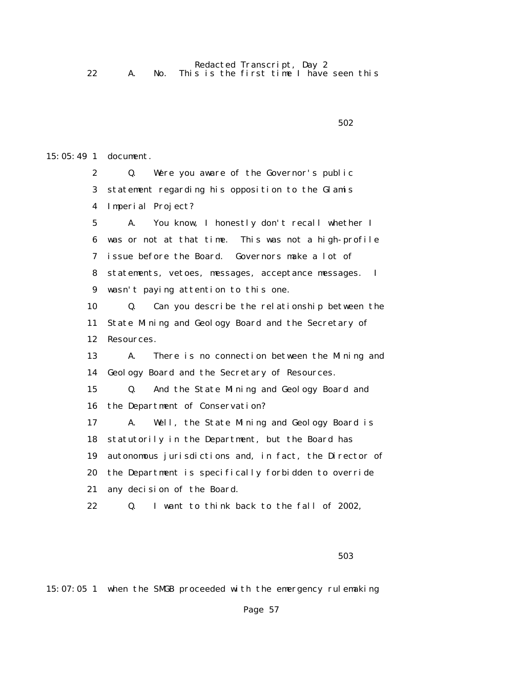Redacted Transcript, Day 2 22 A. No. This is the first time I have seen this

```
502
```
15:05:49 1 document.

 2 Q. Were you aware of the Governor's public 3 statement regarding his opposition to the Glamis 4 Imperial Project? 5 A. You know, I honestly don't recall whether I 6 was or not at that time. This was not a high-profile 7 issue before the Board. Governors make a lot of 8 statements, vetoes, messages, acceptance messages. I 9 wasn't paying attention to this one. 10 Q. Can you describe the relationship between the 11 State Mining and Geology Board and the Secretary of 12 Resources. 13 A. There is no connection between the Mining and 14 Geology Board and the Secretary of Resources. 15 Q. And the State Mining and Geology Board and 16 the Department of Conservation? 17 A. Well, the State Mining and Geology Board is 18 statutorily in the Department, but the Board has 19 autonomous jurisdictions and, in fact, the Director of 20 the Department is specifically forbidden to override 21 any decision of the Board. 22 Q. I want to think back to the fall of 2002,

15:07:05 1 when the SMGB proceeded with the emergency rulemaking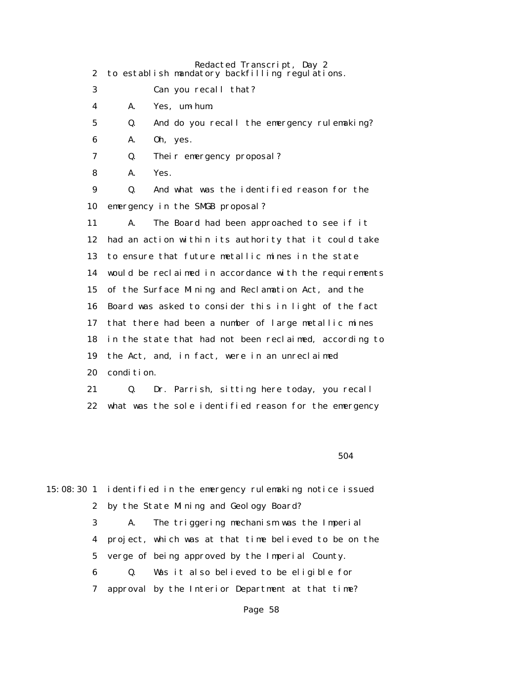|                  | Redacted Transcript, Day 2                                   |
|------------------|--------------------------------------------------------------|
| $\boldsymbol{2}$ | to establish mandatory backfilling regulations.              |
| 3                | Can you recall that?                                         |
| 4                | Yes, um-hum.<br>A.                                           |
| 5                | And do you recall the emergency rulemaking?<br>Q.            |
| 6                | Oh, yes.<br>A.                                               |
| 7                | Q.<br>Their emergency proposal?                              |
| 8                | Yes.<br>A.                                                   |
| 9                | And what was the identified reason for the<br>Q.             |
| 10               | emergency in the SMGB proposal?                              |
| 11               | The Board had been approached to see if it<br>$\mathbf{A}$ . |
| 12               | had an action within its authority that it could take        |
| 13               | to ensure that future metallic mines in the state            |
| 14               | would be reclaimed in accordance with the requirements       |
| 15               | of the Surface Mining and Reclamation Act, and the           |
| 16               | Board was asked to consider this in light of the fact        |
| 17               | that there had been a number of large metallic mines         |
| 18               | in the state that had not been reclaimed, according to       |
| 19               | the Act, and, in fact, were in an unreclaimed                |
| 20               | condition.                                                   |
| 21               | Q.<br>Dr. Parrish, sitting here today, you recall            |
| 22               | what was the sole identified reason for the emergency        |

 $504$ 

|                         |    | 15:08:30 1 identified in the emergency rulemaking notice issued |
|-------------------------|----|-----------------------------------------------------------------|
|                         |    | 2 by the State Mining and Geology Board?                        |
| 3                       | A. | The triggering mechanism was the Imperial                       |
| $\overline{\mathbf{4}}$ |    | project, which was at that time believed to be on the           |
|                         |    | 5 verge of being approved by the Imperial County.               |
| 6                       | Q. | Was it also believed to be eligible for                         |
| 7                       |    | approval by the Interior Department at that time?               |
|                         |    |                                                                 |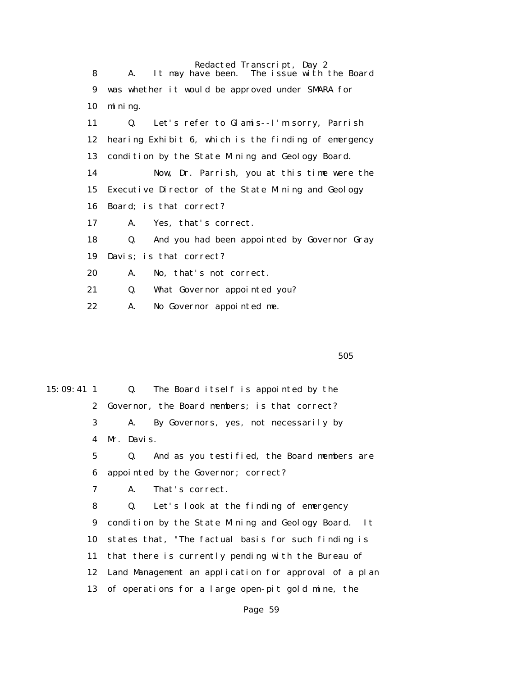Redacted Transcript, Day 2<br>It may have been. The issue with 8 A. It may have been. The issue with the Board 9 was whether it would be approved under SMARA for 10 mining. 11 Q. Let's refer to Glamis--I'm sorry, Parrish 12 hearing Exhibit 6, which is the finding of emergency 13 condition by the State Mining and Geology Board. 14 Now, Dr. Parrish, you at this time were the 15 Executive Director of the State Mining and Geology 16 Board; is that correct? 17 A. Yes, that's correct. 18 Q. And you had been appointed by Governor Gray 19 Davis; is that correct? 20 A. No, that's not correct. 21 Q. What Governor appointed you? 22 A. No Governor appointed me.

 $505$ 

15:09:41 1 Q. The Board itself is appointed by the 2 Governor, the Board members; is that correct? 3 A. By Governors, yes, not necessarily by 4 Mr. Davis. 5 Q. And as you testified, the Board members are 6 appointed by the Governor; correct? 7 A. That's correct. 8 Q. Let's look at the finding of emergency 9 condition by the State Mining and Geology Board. It 10 states that, "The factual basis for such finding is 11 that there is currently pending with the Bureau of 12 Land Management an application for approval of a plan 13 of operations for a large open-pit gold mine, the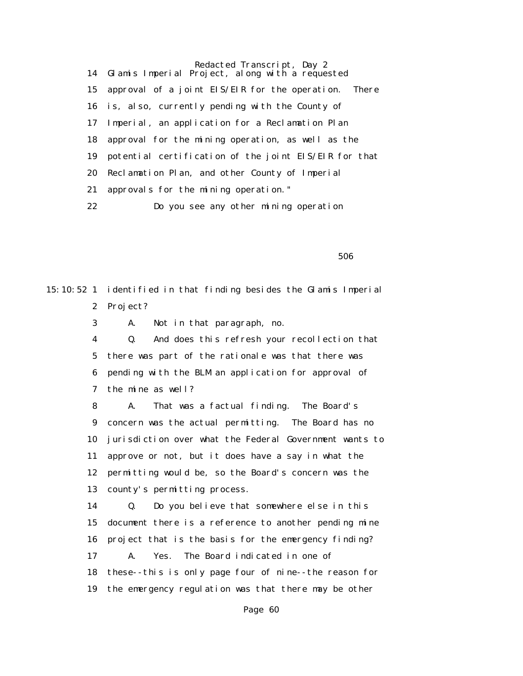Redacted Transcript, Day 2 14 Glamis Imperial Project, along with a requested 15 approval of a joint EIS/EIR for the operation. There 16 is, also, currently pending with the County of 17 Imperial, an application for a Reclamation Plan 18 approval for the mining operation, as well as the 19 potential certification of the joint EIS/EIR for that 20 Reclamation Plan, and other County of Imperial 21 approvals for the mining operation." 22 Do you see any other mining operation

 $506$ 

15:10:52 1 identified in that finding besides the Glamis Imperial 2 Project?

3 A. Not in that paragraph, no.

 4 Q. And does this refresh your recollection that 5 there was part of the rationale was that there was 6 pending with the BLM an application for approval of 7 the mine as well?

 8 A. That was a factual finding. The Board's 9 concern was the actual permitting. The Board has no 10 jurisdiction over what the Federal Government wants to 11 approve or not, but it does have a say in what the 12 permitting would be, so the Board's concern was the 13 county's permitting process.

 14 Q. Do you believe that somewhere else in this 15 document there is a reference to another pending mine 16 project that is the basis for the emergency finding? 17 A. Yes. The Board indicated in one of 18 these--this is only page four of nine--the reason for 19 the emergency regulation was that there may be other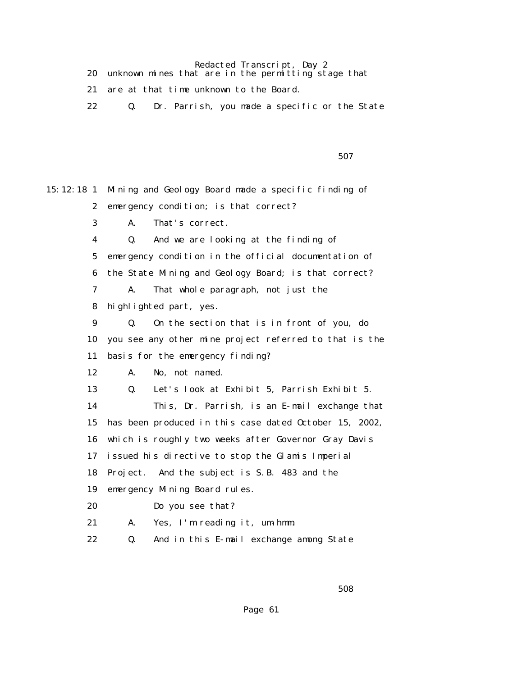Redacted Transcript, Day 2

| unknown mines that are in the permitting stage that |
|-----------------------------------------------------|
| are at that time unknown to the Board.              |
| Dr. Parrish, you made a specific or the State       |

 $507$ 

15:12:18 1 Mining and Geology Board made a specific finding of 2 emergency condition; is that correct? 3 A. That's correct. 4 Q. And we are looking at the finding of 5 emergency condition in the official documentation of 6 the State Mining and Geology Board; is that correct? 7 A. That whole paragraph, not just the 8 highlighted part, yes. 9 Q. On the section that is in front of you, do 10 you see any other mine project referred to that is the 11 basis for the emergency finding? 12 A. No, not named. 13 Q. Let's look at Exhibit 5, Parrish Exhibit 5. 14 This, Dr. Parrish, is an E-mail exchange that 15 has been produced in this case dated October 15, 2002, 16 which is roughly two weeks after Governor Gray Davis 17 issued his directive to stop the Glamis Imperial 18 Project. And the subject is S.B. 483 and the 19 emergency Mining Board rules. 20 Do you see that? 21 A. Yes, I'm reading it, um-hmm. 22 Q. And in this E-mail exchange among State

 $508$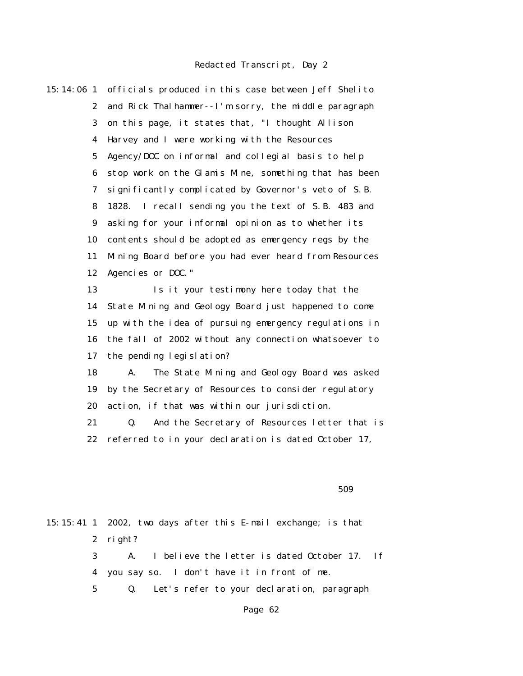15:14:06 1 officials produced in this case between Jeff Shelito 2 and Rick Thalhammer--I'm sorry, the middle paragraph 3 on this page, it states that, "I thought Allison 4 Harvey and I were working with the Resources 5 Agency/DOC on informal and collegial basis to help 6 stop work on the Glamis Mine, something that has been 7 significantly complicated by Governor's veto of S.B. 8 1828. I recall sending you the text of S.B. 483 and 9 asking for your informal opinion as to whether its 10 contents should be adopted as emergency regs by the 11 Mining Board before you had ever heard from Resources 12 Agencies or DOC." 13 Is it your testimony here today that the 14 State Mining and Geology Board just happened to come 15 up with the idea of pursuing emergency regulations in

> 16 the fall of 2002 without any connection whatsoever to 17 the pending legislation?

> 18 A. The State Mining and Geology Board was asked 19 by the Secretary of Resources to consider regulatory 20 action, if that was within our jurisdiction.

 21 Q. And the Secretary of Resources letter that is 22 referred to in your declaration is dated October 17,

 $509$ 

15:15:41 1 2002, two days after this E-mail exchange; is that 2 right? 3 A. I believe the letter is dated October 17. If 4 you say so. I don't have it in front of me. 5 Q. Let's refer to your declaration, paragraph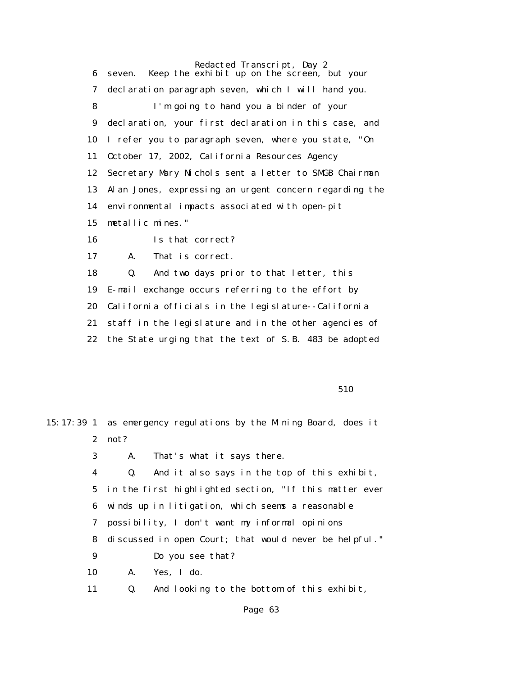Redacted Transcript, Day 2 6 seven. Keep the exhibit up on the screen, but your 7 declaration paragraph seven, which I will hand you. 8 I'm going to hand you a binder of your 9 declaration, your first declaration in this case, and 10 I refer you to paragraph seven, where you state, "On 11 October 17, 2002, California Resources Agency 12 Secretary Mary Nichols sent a letter to SMGB Chairman 13 Alan Jones, expressing an urgent concern regarding the 14 environmental impacts associated with open-pit 15 metallic mines." 16 Is that correct? 17 A. That is correct. 18 Q. And two days prior to that letter, this 19 E-mail exchange occurs referring to the effort by 20 California officials in the legislature--California 21 staff in the legislature and in the other agencies of

22 the State urging that the text of S.B. 483 be adopted

<u>510</u>

|             |      | 15:17:39 1 as emergency regulations by the Mining Board, does it |
|-------------|------|------------------------------------------------------------------|
| $2^{\circ}$ | not? |                                                                  |
| 3           | A.   | That's what it says there.                                       |
| 4           | Q.   | And it also says in the top of this exhibit,                     |
|             |      | 5 in the first highlighted section, "If this matter ever         |
|             |      | 6 winds up in litigation, which seems a reasonable               |
| 7           |      | possibility, I don't want my informal opinions                   |
| 8           |      | discussed in open Court; that would never be helpful."           |
| 9           |      | Do you see that?                                                 |
| 10          |      | A. Yes, I do.                                                    |
| 11          | Q.   | And looking to the bottom of this exhibit,                       |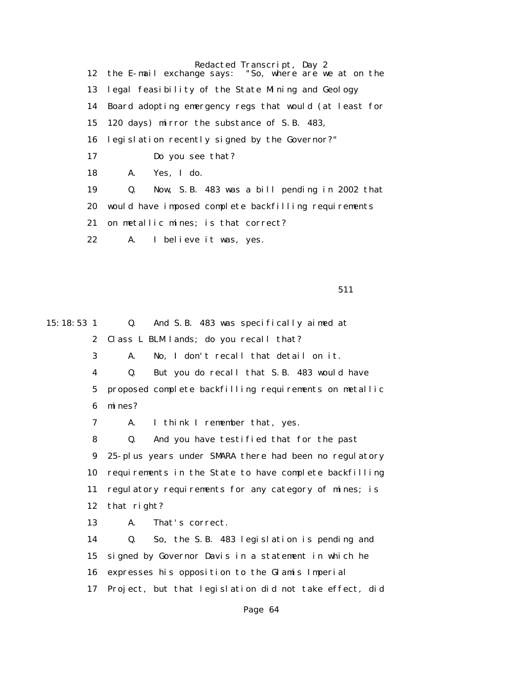Redacted Transcript, Day 2<br>ge says: "So, where are we at on the 12 the E-mail exchange says: 13 legal feasibility of the State Mining and Geology 14 Board adopting emergency regs that would (at least for 15 120 days) mirror the substance of S.B. 483, 16 legislation recently signed by the Governor?" 17 Do you see that? 18 A. Yes, I do. 19 Q. Now, S.B. 483 was a bill pending in 2002 that 20 would have imposed complete backfilling requirements 21 on metallic mines; is that correct? 22 A. I believe it was, yes.

511

15:18:53 1 Q. And S.B. 483 was specifically aimed at 2 Class L BLM lands; do you recall that? 3 A. No, I don't recall that detail on it. 4 Q. But you do recall that S.B. 483 would have 5 proposed complete backfilling requirements on metallic 6 mines? 7 A. I think I remember that, yes. 8 Q. And you have testified that for the past 9 25-plus years under SMARA there had been no regulatory 10 requirements in the State to have complete backfilling 11 regulatory requirements for any category of mines; is 12 that right? 13 A. That's correct. 14 Q. So, the S.B. 483 legislation is pending and 15 signed by Governor Davis in a statement in which he 16 expresses his opposition to the Glamis Imperial 17 Project, but that legislation did not take effect, did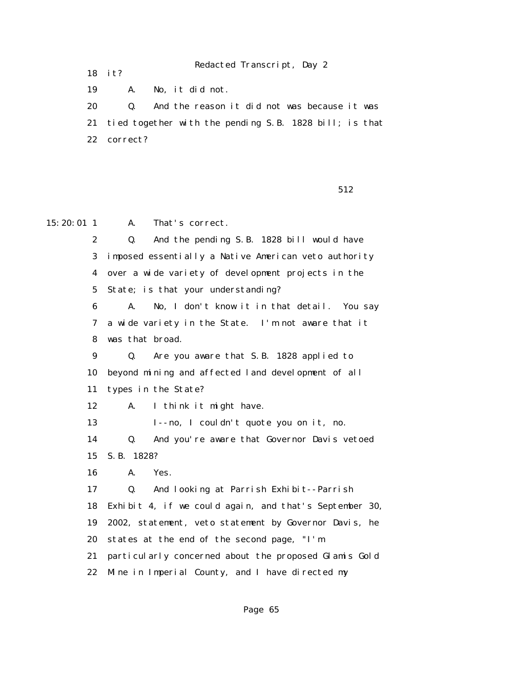Redacted Transcript, Day 2

18 it?

19 A. No, it did not.

 20 Q. And the reason it did not was because it was 21 tied together with the pending S.B. 1828 bill; is that 22 correct?

 $512$ 

15:20:01 1 A. That's correct.

 2 Q. And the pending S.B. 1828 bill would have 3 imposed essentially a Native American veto authority 4 over a wide variety of development projects in the 5 State; is that your understanding? 6 A. No, I don't know it in that detail. You say 7 a wide variety in the State. I'm not aware that it 8 was that broad. 9 Q. Are you aware that S.B. 1828 applied to 10 beyond mining and affected land development of all 11 types in the State?

12 A. I think it might have.

13 I--no, I couldn't quote you on it, no.

 14 Q. And you're aware that Governor Davis vetoed 15 S.B. 1828?

 16 A. Yes. 17 Q. And looking at Parrish Exhibit--Parrish 18 Exhibit 4, if we could again, and that's September 30, 19 2002, statement, veto statement by Governor Davis, he 20 states at the end of the second page, "I'm 21 particularly concerned about the proposed Glamis Gold 22 Mine in Imperial County, and I have directed my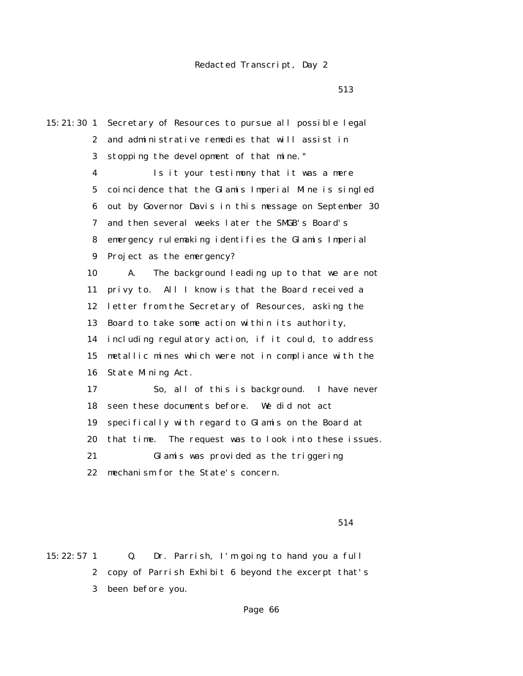$513$ 

15:21:30 1 Secretary of Resources to pursue all possible legal 2 and administrative remedies that will assist in 3 stopping the development of that mine." 4 Is it your testimony that it was a mere 5 coincidence that the Glamis Imperial Mine is singled 6 out by Governor Davis in this message on September 30 7 and then several weeks later the SMGB's Board's 8 emergency rulemaking identifies the Glamis Imperial 9 Project as the emergency? 10 A. The background leading up to that we are not 11 privy to. All I know is that the Board received a 12 letter from the Secretary of Resources, asking the 13 Board to take some action within its authority, 14 including regulatory action, if it could, to address 15 metallic mines which were not in compliance with the 16 State Mining Act. 17 So, all of this is background. I have never 18 seen these documents before. We did not act 19 specifically with regard to Glamis on the Board at 20 that time. The request was to look into these issues. 21 Glamis was provided as the triggering 22 mechanism for the State's concern.

514

15:22:57 1 Q. Dr. Parrish, I'm going to hand you a full 2 copy of Parrish Exhibit 6 beyond the excerpt that's 3 been before you.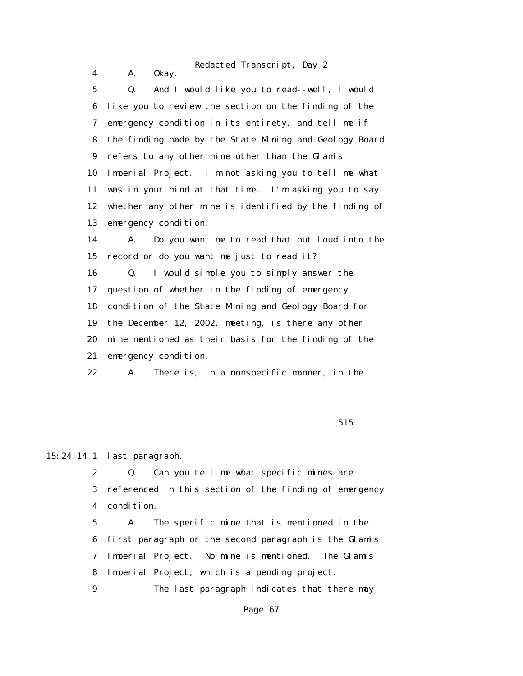|                  | Redacted Transcript, Day 2                             |
|------------------|--------------------------------------------------------|
| 4                | 0kay.<br>A.                                            |
| $5\phantom{.0}$  | And I would like you to read--well, I would<br>Q.      |
| 6                | like you to review the section on the finding of the   |
| 7                | emergency condition in its entirety, and tell me if    |
| 8                | the finding made by the State Mining and Geology Board |
| $\boldsymbol{9}$ | refers to any other mine other than the Glamis         |
| 10               | Imperial Project. I'm not asking you to tell me what   |
| 11               | was in your mind at that time. I'm asking you to say   |
| 12               | whether any other mine is identified by the finding of |
| 13               | emergency condition.                                   |
| 14               | Do you want me to read that out loud into the<br>A.    |
| 15               | record or do you want me just to read it?              |
| 16               | I would simple you to simply answer the<br>Q.          |
| 17               | question of whether in the finding of emergency        |
| 18               | condition of the State Mining and Geology Board for    |
| 19               | the December 12, 2002, meeting, is there any other     |
| 20               | mine mentioned as their basis for the finding of the   |
| 21               | emergency condition.                                   |
| 22               | There is, in a nonspecific manner, in the<br>A.        |

 $515$ 

## 15:24:14 1 last paragraph.

 2 Q. Can you tell me what specific mines are 3 referenced in this section of the finding of emergency 4 condition.

 5 A. The specific mine that is mentioned in the 6 first paragraph or the second paragraph is the Glamis 7 Imperial Project. No mine is mentioned. The Glamis 8 Imperial Project, which is a pending project. 9 The last paragraph indicates that there may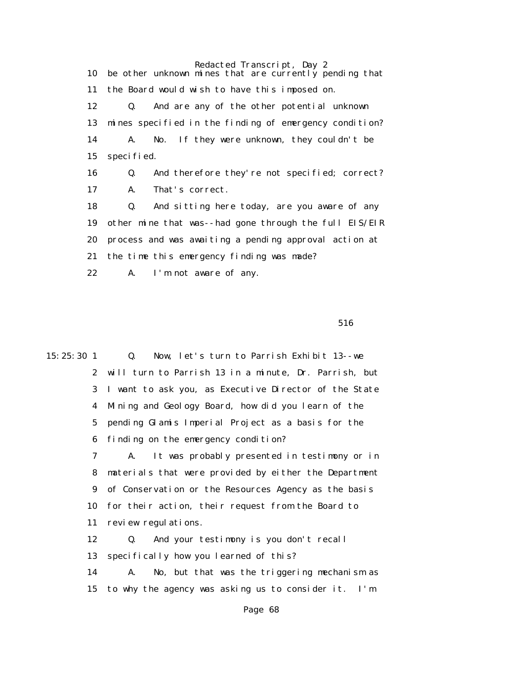Redacted Transcript, Day 2 10 be other unknown mines that are currently pending that 11 the Board would wish to have this imposed on. 12 Q. And are any of the other potential unknown 13 mines specified in the finding of emergency condition? 14 A. No. If they were unknown, they couldn't be 15 specified. 16 Q. And therefore they're not specified; correct? 17 A. That's correct.

 18 Q. And sitting here today, are you aware of any 19 other mine that was--had gone through the full EIS/EIR 20 process and was awaiting a pending approval action at 21 the time this emergency finding was made? 22 A. I'm not aware of any.

 $516$ 

15:25:30 1 Q. Now, let's turn to Parrish Exhibit 13--we 2 will turn to Parrish 13 in a minute, Dr. Parrish, but 3 I want to ask you, as Executive Director of the State 4 Mining and Geology Board, how did you learn of the 5 pending Glamis Imperial Project as a basis for the 6 finding on the emergency condition? 7 A. It was probably presented in testimony or in 8 materials that were provided by either the Department 9 of Conservation or the Resources Agency as the basis 10 for their action, their request from the Board to 11 review regulations. 12 Q. And your testimony is you don't recall 13 specifically how you learned of this? 14 A. No, but that was the triggering mechanism as 15 to why the agency was asking us to consider it. I'm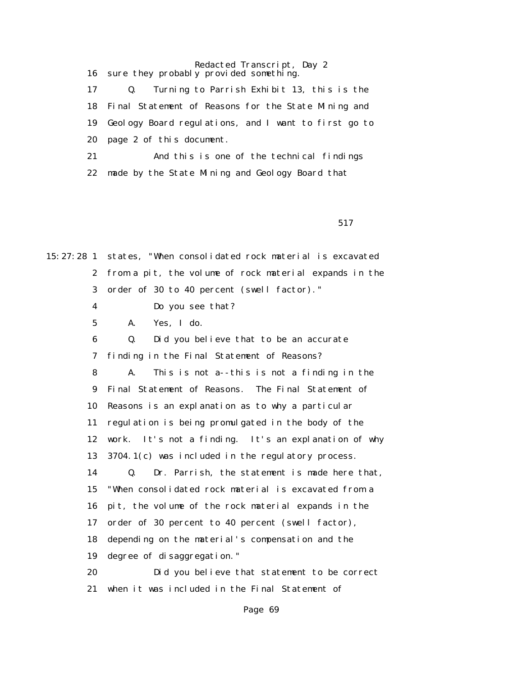Redacted Transcript, Day 2 16 sure they probably provided something. 17 Q. Turning to Parrish Exhibit 13, this is the 18 Final Statement of Reasons for the State Mining and 19 Geology Board regulations, and I want to first go to 20 page 2 of this document. 21 And this is one of the technical findings 22 made by the State Mining and Geology Board that

517

15:27:28 1 states, "When consolidated rock material is excavated 2 from a pit, the volume of rock material expands in the 3 order of 30 to 40 percent (swell factor)."

- 4 Do you see that?
- 5 A. Yes, I do.

 6 Q. Did you believe that to be an accurate 7 finding in the Final Statement of Reasons? 8 A. This is not a--this is not a finding in the

 9 Final Statement of Reasons. The Final Statement of 10 Reasons is an explanation as to why a particular 11 regulation is being promulgated in the body of the

12 work. It's not a finding. It's an explanation of why

13 3704.1(c) was included in the regulatory process.

 14 Q. Dr. Parrish, the statement is made here that, 15 "When consolidated rock material is excavated from a 16 pit, the volume of the rock material expands in the 17 order of 30 percent to 40 percent (swell factor), 18 depending on the material's compensation and the 19 degree of disaggregation."

 20 Did you believe that statement to be correct 21 when it was included in the Final Statement of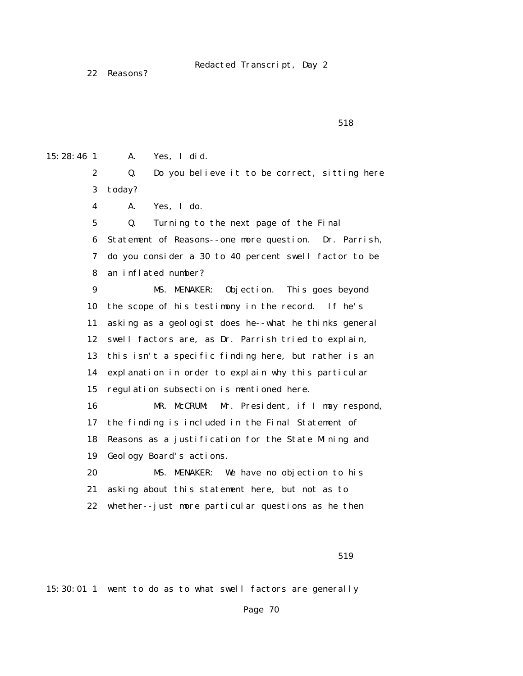22 Reasons?

 $518$ 

15:28:46 1 A. Yes, I did.

 2 Q. Do you believe it to be correct, sitting here 3 today?

4 A. Yes, I do.

 5 Q. Turning to the next page of the Final 6 Statement of Reasons--one more question. Dr. Parrish, 7 do you consider a 30 to 40 percent swell factor to be 8 an inflated number?

 9 MS. MENAKER: Objection. This goes beyond 10 the scope of his testimony in the record. If he's 11 asking as a geologist does he--what he thinks general 12 swell factors are, as Dr. Parrish tried to explain, 13 this isn't a specific finding here, but rather is an 14 explanation in order to explain why this particular 15 regulation subsection is mentioned here. 16 MR. McCRUM: Mr. President, if I may respond, 17 the finding is included in the Final Statement of 18 Reasons as a justification for the State Mining and

19 Geology Board's actions.

 20 MS. MENAKER: We have no objection to his 21 asking about this statement here, but not as to 22 whether--just more particular questions as he then

519

15:30:01 1 went to do as to what swell factors are generally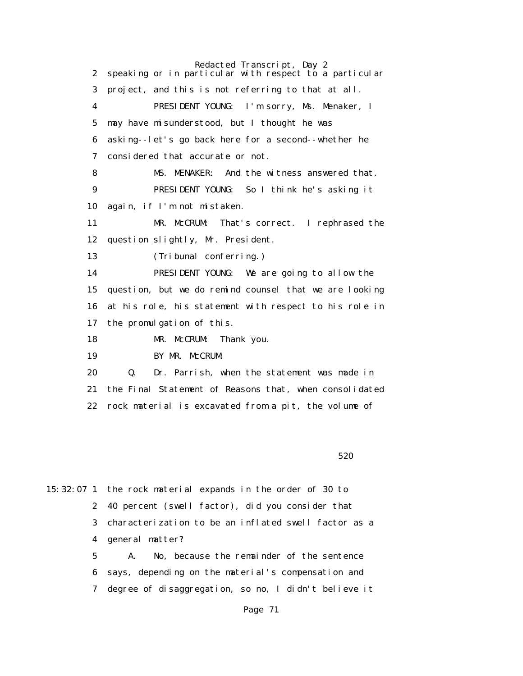Redacted Transcript, Day 2 2 speaking or in particular with respect to a particular 3 project, and this is not referring to that at all. 4 PRESIDENT YOUNG: I'm sorry, Ms. Menaker, I 5 may have misunderstood, but I thought he was 6 asking--let's go back here for a second--whether he 7 considered that accurate or not. 8 MS. MENAKER: And the witness answered that. 9 PRESIDENT YOUNG: So I think he's asking it 10 again, if I'm not mistaken. 11 MR. McCRUM: That's correct. I rephrased the 12 question slightly, Mr. President. 13 (Tribunal conferring.) 14 PRESIDENT YOUNG: We are going to allow the 15 question, but we do remind counsel that we are looking 16 at his role, his statement with respect to his role in 17 the promulgation of this. 18 MR. McCRUM: Thank you. 19 BY MR. McCRUM: 20 Q. Dr. Parrish, when the statement was made in 21 the Final Statement of Reasons that, when consolidated 22 rock material is excavated from a pit, the volume of

 $520$ 

15:32:07 1 the rock material expands in the order of 30 to 2 40 percent (swell factor), did you consider that 3 characterization to be an inflated swell factor as a 4 general matter?

> 5 A. No, because the remainder of the sentence 6 says, depending on the material's compensation and 7 degree of disaggregation, so no, I didn't believe it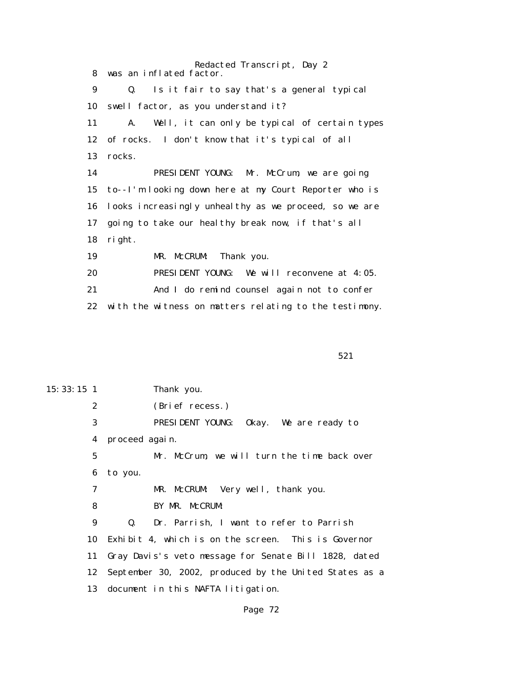Redacted Transcript, Day 2 8 was an inflated factor. 9 Q. Is it fair to say that's a general typical 10 swell factor, as you understand it? 11 A. Well, it can only be typical of certain types 12 of rocks. I don't know that it's typical of all 13 rocks. 14 PRESIDENT YOUNG: Mr. McCrum, we are going 15 to--I'm looking down here at my Court Reporter who is 16 looks increasingly unhealthy as we proceed, so we are 17 going to take our healthy break now, if that's all 18 right. 19 MR. McCRUM: Thank you. 20 PRESIDENT YOUNG: We will reconvene at 4:05. 21 And I do remind counsel again not to confer

22 with the witness on matters relating to the testimony.

 $521$ 

15:33:15 1 Thank you. 2 (Brief recess.) 3 PRESIDENT YOUNG: Okay. We are ready to 4 proceed again. 5 Mr. McCrum, we will turn the time back over 6 to you. 7 MR. McCRUM: Very well, thank you. 8 BY MR. McCRUM: 9 Q. Dr. Parrish, I want to refer to Parrish 10 Exhibit 4, which is on the screen. This is Governor 11 Gray Davis's veto message for Senate Bill 1828, dated 12 September 30, 2002, produced by the United States as a 13 document in this NAFTA litigation.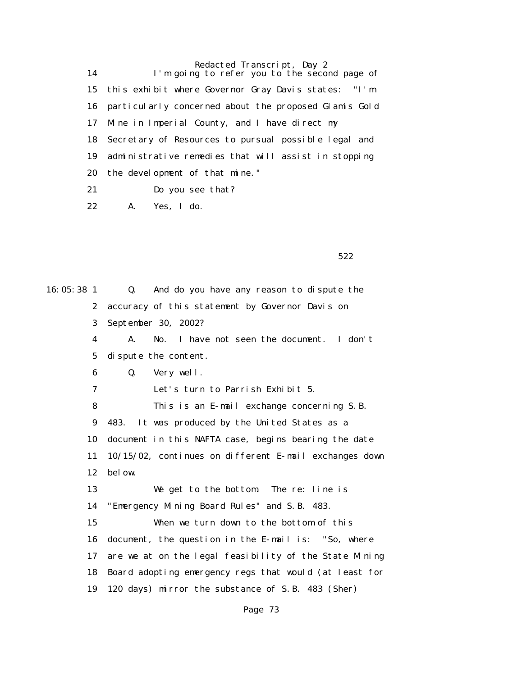Redacted Transcript, Day 2 14 I'm going to refer you to the second page of 15 this exhibit where Governor Gray Davis states: "I'm 16 particularly concerned about the proposed Glamis Gold 17 Mine in Imperial County, and I have direct my 18 Secretary of Resources to pursual possible legal and 19 administrative remedies that will assist in stopping 20 the development of that mine." 21 Do you see that?

22 A. Yes, I do.

 $522$ 

16:05:38 1 Q. And do you have any reason to dispute the 2 accuracy of this statement by Governor Davis on 3 September 30, 2002? 4 A. No. I have not seen the document. I don't 5 dispute the content. 6 Q. Very well. 7 Let's turn to Parrish Exhibit 5. 8 This is an E-mail exchange concerning S.B. 9 483. It was produced by the United States as a 10 document in this NAFTA case, begins bearing the date 11 10/15/02, continues on different E-mail exchanges down 12 below. 13 We get to the bottom. The re: line is 14 "Emergency Mining Board Rules" and S.B. 483. 15 When we turn down to the bottom of this 16 document, the question in the E-mail is: "So, where 17 are we at on the legal feasibility of the State Mining 18 Board adopting emergency regs that would (at least for 19 120 days) mirror the substance of S.B. 483 (Sher)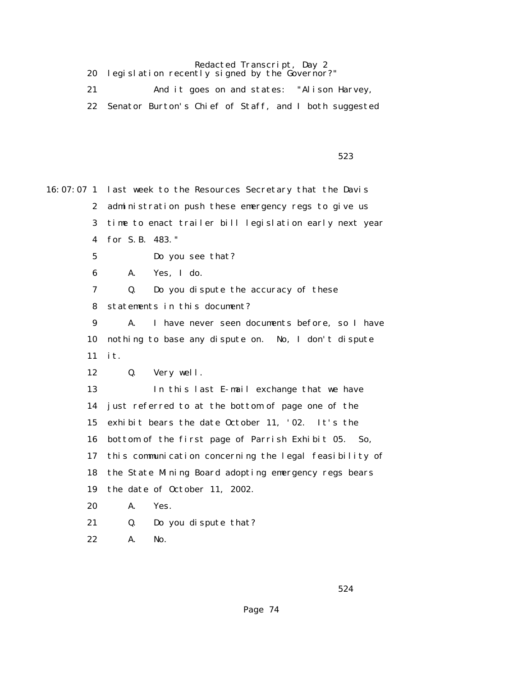20 legislation recently signed by the Governor?"

|                                                          | And it goes on and states: "Alison Harvey, |  |
|----------------------------------------------------------|--------------------------------------------|--|
| 22 Senator Burton's Chief of Staff, and I both suggested |                                            |  |

 $523$ 

16:07:07 1 last week to the Resources Secretary that the Davis 2 administration push these emergency regs to give us 3 time to enact trailer bill legislation early next year 4 for S.B. 483." 5 Do you see that? 6 A. Yes, I do. 7 Q. Do you dispute the accuracy of these 8 statements in this document? 9 A. I have never seen documents before, so I have 10 nothing to base any dispute on. No, I don't dispute 11 it. 12 Q. Very well. 13 In this last E-mail exchange that we have 14 just referred to at the bottom of page one of the 15 exhibit bears the date October 11, '02. It's the 16 bottom of the first page of Parrish Exhibit 05. So, 17 this communication concerning the legal feasibility of 18 the State Mining Board adopting emergency regs bears 19 the date of October 11, 2002. 20 A. Yes. 21 Q. Do you dispute that?

22 A. No.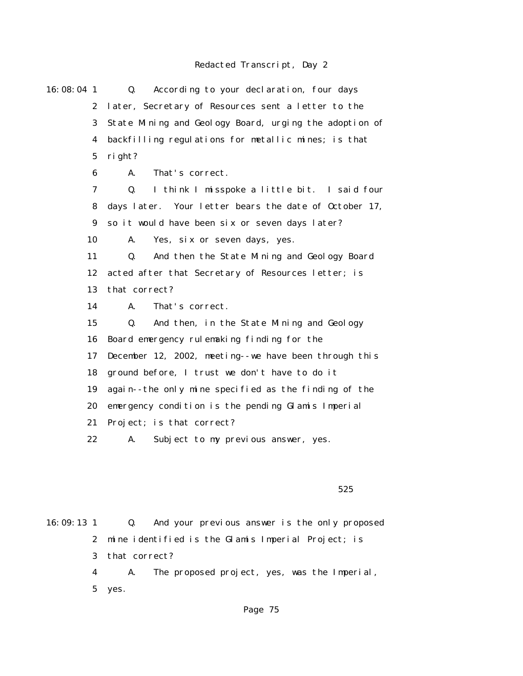| 16:08:04 1       | According to your declaration, four days<br>Q.         |
|------------------|--------------------------------------------------------|
| $\boldsymbol{2}$ | later, Secretary of Resources sent a letter to the     |
| 3                | State Mining and Geology Board, urging the adoption of |
| 4                | backfilling regulations for metallic mines; is that    |
| $\mathbf 5$      | right?                                                 |
| 6                | A.<br>That's correct.                                  |
| 7                | I think I misspoke a little bit. I said four<br>Q.     |
| 8                | days later. Your letter bears the date of October 17,  |
| 9                | so it would have been six or seven days later?         |
| 10               | A.<br>Yes, six or seven days, yes.                     |
| 11               | Q.<br>And then the State Mining and Geology Board      |
| 12               | acted after that Secretary of Resources letter; is     |
| 13               | that correct?                                          |
| 14               | A.<br>That's correct.                                  |
| 15               | And then, in the State Mining and Geology<br>Q.        |
| 16               | Board emergency rulemaking finding for the             |
| 17               | December 12, 2002, meeting--we have been through this  |
| 18               | ground before, I trust we don't have to do it          |
| 19               | again--the only mine specified as the finding of the   |
| 20               | emergency condition is the pending Glamis Imperial     |
| 21               | Project; is that correct?                              |
| 22               | Subject to my previous answer, yes.<br>A.              |
|                  |                                                        |
|                  |                                                        |
|                  | 525                                                    |

16:09:13 1 Q. And your previous answer is the only proposed 2 mine identified is the Glamis Imperial Project; is 3 that correct? 4 A. The proposed project, yes, was the Imperial, 5 yes.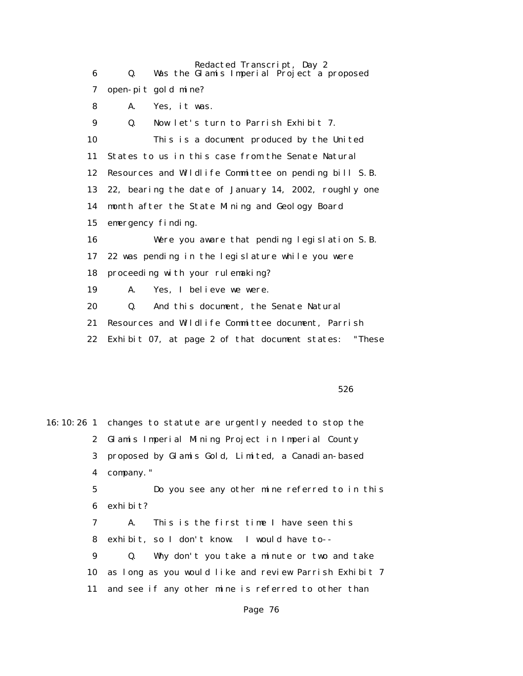| 6  | Redacted Transcript, Day 2<br>Was the Glamis Imperial Project a proposed<br>Q. |
|----|--------------------------------------------------------------------------------|
| 7  | open-pit gold mine?                                                            |
|    |                                                                                |
| 8  | Yes, it was.<br>A.                                                             |
| 9  | Q.<br>Now let's turn to Parrish Exhibit 7.                                     |
| 10 | This is a document produced by the United                                      |
| 11 | States to us in this case from the Senate Natural                              |
| 12 | Resources and Wildlife Committee on pending bill S.B.                          |
| 13 | 22, bearing the date of January 14, 2002, roughly one                          |
| 14 | month after the State Mining and Geology Board                                 |
| 15 | emergency finding.                                                             |
| 16 | Were you aware that pending legislation S.B.                                   |
| 17 | 22 was pending in the legislature while you were                               |
| 18 | proceeding with your rulemaking?                                               |
| 19 | A.<br>Yes, I believe we were.                                                  |
| 20 | Q.<br>And this document, the Senate Natural                                    |
| 21 | Resources and Wildlife Committee document, Parrish                             |
| 22 | "These<br>Exhibit 07, at page 2 of that document states:                       |
|    |                                                                                |

 $526$ 

16:10:26 1 changes to statute are urgently needed to stop the 2 Glamis Imperial Mining Project in Imperial County 3 proposed by Glamis Gold, Limited, a Canadian-based 4 company." 5 Do you see any other mine referred to in this 6 exhibit? 7 A. This is the first time I have seen this 8 exhibit, so I don't know. I would have to-- 9 Q. Why don't you take a minute or two and take 10 as long as you would like and review Parrish Exhibit 7 11 and see if any other mine is referred to other than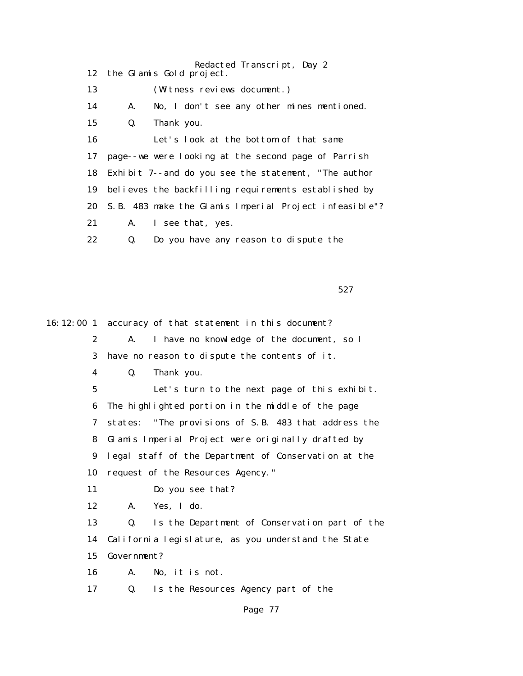|    | Redacted Transcript, Day 2<br>12 the Glamis Gold project. |
|----|-----------------------------------------------------------|
| 13 | (Witness reviews document.)                               |
| 14 | No, I don't see any other mines mentioned.<br>A.          |
| 15 | Thank you.<br>Q.                                          |
| 16 | Let's look at the bottom of that same                     |
| 17 | page--we were looking at the second page of Parrish       |
| 18 | Exhibit 7--and do you see the statement, "The author      |
| 19 | believes the backfilling requirements established by      |
| 20 | S.B. 483 make the Glamis Imperial Project infeasible"?    |
| 21 | A. I see that, yes.                                       |
| 22 | Do you have any reason to dispute the<br>Q.               |

 $527$ 

16:12:00 1 accuracy of that statement in this document? 2 A. I have no knowledge of the document, so I 3 have no reason to dispute the contents of it. 4 Q. Thank you. 5 Let's turn to the next page of this exhibit. 6 The highlighted portion in the middle of the page 7 states: "The provisions of S.B. 483 that address the 8 Glamis Imperial Project were originally drafted by 9 legal staff of the Department of Conservation at the 10 request of the Resources Agency." 11 Do you see that? 12 A. Yes, I do. 13 Q. Is the Department of Conservation part of the 14 California legislature, as you understand the State 15 Government? 16 A. No, it is not. 17 Q. Is the Resources Agency part of the Page 77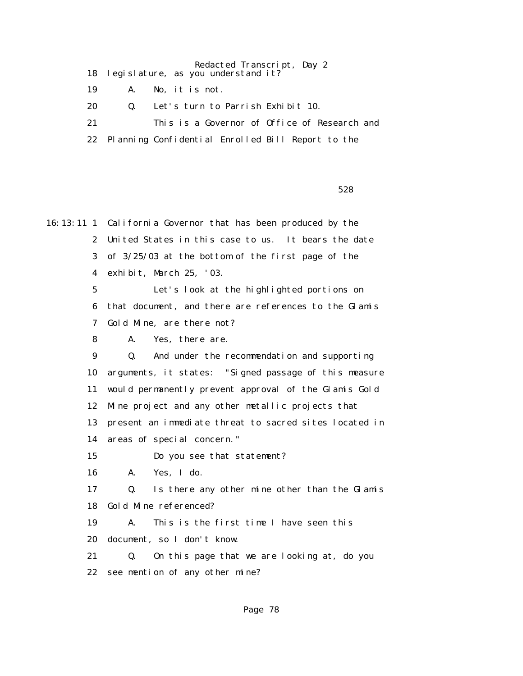Redacted Transcript, Day 2 18 legislature, as you understand it? 19 A. No, it is not. 20 Q. Let's turn to Parrish Exhibit 10. 21 This is a Governor of Office of Research and 22 Planning Confidential Enrolled Bill Report to the

 $528$ 

16:13:11 1 California Governor that has been produced by the 2 United States in this case to us. It bears the date 3 of 3/25/03 at the bottom of the first page of the 4 exhibit, March 25, '03. 5 Let's look at the highlighted portions on 6 that document, and there are references to the Glamis 7 Gold Mine, are there not? 8 A. Yes, there are. 9 Q. And under the recommendation and supporting 10 arguments, it states: "Signed passage of this measure 11 would permanently prevent approval of the Glamis Gold 12 Mine project and any other metallic projects that 13 present an immediate threat to sacred sites located in 14 areas of special concern." 15 Do you see that statement? 16 A. Yes, I do. 17 Q. Is there any other mine other than the Glamis 18 Gold Mine referenced? 19 A. This is the first time I have seen this 20 document, so I don't know. 21 Q. On this page that we are looking at, do you 22 see mention of any other mine?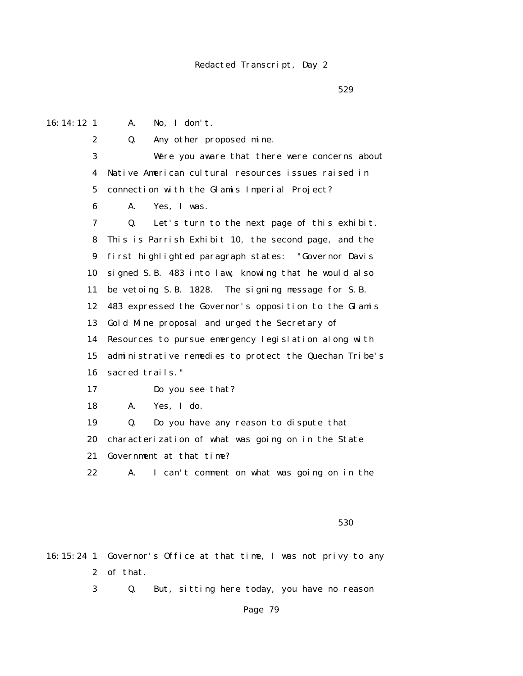$529$ 

16:14:12 1 A. No, I don't.

2 Q. Any other proposed mine.

 3 Were you aware that there were concerns about 4 Native American cultural resources issues raised in 5 connection with the Glamis Imperial Project?

6 A. Yes, I was.

 7 Q. Let's turn to the next page of this exhibit. 8 This is Parrish Exhibit 10, the second page, and the 9 first highlighted paragraph states: "Governor Davis 10 signed S.B. 483 into law, knowing that he would also 11 be vetoing S.B. 1828. The signing message for S.B. 12 483 expressed the Governor's opposition to the Glamis 13 Gold Mine proposal and urged the Secretary of 14 Resources to pursue emergency legislation along with 15 administrative remedies to protect the Quechan Tribe's 16 sacred trails."

17 Do you see that?

18 A. Yes, I do.

 19 Q. Do you have any reason to dispute that 20 characterization of what was going on in the State 21 Government at that time?

22 A. I can't comment on what was going on in the

 $530$ 

16:15:24 1 Governor's Office at that time, I was not privy to any 2 of that.

3 Q. But, sitting here today, you have no reason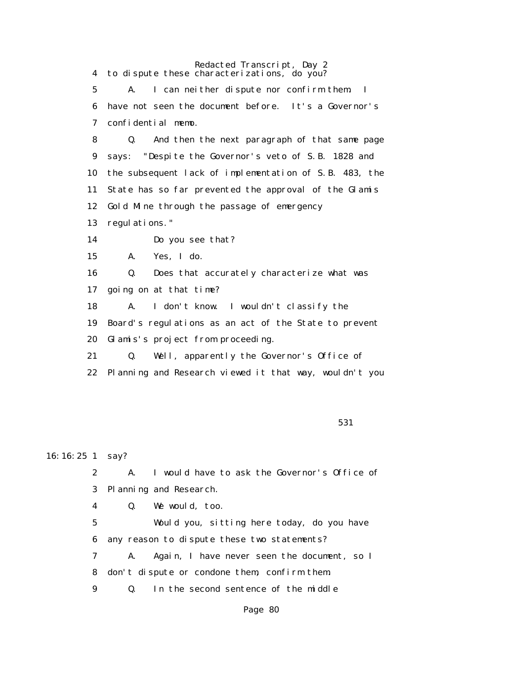Redacted Transcript, Day 2 4 to dispute these characterizations, do you? 5 A. I can neither dispute nor confirm them. I 6 have not seen the document before. It's a Governor's 7 confidential memo. 8 Q. And then the next paragraph of that same page 9 says: "Despite the Governor's veto of S.B. 1828 and 10 the subsequent lack of implementation of S.B. 483, the 11 State has so far prevented the approval of the Glamis 12 Gold Mine through the passage of emergency 13 regulations." 14 Do you see that? 15 A. Yes, I do. 16 Q. Does that accurately characterize what was 17 going on at that time? 18 A. I don't know. I wouldn't classify the 19 Board's regulations as an act of the State to prevent 20 Glamis's project from proceeding. 21 Q. Well, apparently the Governor's Office of 22 Planning and Research viewed it that way, wouldn't you

 $531$ 

16:16:25 1 say?

 2 A. I would have to ask the Governor's Office of 3 Planning and Research.

4 Q. We would, too.

 5 Would you, sitting here today, do you have 6 any reason to dispute these two statements?

 7 A. Again, I have never seen the document, so I 8 don't dispute or condone them, confirm them.

9 Q. In the second sentence of the middle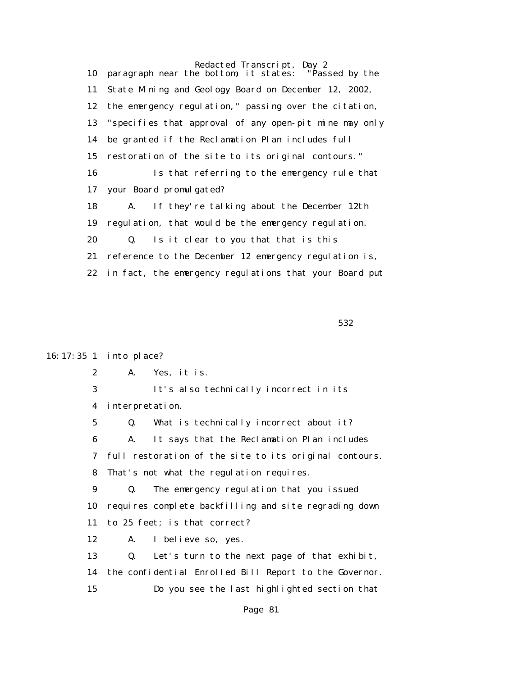Redacted Transcript, Day 2<br>e bottom, it states: "Passed by the 10 paragraph near the bottom, it states: 11 State Mining and Geology Board on December 12, 2002, 12 the emergency regulation," passing over the citation, 13 "specifies that approval of any open-pit mine may only 14 be granted if the Reclamation Plan includes full 15 restoration of the site to its original contours." 16 Is that referring to the emergency rule that 17 your Board promulgated? 18 A. If they're talking about the December 12th 19 regulation, that would be the emergency regulation. 20 Q. Is it clear to you that that is this 21 reference to the December 12 emergency regulation is, 22 in fact, the emergency regulations that your Board put

 $532$ 

### 16:17:35 1 into place?

2 A. Yes, it is.

 3 It's also technically incorrect in its 4 interpretation.

 5 Q. What is technically incorrect about it? 6 A. It says that the Reclamation Plan includes 7 full restoration of the site to its original contours. 8 That's not what the regulation requires. 9 Q. The emergency regulation that you issued 10 requires complete backfilling and site regrading down

11 to 25 feet; is that correct?

12 A. I believe so, yes.

 13 Q. Let's turn to the next page of that exhibit, 14 the confidential Enrolled Bill Report to the Governor. 15 Do you see the last highlighted section that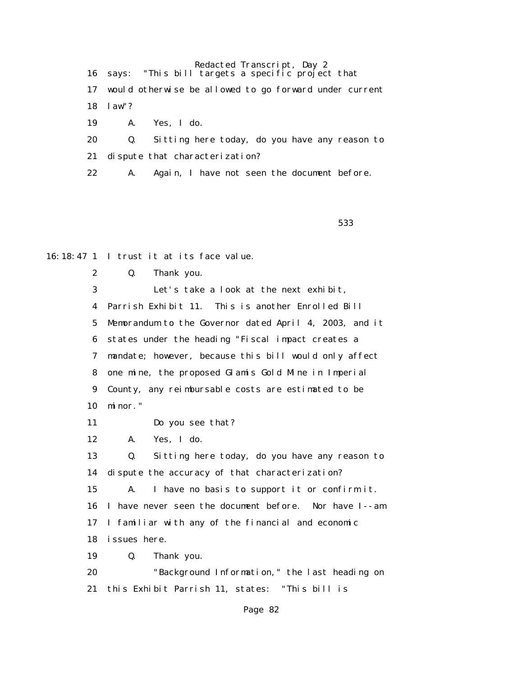Redacted Transcript, Day 2 16 says: "This bill targets a specific project that 17 would otherwise be allowed to go forward under current 18 law"? 19 A. Yes, I do. 20 Q. Sitting here today, do you have any reason to 21 dispute that characterization?

22 A. Again, I have not seen the document before.

 $533$ 

16:18:47 1 I trust it at its face value.

2 Q. Thank you.

 3 Let's take a look at the next exhibit, 4 Parrish Exhibit 11. This is another Enrolled Bill 5 Memorandum to the Governor dated April 4, 2003, and it 6 states under the heading "Fiscal impact creates a 7 mandate; however, because this bill would only affect 8 one mine, the proposed Glamis Gold Mine in Imperial 9 County, any reimbursable costs are estimated to be 10 minor."

11 Do you see that?

12 A. Yes, I do.

 13 Q. Sitting here today, do you have any reason to 14 dispute the accuracy of that characterization? 15 A. I have no basis to support it or confirm it. 16 I have never seen the document before. Nor have I--am

17 I familiar with any of the financial and economic

18 issues here.

19 Q. Thank you.

 20 "Background Information," the last heading on 21 this Exhibit Parrish 11, states: "This bill is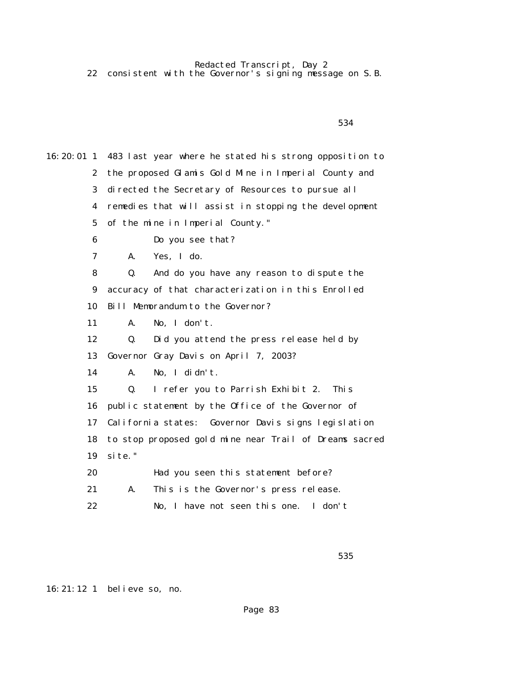22 consistent with the Governor's signing message on S.B.

16:20:01 1 483 last year where he stated his strong opposition to 2 the proposed Glamis Gold Mine in Imperial County and 3 directed the Secretary of Resources to pursue all 4 remedies that will assist in stopping the development 5 of the mine in Imperial County." 6 Do you see that? 7 A. Yes, I do. 8 Q. And do you have any reason to dispute the 9 accuracy of that characterization in this Enrolled 10 Bill Memorandum to the Governor? 11 A. No, I don't. 12 Q. Did you attend the press release held by 13 Governor Gray Davis on April 7, 2003? 14 A. No, I didn't. 15 Q. I refer you to Parrish Exhibit 2. This 16 public statement by the Office of the Governor of 17 California states: Governor Davis signs legislation 18 to stop proposed gold mine near Trail of Dreams sacred 19 site." 20 Had you seen this statement before? 21 A. This is the Governor's press release. 22 No, I have not seen this one. I don't

 $535$ 

16:21:12 1 believe so, no.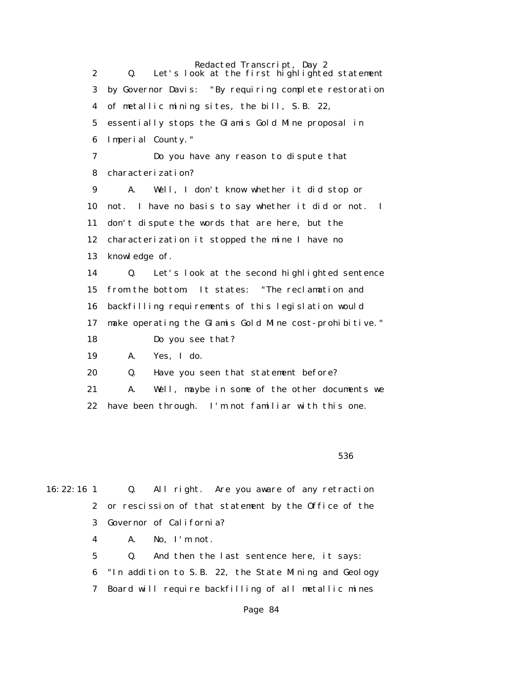Redacted Transcript, Day 2 2 Q. Let's look at the first highlighted statement 3 by Governor Davis: "By requiring complete restoration 4 of metallic mining sites, the bill, S.B. 22, 5 essentially stops the Glamis Gold Mine proposal in 6 Imperial County." 7 Do you have any reason to dispute that 8 characterization? 9 A. Well, I don't know whether it did stop or 10 not. I have no basis to say whether it did or not. I 11 don't dispute the words that are here, but the 12 characterization it stopped the mine I have no 13 knowledge of. 14 Q. Let's look at the second highlighted sentence 15 from the bottom. It states: "The reclamation and 16 backfilling requirements of this legislation would 17 make operating the Glamis Gold Mine cost-prohibitive." 18 Do you see that? 19 A. Yes, I do. 20 Q. Have you seen that statement before? 21 A. Well, maybe in some of the other documents we 22 have been through. I'm not familiar with this one.

 $536$ 

16:22:16 1 Q. All right. Are you aware of any retraction 2 or rescission of that statement by the Office of the 3 Governor of California? 4 A. No, I'm not. 5 Q. And then the last sentence here, it says: 6 "In addition to S.B. 22, the State Mining and Geology

7 Board will require backfilling of all metallic mines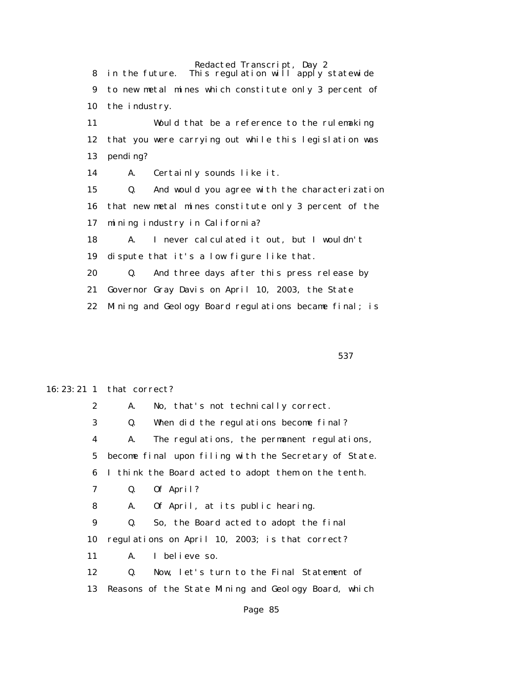Redacted Transcript, Day 2 8 in the future. This regulation will apply statewide 9 to new metal mines which constitute only 3 percent of 10 the industry. 11 Would that be a reference to the rulemaking 12 that you were carrying out while this legislation was 13 pending? 14 A. Certainly sounds like it. 15 Q. And would you agree with the characterization 16 that new metal mines constitute only 3 percent of the 17 mining industry in California? 18 A. I never calculated it out, but I wouldn't 19 dispute that it's a low figure like that. 20 Q. And three days after this press release by 21 Governor Gray Davis on April 10, 2003, the State 22 Mining and Geology Board regulations became final; is

 $537$ 

#### 16:23:21 1 that correct?

 2 A. No, that's not technically correct. 3 Q. When did the regulations become final? 4 A. The regulations, the permanent regulations, 5 become final upon filing with the Secretary of State. 6 I think the Board acted to adopt them on the tenth. 7 Q. Of April? 8 A. Of April, at its public hearing. 9 Q. So, the Board acted to adopt the final 10 regulations on April 10, 2003; is that correct? 11 A. I believe so. 12 Q. Now, let's turn to the Final Statement of 13 Reasons of the State Mining and Geology Board, which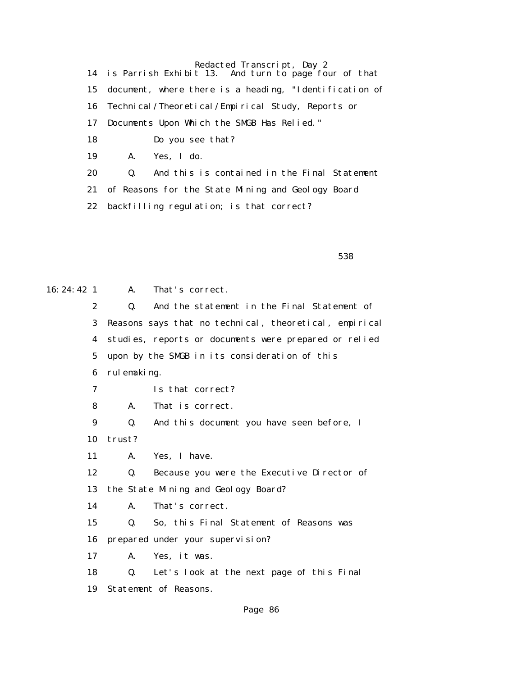14 is Parrish Exhibit 13. And turn to page four of that 15 document, where there is a heading, "Identification of 16 Technical/Theoretical/Empirical Study, Reports or 17 Documents Upon Which the SMGB Has Relied." 18 Do you see that? 19 A. Yes, I do. 20 Q. And this is contained in the Final Statement 21 of Reasons for the State Mining and Geology Board 22 backfilling regulation; is that correct?

 $538$ 

| $16: 24: 42 \quad 1$ | A.             | That's correct.                                        |
|----------------------|----------------|--------------------------------------------------------|
| $\boldsymbol{2}$     | Q.             | And the statement in the Final Statement of            |
| 3                    |                | Reasons says that no technical, theoretical, empirical |
| 4                    |                | studies, reports or documents were prepared or relied  |
| 5                    |                | upon by the SMGB in its consideration of this          |
| 6                    | rul emaking.   |                                                        |
| 7                    |                | Is that correct?                                       |
| 8                    | A.             | That is correct.                                       |
| 9                    | Q.             | And this document you have seen before, I              |
| 10                   | trust?         |                                                        |
| 11                   | A.             | Yes, I have.                                           |
| 12                   | Q.             | Because you were the Executive Director of             |
| 13                   |                | the State Mining and Geology Board?                    |
| 14                   | A.             | That's correct.                                        |
| 15                   | $\mathbf{0}$ . | So, this Final Statement of Reasons was                |
| 16                   |                | prepared under your supervision?                       |
| 17                   | A.             | Yes, it was.                                           |
| 18                   | 0.             | Let's look at the next page of this Final              |
| 19                   |                | Statement of Reasons.                                  |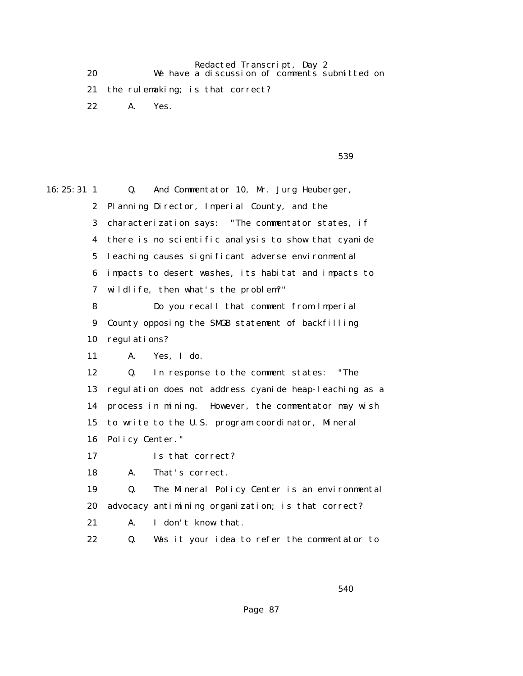Redacted Transcript, Day 2 20 We have a discussion of comments submitted on

21 the rulemaking; is that correct?

22 A. Yes.

 $539$ 

| $16: 25: 31 \quad 1$ | And Commentator 10, Mr. Jurg Heuberger,<br>Q.          |
|----------------------|--------------------------------------------------------|
| $\mathbf{2}$         | Planning Director, Imperial County, and the            |
| 3                    | characterization says: "The commentator states, if     |
| 4                    | there is no scientific analysis to show that cyanide   |
| $5\overline{ }$      | leaching causes significant adverse environmental      |
| 6                    | impacts to desert washes, its habitat and impacts to   |
| 7                    | wildlife, then what's the problem?"                    |
| 8                    | Do you recall that comment from Imperial               |
| $\boldsymbol{9}$     | County opposing the SMGB statement of backfilling      |
| 10                   | regulations?                                           |
| 11                   | Yes, I do.<br>A.                                       |
| 12                   | In response to the comment states:<br>"The<br>Q.       |
| 13                   | regulation does not address cyanide heap-leaching as a |
| 14                   | process in mining. However, the commentator may wish   |
| 15                   | to write to the U.S. program coordinator, Mineral      |
| 16                   | Policy Center."                                        |
| 17                   | Is that correct?                                       |
| 18                   | That's correct.<br>A.                                  |
| 19                   | Q.<br>The Mineral Policy Center is an environmental    |
| 20                   | advocacy antimining organization; is that correct?     |
| 21                   | I don't know that.<br>A.                               |
| 22                   | Q.<br>Was it your idea to refer the commentator to     |
|                      |                                                        |

 $540$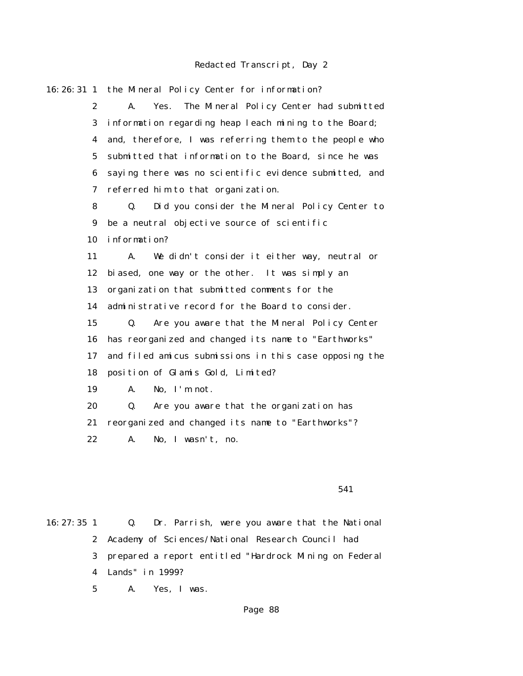16:26:31 1 the Mineral Policy Center for information? 2 A. Yes. The Mineral Policy Center had submitted 3 information regarding heap leach mining to the Board; 4 and, therefore, I was referring them to the people who 5 submitted that information to the Board, since he was 6 saying there was no scientific evidence submitted, and 7 referred him to that organization. 8 Q. Did you consider the Mineral Policy Center to 9 be a neutral objective source of scientific 10 information? 11 A. We didn't consider it either way, neutral or 12 biased, one way or the other. It was simply an 13 organization that submitted comments for the 14 administrative record for the Board to consider. 15 Q. Are you aware that the Mineral Policy Center 16 has reorganized and changed its name to "Earthworks" 17 and filed amicus submissions in this case opposing the 18 position of Glamis Gold, Limited? 19 A. No, I'm not. 20 Q. Are you aware that the organization has 21 reorganized and changed its name to "Earthworks"? 22 A. No, I wasn't, no.

#### $541$

16:27:35 1 Q. Dr. Parrish, were you aware that the National 2 Academy of Sciences/National Research Council had 3 prepared a report entitled "Hardrock Mining on Federal 4 Lands" in 1999? 5 A. Yes, I was.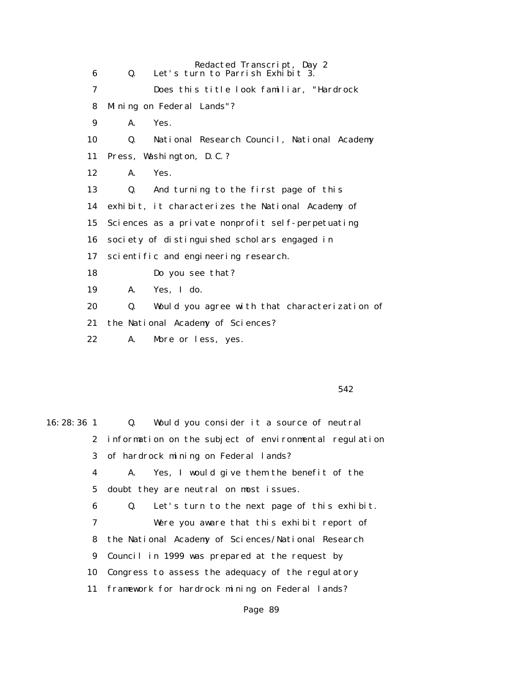Redacted Transcript, Day 2 6 Q. Let's turn to Parrish Exhibit 3. 7 Does this title look familiar, "Hardrock 8 Mining on Federal Lands"? 9 A. Yes. 10 Q. National Research Council, National Academy 11 Press, Washington, D.C.? 12 A. Yes. 13 Q. And turning to the first page of this 14 exhibit, it characterizes the National Academy of 15 Sciences as a private nonprofit self-perpetuating 16 society of distinguished scholars engaged in 17 scientific and engineering research. 18 Do you see that? 19 A. Yes, I do. 20 Q. Would you agree with that characterization of 21 the National Academy of Sciences? 22 A. More or less, yes.

 $542$ 

| $16:28:36$ 1 | Q. Would you consider it a source of neutral             |
|--------------|----------------------------------------------------------|
|              | 2 information on the subject of environmental regulation |
|              | 3 of hardrock mining on Federal lands?                   |
| 4            | A. Yes, I would give them the benefit of the             |
|              | 5 doubt they are neutral on most issues.                 |
| 6            | Let's turn to the next page of this exhibit.<br>Q.       |
| 7            | Were you aware that this exhibit report of               |
|              | 8 the National Academy of Sciences/National Research     |
|              | 9 Council in 1999 was prepared at the request by         |
| 10           | Congress to assess the adequacy of the regulatory        |
|              | 11 framework for hardrock mining on Federal lands?       |
|              |                                                          |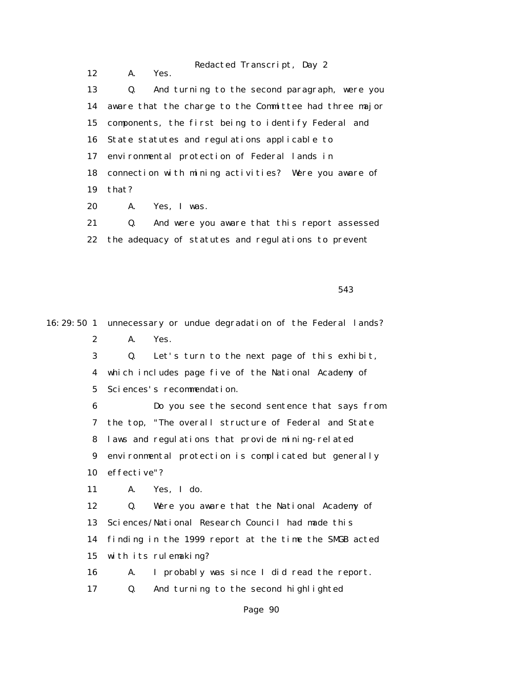Redacted Transcript, Day 2 12 A. Yes. 13 Q. And turning to the second paragraph, were you 14 aware that the charge to the Committee had three major 15 components, the first being to identify Federal and 16 State statutes and regulations applicable to 17 environmental protection of Federal lands in 18 connection with mining activities? Were you aware of 19 that? 20 A. Yes, I was.

 21 Q. And were you aware that this report assessed 22 the adequacy of statutes and regulations to prevent

 $543$ 

16:29:50 1 unnecessary or undue degradation of the Federal lands? 2 A. Yes. 3 Q. Let's turn to the next page of this exhibit, 4 which includes page five of the National Academy of 5 Sciences's recommendation. 6 Do you see the second sentence that says from 7 the top, "The overall structure of Federal and State 8 laws and regulations that provide mining-related 9 environmental protection is complicated but generally 10 effective"? 11 A. Yes, I do. 12 Q. Were you aware that the National Academy of 13 Sciences/National Research Council had made this 14 finding in the 1999 report at the time the SMGB acted 15 with its rulemaking? 16 A. I probably was since I did read the report. 17 Q. And turning to the second highlighted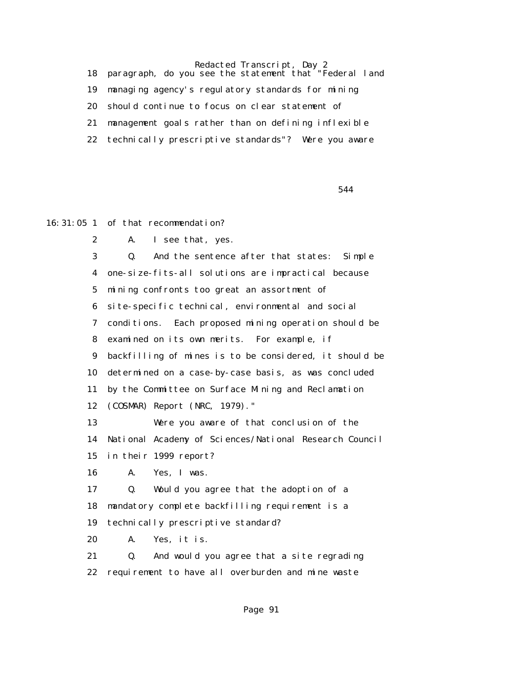18 paragraph, do you see the statement that "Federal land 19 managing agency's regulatory standards for mining 20 should continue to focus on clear statement of 21 management goals rather than on defining inflexible 22 technically prescriptive standards"? Were you aware

 $544$ 

16:31:05 1 of that recommendation?

2 A. I see that, yes.

 3 Q. And the sentence after that states: Simple 4 one-size-fits-all solutions are impractical because 5 mining confronts too great an assortment of 6 site-specific technical, environmental and social 7 conditions. Each proposed mining operation should be 8 examined on its own merits. For example, if 9 backfilling of mines is to be considered, it should be 10 determined on a case-by-case basis, as was concluded 11 by the Committee on Surface Mining and Reclamation 12 (COSMAR) Report (NRC, 1979)." 13 Were you aware of that conclusion of the

 14 National Academy of Sciences/National Research Council 15 in their 1999 report?

16 A. Yes, I was.

 17 Q. Would you agree that the adoption of a 18 mandatory complete backfilling requirement is a 19 technically prescriptive standard?

20 A. Yes, it is.

 21 Q. And would you agree that a site regrading 22 requirement to have all overburden and mine waste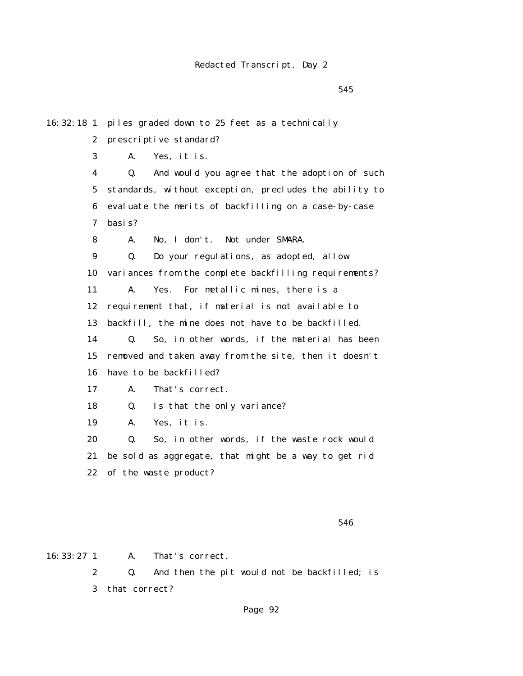$545$ 

| 16:32:18 <sub>1</sub> | piles graded down to 25 feet as a technically          |
|-----------------------|--------------------------------------------------------|
| 2                     | prescriptive standard?                                 |
| 3                     | А.<br>Yes, it is.                                      |
| 4                     | And would you agree that the adoption of such<br>Q.    |
| 5                     | standards, without exception, precludes the ability to |
| 6                     | evaluate the merits of backfilling on a case-by-case   |
| 7                     | basis?                                                 |
| 8                     | No, I don't. Not under SMARA.<br>А.                    |
| 9                     | Do your regulations, as adopted, allow<br>Q.           |
| 10                    | variances from the complete backfilling requirements?  |
| 11                    | A.<br>Yes.<br>For metallic mines, there is a           |
| 12                    | requirement that, if material is not available to      |
| 13                    | backfill, the mine does not have to be backfilled.     |
| 14                    | So, in other words, if the material has been<br>Q.     |
| 15                    | removed and taken away from the site, then it doesn't  |
| 16                    | have to be backfilled?                                 |
| 17                    | That's correct.<br>А.                                  |
| 18                    | Is that the only variance?<br>Q.                       |
| 19                    | Yes, it is.<br>А.                                      |
| 20                    | So, in other words, if the waste rock would<br>Q.      |
| 21                    | be sold as aggregate, that might be a way to get rid   |
| 22                    | of the waste product?                                  |
|                       |                                                        |
|                       |                                                        |

 $546$ 

16:33:27 1 A. That's correct. 2 Q. And then the pit would not be backfilled; is 3 that correct?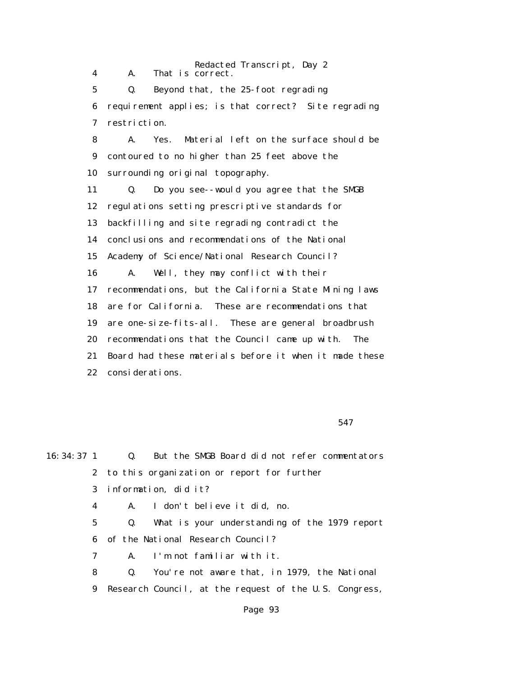Redacted Transcript, Day 2 4 A. That is correct. 5 Q. Beyond that, the 25-foot regrading 6 requirement applies; is that correct? Site regrading 7 restriction. 8 A. Yes. Material left on the surface should be 9 contoured to no higher than 25 feet above the 10 surrounding original topography. 11 Q. Do you see--would you agree that the SMGB 12 regulations setting prescriptive standards for 13 backfilling and site regrading contradict the 14 conclusions and recommendations of the National 15 Academy of Science/National Research Council? 16 A. Well, they may conflict with their 17 recommendations, but the California State Mining laws 18 are for California. These are recommendations that 19 are one-size-fits-all. These are general broadbrush 20 recommendations that the Council came up with. The 21 Board had these materials before it when it made these 22 considerations.

 $547$ 

| 16:34:37 <sup>1</sup> | Q.<br>But the SMGB Board did not refer commentators            |
|-----------------------|----------------------------------------------------------------|
|                       | 2 to this organization or report for further                   |
|                       | 3 information, did it?                                         |
| 4                     | I don't believe it did, no.<br><b>A.</b>                       |
| 5                     | What is your understanding of the 1979 report<br>Q.            |
|                       | 6 of the National Research Council?                            |
| 7                     | A. I'm not familiar with it.                                   |
| 8                     | You're not aware that, in 1979, the National<br>$\mathbf{0}$ . |
| 9                     | Research Council, at the request of the U.S. Congress,         |
|                       |                                                                |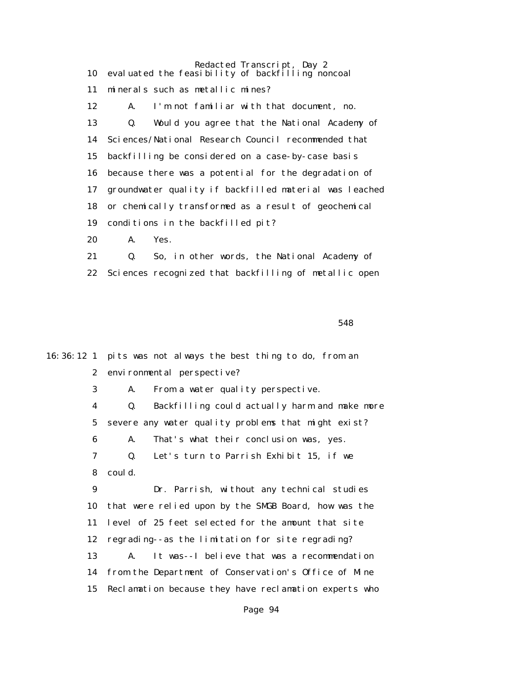Redacted Transcript, Day 2 10 evaluated the feasibility of backfilling noncoal 11 minerals such as metallic mines? 12 A. I'm not familiar with that document, no. 13 Q. Would you agree that the National Academy of 14 Sciences/National Research Council recommended that 15 backfilling be considered on a case-by-case basis 16 because there was a potential for the degradation of 17 groundwater quality if backfilled material was leached 18 or chemically transformed as a result of geochemical 19 conditions in the backfilled pit? 20 A. Yes.

 21 Q. So, in other words, the National Academy of 22 Sciences recognized that backfilling of metallic open

 $548$ 

16:36:12 1 pits was not always the best thing to do, from an 2 environmental perspective? 3 A. From a water quality perspective. 4 Q. Backfilling could actually harm and make more 5 severe any water quality problems that might exist? 6 A. That's what their conclusion was, yes. 7 Q. Let's turn to Parrish Exhibit 15, if we 8 could. 9 Dr. Parrish, without any technical studies 10 that were relied upon by the SMGB Board, how was the 11 level of 25 feet selected for the amount that site 12 regrading--as the limitation for site regrading? 13 A. It was--I believe that was a recommendation 14 from the Department of Conservation's Office of Mine 15 Reclamation because they have reclamation experts who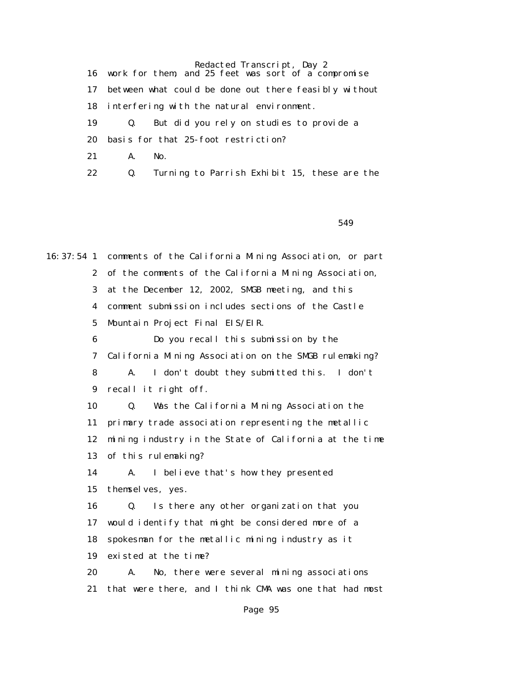16 work for them, and 25 feet was sort of a compromise 17 between what could be done out there feasibly without 18 interfering with the natural environment. 19 Q. But did you rely on studies to provide a 20 basis for that 25-foot restriction? 21 A. No. 22 Q. Turning to Parrish Exhibit 15, these are the

 $549$ 

16:37:54 1 comments of the California Mining Association, or part 2 of the comments of the California Mining Association, 3 at the December 12, 2002, SMGB meeting, and this 4 comment submission includes sections of the Castle 5 Mountain Project Final EIS/EIR. 6 Do you recall this submission by the 7 California Mining Association on the SMGB rulemaking? 8 A. I don't doubt they submitted this. I don't 9 recall it right off. 10 Q. Was the California Mining Association the 11 primary trade association representing the metallic 12 mining industry in the State of California at the time 13 of this rulemaking? 14 A. I believe that's how they presented 15 themselves, yes. 16 Q. Is there any other organization that you 17 would identify that might be considered more of a 18 spokesman for the metallic mining industry as it 19 existed at the time? 20 A. No, there were several mining associations 21 that were there, and I think CMA was one that had most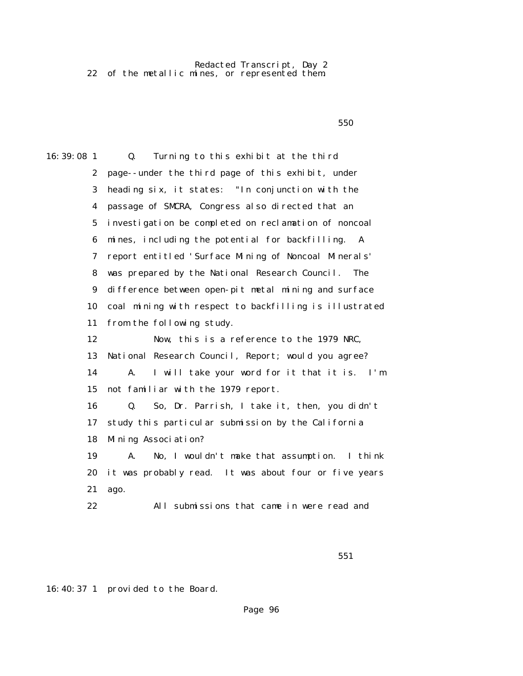Redacted Transcript, Day 2 22 of the metallic mines, or represented them.

 $550$ 

16:39:08 1 Q. Turning to this exhibit at the third 2 page--under the third page of this exhibit, under 3 heading six, it states: "In conjunction with the 4 passage of SMCRA, Congress also directed that an 5 investigation be completed on reclamation of noncoal 6 mines, including the potential for backfilling. A 7 report entitled 'Surface Mining of Noncoal Minerals' 8 was prepared by the National Research Council. The 9 difference between open-pit metal mining and surface 10 coal mining with respect to backfilling is illustrated 11 from the following study. 12 Now, this is a reference to the 1979 NRC, 13 National Research Council, Report; would you agree? 14 A. I will take your word for it that it is. I'm 15 not familiar with the 1979 report. 16 Q. So, Dr. Parrish, I take it, then, you didn't 17 study this particular submission by the California 18 Mining Association? 19 A. No, I wouldn't make that assumption. I think 20 it was probably read. It was about four or five years 21 ago. 22 All submissions that came in were read and

16:40:37 1 provided to the Board.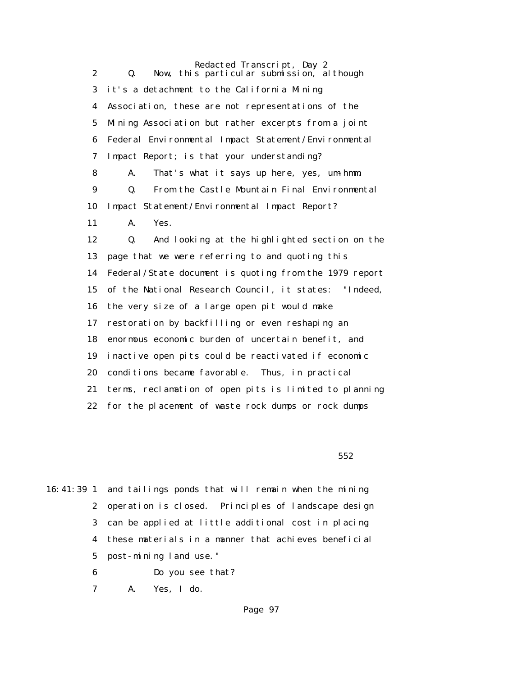Redacted Transcript, Day 2 2 Q. Now, this particular submission, although 3 it's a detachment to the California Mining 4 Association, these are not representations of the 5 Mining Association but rather excerpts from a joint 6 Federal Environmental Impact Statement/Environmental 7 Impact Report; is that your understanding? 8 A. That's what it says up here, yes, um-hmm. 9 Q. From the Castle Mountain Final Environmental 10 Impact Statement/Environmental Impact Report? 11 A. Yes. 12 Q. And looking at the highlighted section on the 13 page that we were referring to and quoting this 14 Federal/State document is quoting from the 1979 report 15 of the National Research Council, it states: "Indeed, 16 the very size of a large open pit would make 17 restoration by backfilling or even reshaping an 18 enormous economic burden of uncertain benefit, and 19 inactive open pits could be reactivated if economic 20 conditions became favorable. Thus, in practical 21 terms, reclamation of open pits is limited to planning 22 for the placement of waste rock dumps or rock dumps

 $552$ 

16:41:39 1 and tailings ponds that will remain when the mining 2 operation is closed. Principles of landscape design 3 can be applied at little additional cost in placing 4 these materials in a manner that achieves beneficial 5 post-mining land use."

6 Do you see that?

7 A. Yes, I do.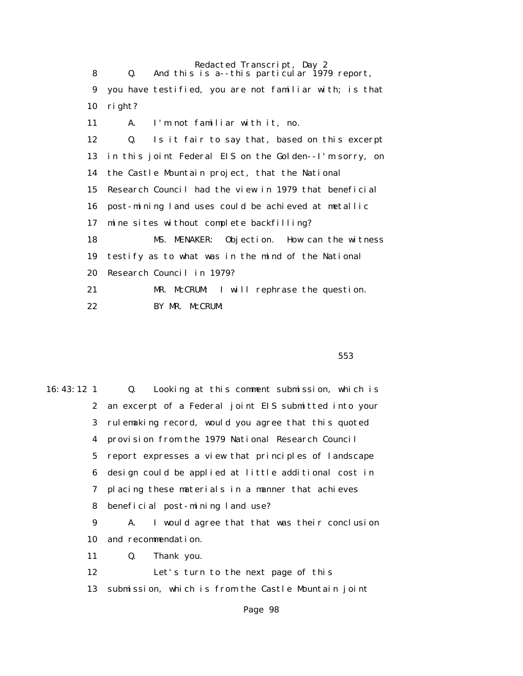Redacted Transcript, Day 2 8 Q. And this is a--this particular 1979 report, 9 you have testified, you are not familiar with; is that 10 right? 11 A. I'm not familiar with it, no. 12 Q. Is it fair to say that, based on this excerpt 13 in this joint Federal EIS on the Golden--I'm sorry, on 14 the Castle Mountain project, that the National 15 Research Council had the view in 1979 that beneficial 16 post-mining land uses could be achieved at metallic 17 mine sites without complete backfilling? 18 MS. MENAKER: Objection. How can the witness 19 testify as to what was in the mind of the National 20 Research Council in 1979? 21 MR. McCRUM: I will rephrase the question. 22 BY MR. McCRUM:

 $553$ 

16:43:12 1 Q. Looking at this comment submission, which is 2 an excerpt of a Federal joint EIS submitted into your 3 rulemaking record, would you agree that this quoted 4 provision from the 1979 National Research Council 5 report expresses a view that principles of landscape 6 design could be applied at little additional cost in 7 placing these materials in a manner that achieves 8 beneficial post-mining land use? 9 A. I would agree that that was their conclusion 10 and recommendation. 11 Q. Thank you. 12 Let's turn to the next page of this 13 submission, which is from the Castle Mountain joint Page 98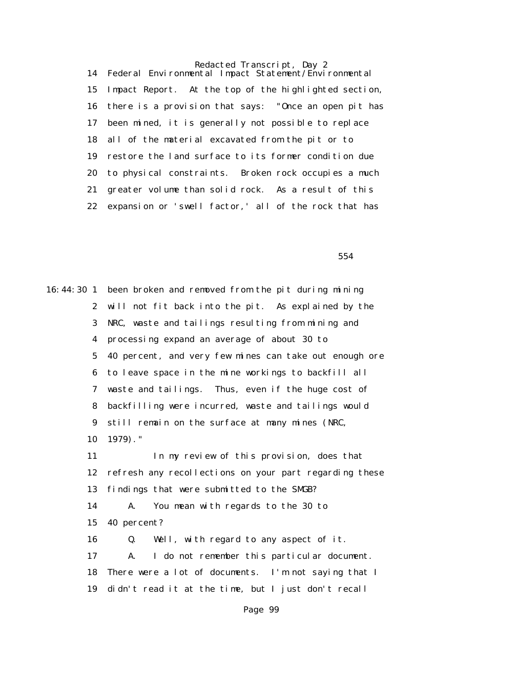Redacted Transcript, Day 2 14 Federal Environmental Impact Statement/Environmental 15 Impact Report. At the top of the highlighted section, 16 there is a provision that says: "Once an open pit has 17 been mined, it is generally not possible to replace 18 all of the material excavated from the pit or to 19 restore the land surface to its former condition due 20 to physical constraints. Broken rock occupies a much 21 greater volume than solid rock. As a result of this 22 expansion or 'swell factor,' all of the rock that has

 $554$ 

16:44:30 1 been broken and removed from the pit during mining 2 will not fit back into the pit. As explained by the 3 NRC, waste and tailings resulting from mining and 4 processing expand an average of about 30 to 5 40 percent, and very few mines can take out enough ore 6 to leave space in the mine workings to backfill all 7 waste and tailings. Thus, even if the huge cost of 8 backfilling were incurred, waste and tailings would 9 still remain on the surface at many mines (NRC, 10 1979)." 11 In my review of this provision, does that 12 refresh any recollections on your part regarding these 13 findings that were submitted to the SMGB? 14 A. You mean with regards to the 30 to 15 40 percent? 16 Q. Well, with regard to any aspect of it. 17 A. I do not remember this particular document. 18 There were a lot of documents. I'm not saying that I 19 didn't read it at the time, but I just don't recall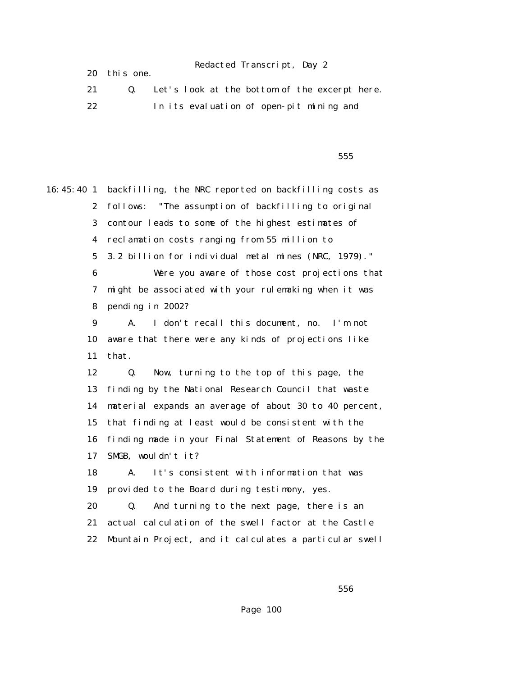20 this one.

|    | Let's look at the bottom of the excerpt here. |
|----|-----------------------------------------------|
| 22 | In its evaluation of open-pit mining and      |

 $555$ 

16:45:40 1 backfilling, the NRC reported on backfilling costs as 2 follows: "The assumption of backfilling to original 3 contour leads to some of the highest estimates of 4 reclamation costs ranging from 55 million to 5 3.2 billion for individual metal mines (NRC, 1979)." 6 Were you aware of those cost projections that 7 might be associated with your rulemaking when it was 8 pending in 2002? 9 A. I don't recall this document, no. I'm not 10 aware that there were any kinds of projections like 11 that. 12 Q. Now, turning to the top of this page, the 13 finding by the National Research Council that waste 14 material expands an average of about 30 to 40 percent, 15 that finding at least would be consistent with the 16 finding made in your Final Statement of Reasons by the 17 SMGB, wouldn't it? 18 A. It's consistent with information that was 19 provided to the Board during testimony, yes. 20 Q. And turning to the next page, there is an 21 actual calculation of the swell factor at the Castle 22 Mountain Project, and it calculates a particular swell

 $556$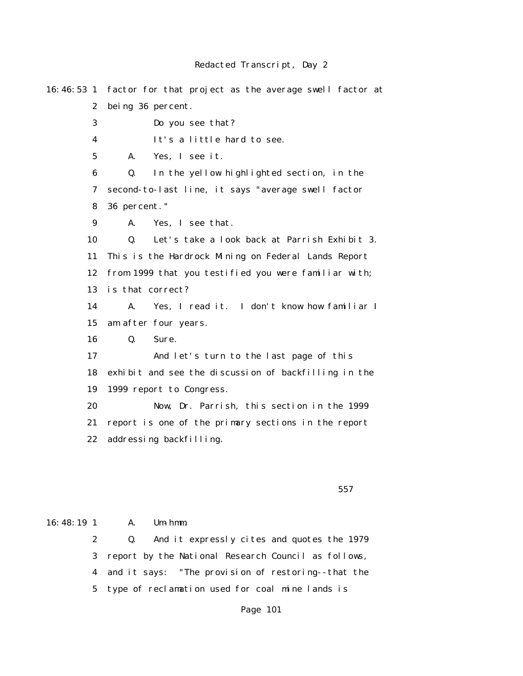16:46:53 1 factor for that project as the average swell factor at 2 being 36 percent. 3 Do you see that? 4 It's a little hard to see. 5 A. Yes, I see it. 6 Q. In the yellow highlighted section, in the 7 second-to-last line, it says "average swell factor 8 36 percent." 9 A. Yes, I see that. 10 Q. Let's take a look back at Parrish Exhibit 3. 11 This is the Hardrock Mining on Federal Lands Report 12 from 1999 that you testified you were familiar with; 13 is that correct? 14 A. Yes, I read it. I don't know how familiar I 15 am after four years. 16 Q. Sure. 17 And let's turn to the last page of this 18 exhibit and see the discussion of backfilling in the 19 1999 report to Congress. 20 Now, Dr. Parrish, this section in the 1999 21 report is one of the primary sections in the report 22 addressing backfilling.

 $557$ 

16:48:19 1 A. Um-hmm.

 2 Q. And it expressly cites and quotes the 1979 3 report by the National Research Council as follows, 4 and it says: "The provision of restoring--that the 5 type of reclamation used for coal mine lands is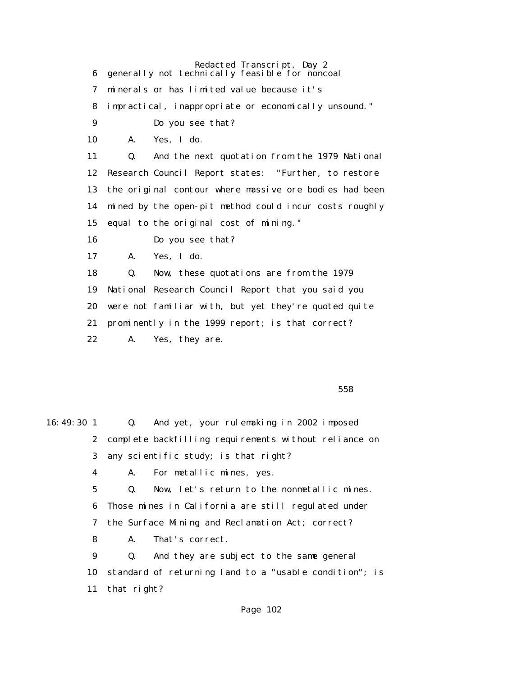Redacted Transcript, Day 2 6 generally not technically feasible for noncoal 7 minerals or has limited value because it's 8 impractical, inappropriate or economically unsound." 9 Do you see that? 10 A. Yes, I do. 11 Q. And the next quotation from the 1979 National 12 Research Council Report states: "Further, to restore 13 the original contour where massive ore bodies had been 14 mined by the open-pit method could incur costs roughly 15 equal to the original cost of mining." 16 Do you see that? 17 A. Yes, I do. 18 Q. Now, these quotations are from the 1979 19 National Research Council Report that you said you 20 were not familiar with, but yet they're quoted quite 21 prominently in the 1999 report; is that correct? 22 A. Yes, they are.

 $558$ 

| 16:49:301 |             |                | Q. And yet, your rulemaking in 2002 imposed             |
|-----------|-------------|----------------|---------------------------------------------------------|
|           |             |                | 2 complete backfilling requirements without reliance on |
|           | 3           |                | any scientific study; is that right?                    |
|           | 4           |                | A. For metallic mines, yes.                             |
|           | $5^{\circ}$ |                | Q. Now, let's return to the nonmetallic mines.          |
|           | 6           |                | Those mines in California are still regulated under     |
|           | 7           |                | the Surface Mining and Reclamation Act; correct?        |
|           | 8           | A.             | That's correct.                                         |
|           | 9           | $\mathbf{0}$ . | And they are subject to the same general                |
|           | 10          |                | standard of returning land to a "usable condition"; is  |
|           | 11          | that right?    |                                                         |
|           |             |                |                                                         |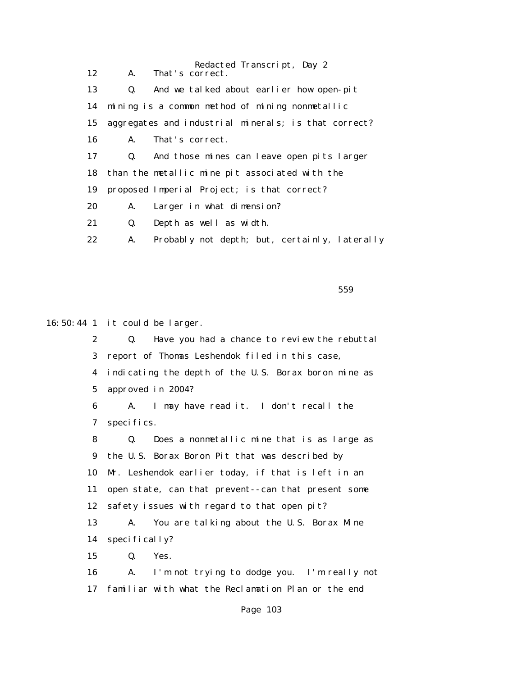| 12 | A.             | Redacted Transcript, Day 2<br>That's correct.        |
|----|----------------|------------------------------------------------------|
| 13 | Q.             | And we talked about earlier how open-pit             |
| 14 |                | mining is a common method of mining nonmetallic      |
| 15 |                | aggregates and industrial minerals; is that correct? |
| 16 | A.             | That's correct.                                      |
| 17 | $\mathbf{Q}$ . | And those mines can leave open pits larger           |
| 18 |                | than the metallic mine pit associated with the       |
| 19 |                | proposed Imperial Project; is that correct?          |
| 20 | A.             | Larger in what dimension?                            |
| 21 | Q.             | Depth as well as width.                              |
| 22 | A.             | Probably not depth; but, certainly, laterally        |

 $559$ 

16:50:44 1 it could be larger.

 2 Q. Have you had a chance to review the rebuttal 3 report of Thomas Leshendok filed in this case, 4 indicating the depth of the U.S. Borax boron mine as 5 approved in 2004? 6 A. I may have read it. I don't recall the 7 specifics. 8 Q. Does a nonmetallic mine that is as large as 9 the U.S. Borax Boron Pit that was described by 10 Mr. Leshendok earlier today, if that is left in an 11 open state, can that prevent--can that present some 12 safety issues with regard to that open pit? 13 A. You are talking about the U.S. Borax Mine 14 specifically? 15 Q. Yes. 16 A. I'm not trying to dodge you. I'm really not 17 familiar with what the Reclamation Plan or the end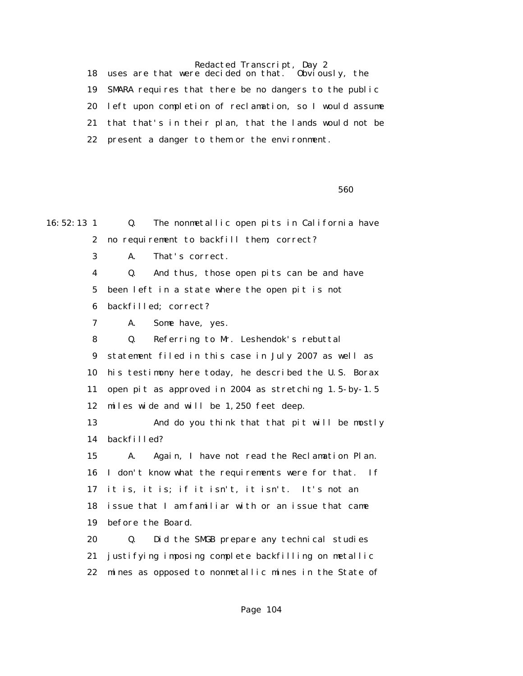18 uses are that were decided on that. Obviously, the 19 SMARA requires that there be no dangers to the public 20 left upon completion of reclamation, so I would assume 21 that that's in their plan, that the lands would not be 22 present a danger to them or the environment.

 $560$ 

16:52:13 1 Q. The nonmetallic open pits in California have 2 no requirement to backfill them; correct? 3 A. That's correct. 4 Q. And thus, those open pits can be and have 5 been left in a state where the open pit is not 6 backfilled; correct? 7 A. Some have, yes. 8 Q. Referring to Mr. Leshendok's rebuttal 9 statement filed in this case in July 2007 as well as 10 his testimony here today, he described the U.S. Borax 11 open pit as approved in 2004 as stretching 1.5-by-1.5 12 miles wide and will be 1,250 feet deep. 13 And do you think that that pit will be mostly 14 backfilled? 15 A. Again, I have not read the Reclamation Plan. 16 I don't know what the requirements were for that. If 17 it is, it is; if it isn't, it isn't. It's not an 18 issue that I am familiar with or an issue that came 19 before the Board. 20 Q. Did the SMGB prepare any technical studies 21 justifying imposing complete backfilling on metallic 22 mines as opposed to nonmetallic mines in the State of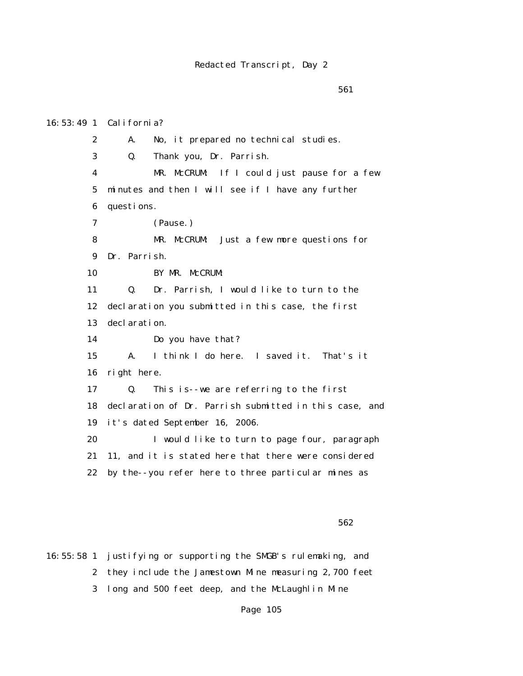# 16:53:49 1 California?

 2 A. No, it prepared no technical studies. 3 Q. Thank you, Dr. Parrish. 4 MR. McCRUM: If I could just pause for a few 5 minutes and then I will see if I have any further 6 questions. 7 (Pause.) 8 MR. McCRUM: Just a few more questions for 9 Dr. Parrish. 10 BY MR. McCRUM: 11 Q. Dr. Parrish, I would like to turn to the 12 declaration you submitted in this case, the first 13 declaration. 14 Do you have that? 15 A. I think I do here. I saved it. That's it 16 right here. 17 Q. This is--we are referring to the first 18 declaration of Dr. Parrish submitted in this case, and 19 it's dated September 16, 2006. 20 I would like to turn to page four, paragraph 21 11, and it is stated here that there were considered 22 by the--you refer here to three particular mines as

 $562$ 

16:55:58 1 justifying or supporting the SMGB's rulemaking, and 2 they include the Jamestown Mine measuring 2,700 feet 3 long and 500 feet deep, and the McLaughlin Mine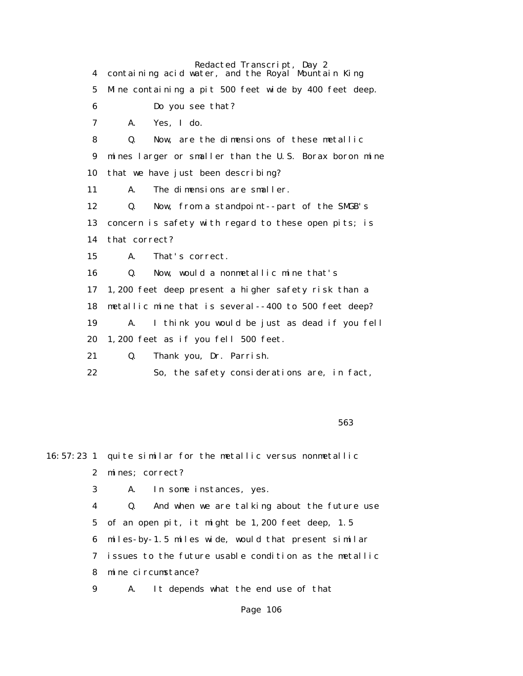Redacted Transcript, Day 2 4 containing acid water, and the Royal Mountain King 5 Mine containing a pit 500 feet wide by 400 feet deep. 6 Do you see that? 7 A. Yes, I do. 8 Q. Now, are the dimensions of these metallic 9 mines larger or smaller than the U.S. Borax boron mine 10 that we have just been describing? 11 A. The dimensions are smaller. 12 Q. Now, from a standpoint--part of the SMGB's 13 concern is safety with regard to these open pits; is 14 that correct? 15 A. That's correct. 16 Q. Now, would a nonmetallic mine that's 17 1,200 feet deep present a higher safety risk than a 18 metallic mine that is several--400 to 500 feet deep? 19 A. I think you would be just as dead if you fell 20 1,200 feet as if you fell 500 feet. 21 Q. Thank you, Dr. Parrish. 22 So, the safety considerations are, in fact,

 $563$ 

16:57:23 1 quite similar for the metallic versus nonmetallic 2 mines; correct? 3 A. In some instances, yes.

> 4 Q. And when we are talking about the future use 5 of an open pit, it might be 1,200 feet deep, 1.5 6 miles-by-1.5 miles wide, would that present similar 7 issues to the future usable condition as the metallic 8 mine circumstance?

9 A. It depends what the end use of that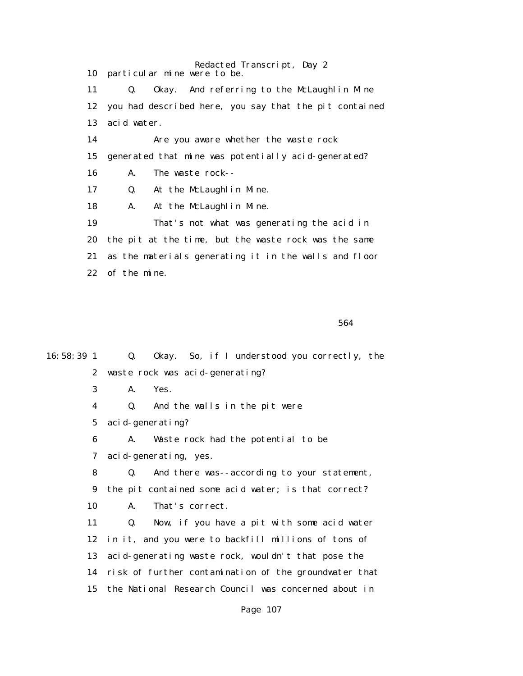Redacted Transcript, Day 2 10 particular mine were to be. 11 Q. Okay. And referring to the McLaughlin Mine 12 you had described here, you say that the pit contained 13 acid water. 14 Are you aware whether the waste rock 15 generated that mine was potentially acid-generated? 16 A. The waste rock-- 17 Q. At the McLaughlin Mine. 18 A. At the McLaughlin Mine. 19 That's not what was generating the acid in 20 the pit at the time, but the waste rock was the same 21 as the materials generating it in the walls and floor 22 of the mine.

 $564$ 

| 16:58:39 1              | Q.             | Okay. So, if I understood you correctly, the          |  |
|-------------------------|----------------|-------------------------------------------------------|--|
| $\boldsymbol{2}$        |                | waste rock was acid-generating?                       |  |
| 3                       | A.             | Yes.                                                  |  |
| $\overline{\mathbf{4}}$ | Q.             | And the walls in the pit were                         |  |
| $5\phantom{.0}$         |                | acid-generating?                                      |  |
| 6                       | A.             | Waste rock had the potential to be                    |  |
| 7                       |                | acid-generating, yes.                                 |  |
| 8                       | $\mathbf{0}$ . | And there was--according to your statement,           |  |
| 9                       |                | the pit contained some acid water; is that correct?   |  |
| 10                      | A.             | That's correct.                                       |  |
| 11                      | Q.             | Now, if you have a pit with some acid water           |  |
| 12                      |                | in it, and you were to backfill millions of tons of   |  |
| 13                      |                | acid-generating waste rock, wouldn't that pose the    |  |
| 14                      |                | risk of further contamination of the groundwater that |  |
| 15                      |                | the National Research Council was concerned about in  |  |
|                         |                |                                                       |  |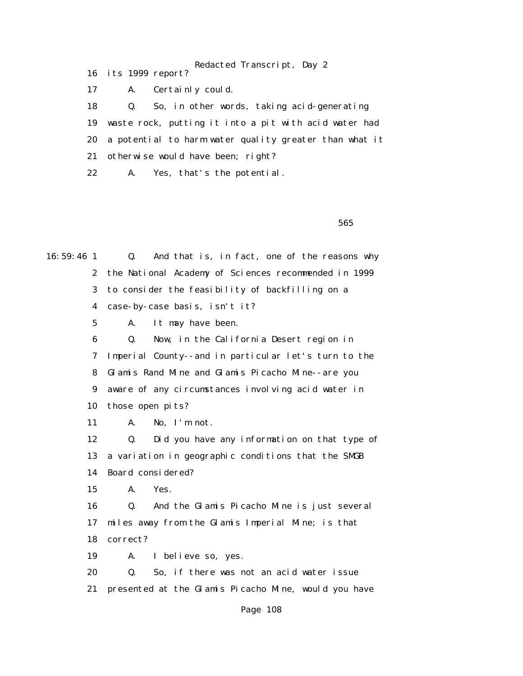Redacted Transcript, Day 2 16 its 1999 report? 17 A. Certainly could. 18 Q. So, in other words, taking acid-generating 19 waste rock, putting it into a pit with acid water had 20 a potential to harm water quality greater than what it 21 otherwise would have been; right? 22 A. Yes, that's the potential.

 $565$ 

16:59:46 1 Q. And that is, in fact, one of the reasons why 2 the National Academy of Sciences recommended in 1999 3 to consider the feasibility of backfilling on a 4 case-by-case basis, isn't it? 5 A. It may have been. 6 Q. Now, in the California Desert region in 7 Imperial County--and in particular let's turn to the 8 Glamis Rand Mine and Glamis Picacho Mine--are you 9 aware of any circumstances involving acid water in 10 those open pits? 11 A. No, I'm not. 12 Q. Did you have any information on that type of 13 a variation in geographic conditions that the SMGB 14 Board considered? 15 A. Yes. 16 Q. And the Glamis Picacho Mine is just several 17 miles away from the Glamis Imperial Mine; is that 18 correct? 19 A. I believe so, yes. 20 Q. So, if there was not an acid water issue 21 presented at the Glamis Picacho Mine, would you have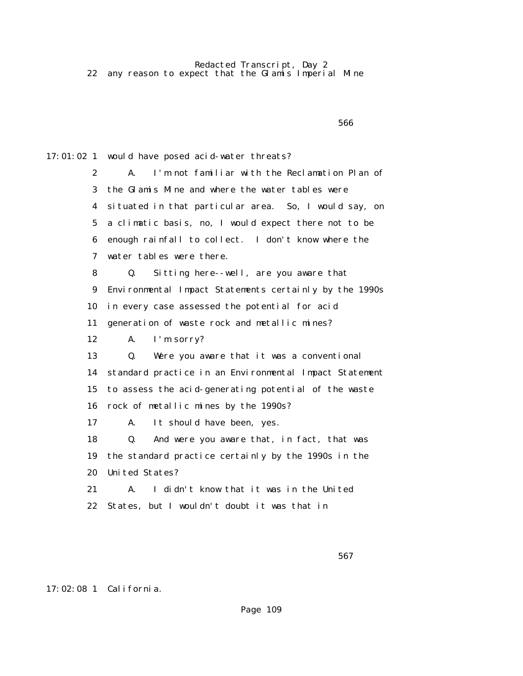Redacted Transcript, Day 2 22 any reason to expect that the Glamis Imperial Mine

 $566$ 17:01:02 1 would have posed acid-water threats? 2 A. I'm not familiar with the Reclamation Plan of 3 the Glamis Mine and where the water tables were 4 situated in that particular area. So, I would say, on 5 a climatic basis, no, I would expect there not to be 6 enough rainfall to collect. I don't know where the 7 water tables were there. 8 Q. Sitting here--well, are you aware that 9 Environmental Impact Statements certainly by the 1990s 10 in every case assessed the potential for acid 11 generation of waste rock and metallic mines? 12 A. I'm sorry? 13 Q. Were you aware that it was a conventional 14 standard practice in an Environmental Impact Statement 15 to assess the acid-generating potential of the waste 16 rock of metallic mines by the 1990s? 17 A. It should have been, yes. 18 Q. And were you aware that, in fact, that was 19 the standard practice certainly by the 1990s in the 20 United States? 21 A. I didn't know that it was in the United 22 States, but I wouldn't doubt it was that in

### 17:02:08 1 California.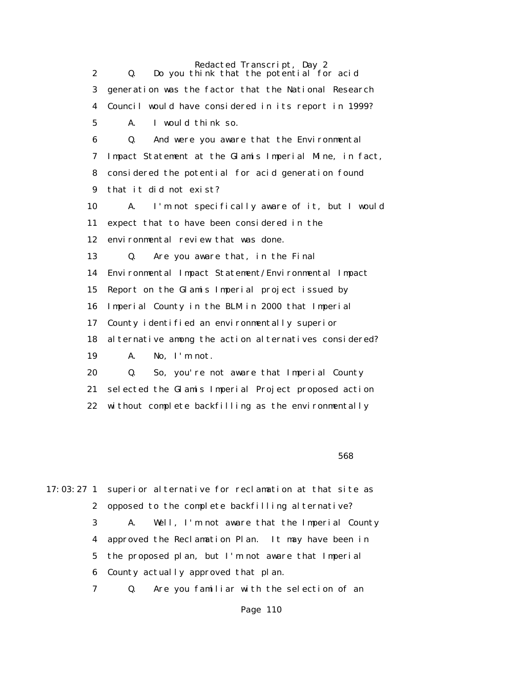Redacted Transcript, Day 2 2 Q. Do you think that the potential for acid 3 generation was the factor that the National Research 4 Council would have considered in its report in 1999? 5 A. I would think so. 6 Q. And were you aware that the Environmental 7 Impact Statement at the Glamis Imperial Mine, in fact, 8 considered the potential for acid generation found 9 that it did not exist? 10 A. I'm not specifically aware of it, but I would 11 expect that to have been considered in the 12 environmental review that was done. 13 Q. Are you aware that, in the Final 14 Environmental Impact Statement/Environmental Impact 15 Report on the Glamis Imperial project issued by 16 Imperial County in the BLM in 2000 that Imperial 17 County identified an environmentally superior 18 alternative among the action alternatives considered? 19 A. No, I'm not. 20 Q. So, you're not aware that Imperial County 21 selected the Glamis Imperial Project proposed action 22 without complete backfilling as the environmentally

 $568$ 

17:03:27 1 superior alternative for reclamation at that site as 2 opposed to the complete backfilling alternative? 3 A. Well, I'm not aware that the Imperial County 4 approved the Reclamation Plan. It may have been in 5 the proposed plan, but I'm not aware that Imperial 6 County actually approved that plan. 7 Q. Are you familiar with the selection of an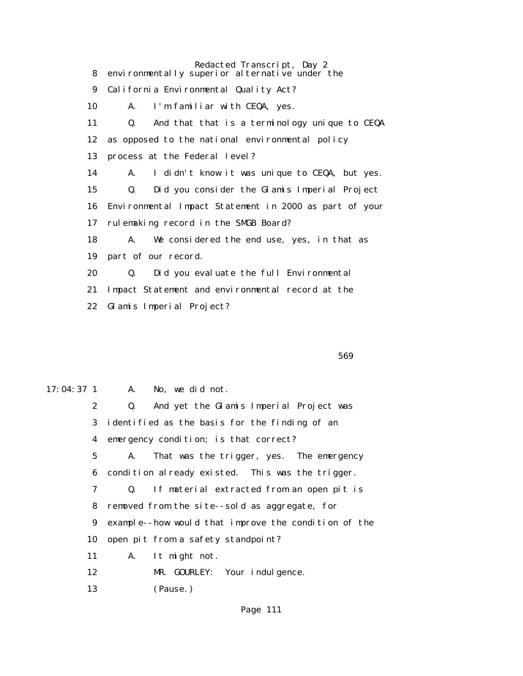| 8      | Redacted Transcript, Day 2<br>environmentally superior alternative under the |
|--------|------------------------------------------------------------------------------|
| 9      | California Environmental Quality Act?                                        |
| 10     | I'm familiar with CEQA, yes.<br>A.                                           |
| 11     | Q.<br>And that that is a terminology unique to CEQA                          |
| 12     | as opposed to the national environmental policy                              |
| 13     | process at the Federal level?                                                |
| 14     | I didn't know it was unique to CEQA, but yes.<br>A.                          |
| 15     | Did you consider the Glamis Imperial Project<br>Q.                           |
| 16     | Environmental Impact Statement in 2000 as part of your                       |
| 17     | rulemaking record in the SMGB Board?                                         |
| 18     | We considered the end use, yes, in that as<br>A.                             |
| 19     | part of our record.                                                          |
| 20     | Did you evaluate the full Environmental<br>Q.                                |
| 21     | Impact Statement and environmental record at the                             |
| $22\,$ | Glamis Imperial Project?                                                     |

 $569$ 

17:04:37 1 A. No, we did not. 2 Q. And yet the Glamis Imperial Project was 3 identified as the basis for the finding of an 4 emergency condition; is that correct? 5 A. That was the trigger, yes. The emergency 6 condition already existed. This was the trigger. 7 Q. If material extracted from an open pit is 8 removed from the site--sold as aggregate, for 9 example--how would that improve the condition of the 10 open pit from a safety standpoint? 11 A. It might not. 12 MR. GOURLEY: Your indulgence. 13 (Pause.)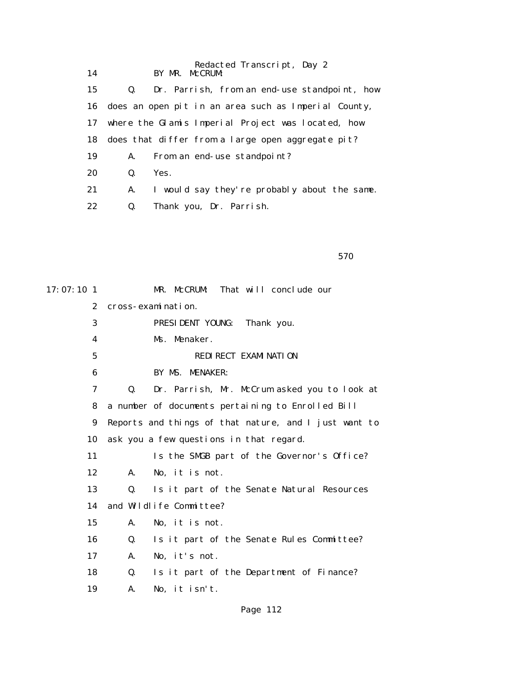| 14 |    | Redacted Transcript, Day 2<br>BY MR. McCRUM             |
|----|----|---------------------------------------------------------|
| 15 | Q. | Dr. Parrish, from an end-use standpoint, how            |
|    |    | 16 does an open pit in an area such as Imperial County, |
| 17 |    | where the Glamis Imperial Project was located, how      |
| 18 |    | does that differ from a large open aggregate pit?       |
| 19 | A. | From an end-use standpoint?                             |
| 20 | Q. | Yes.                                                    |
| 21 | A. | I would say they're probably about the same.            |
| 22 | Q. | Thank you, Dr. Parrish.                                 |
|    |    |                                                         |

 $570$ 

| $17:07:10$ 1     |    | That will conclude our<br>MR. McCRUM:                 |
|------------------|----|-------------------------------------------------------|
| $\boldsymbol{2}$ |    | cross-examination.                                    |
| 3                |    | PRESIDENT YOUNG:<br>Thank you.                        |
| 4                |    | Ms. Menaker.                                          |
| 5                |    | <b>REDIRECT EXAMINATION</b>                           |
| 6                |    | BY MS. MENAKER:                                       |
| 7                | 0. | Dr. Parrish, Mr. McCrum asked you to look at          |
| 8                |    | a number of documents pertaining to Enrolled Bill     |
| 9                |    | Reports and things of that nature, and I just want to |
| 10               |    | ask you a few questions in that regard.               |
| 11               |    | Is the SMGB part of the Governor's Office?            |
| 12               | A. | No, it is not.                                        |
| 13               | 0. | Is it part of the Senate Natural Resources            |
| 14               |    | and Wildlife Committee?                               |
| 15               | A. | No, it is not.                                        |
| 16               | Q. | Is it part of the Senate Rules Committee?             |
| 17               | A. | No, it's not.                                         |
| 18               | Q. | Is it part of the Department of Finance?              |
| 19               | A. | No, it isn't.                                         |
|                  |    |                                                       |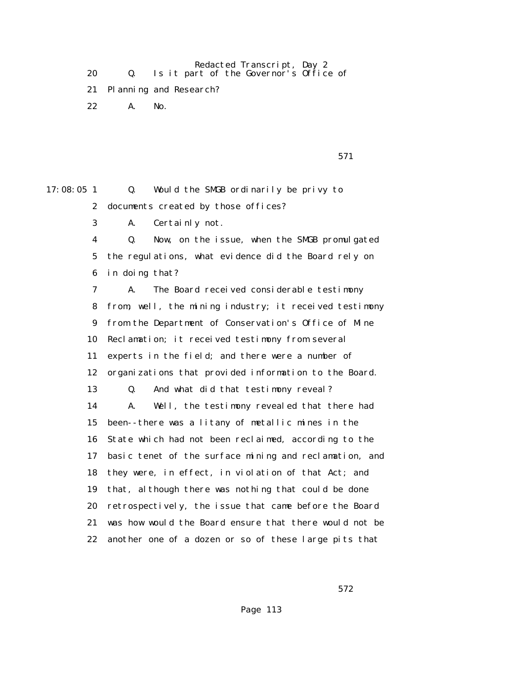Redacted Transcript, Day 2 20 Q. Is it part of the Governor's Office of

21 Planning and Research?

22 A. No.

| 571 |
|-----|
|     |

17:08:05 1 Q. Would the SMGB ordinarily be privy to 2 documents created by those offices? 3 A. Certainly not. 4 Q. Now, on the issue, when the SMGB promulgated 5 the regulations, what evidence did the Board rely on 6 in doing that? 7 A. The Board received considerable testimony 8 from, well, the mining industry; it received testimony 9 from the Department of Conservation's Office of Mine 10 Reclamation; it received testimony from several 11 experts in the field; and there were a number of 12 organizations that provided information to the Board. 13 Q. And what did that testimony reveal? 14 A. Well, the testimony revealed that there had 15 been--there was a litany of metallic mines in the 16 State which had not been reclaimed, according to the 17 basic tenet of the surface mining and reclamation, and 18 they were, in effect, in violation of that Act; and 19 that, although there was nothing that could be done 20 retrospectively, the issue that came before the Board 21 was how would the Board ensure that there would not be 22 another one of a dozen or so of these large pits that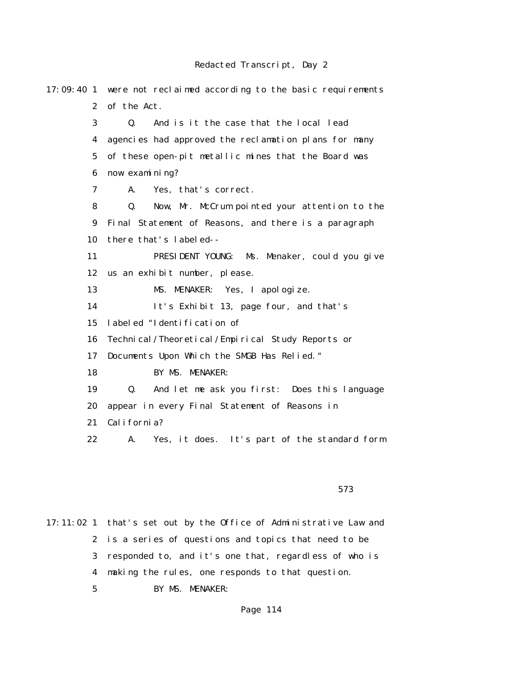| $17:09:40$ 1          | were not reclaimed according to the basic requirements |
|-----------------------|--------------------------------------------------------|
| $\mathbf{2}^{\prime}$ | of the Act.                                            |
| 3                     | And is it the case that the local lead<br>Q.           |
| 4                     | agencies had approved the reclamation plans for many   |
| $\mathbf 5$           | of these open-pit metallic mines that the Board was    |
| 6                     | now examining?                                         |
| 7                     | Yes, that's correct.<br>A.                             |
| 8                     | Now, Mr. McCrum pointed your attention to the<br>Q.    |
| $\boldsymbol{9}$      | Final Statement of Reasons, and there is a paragraph   |
| 10                    | there that's labeled--                                 |
| 11                    | PRESIDENT YOUNG: Ms. Menaker, could you give           |
| 12                    | us an exhibit number, please.                          |
| 13                    | MS. MENAKER: Yes, I apologize.                         |
| 14                    | It's Exhibit 13, page four, and that's                 |
| 15                    | labeled "Identification of                             |
| 16                    | Technical/Theoretical/Empirical Study Reports or       |
| 17                    | Documents Upon Which the SMGB Has Relied."             |
| 18                    | BY MS. MENAKER:                                        |
| 19                    | And let me ask you first: Does this language<br>Q.     |
| 20                    | appear in every Final Statement of Reasons in          |
| 21                    | California?                                            |
| 22                    | Yes, it does. It's part of the standard form<br>A.     |
|                       |                                                        |

 $573$ 

17:11:02 1 that's set out by the Office of Administrative Law and 2 is a series of questions and topics that need to be 3 responded to, and it's one that, regardless of who is 4 making the rules, one responds to that question. 5 BY MS. MENAKER: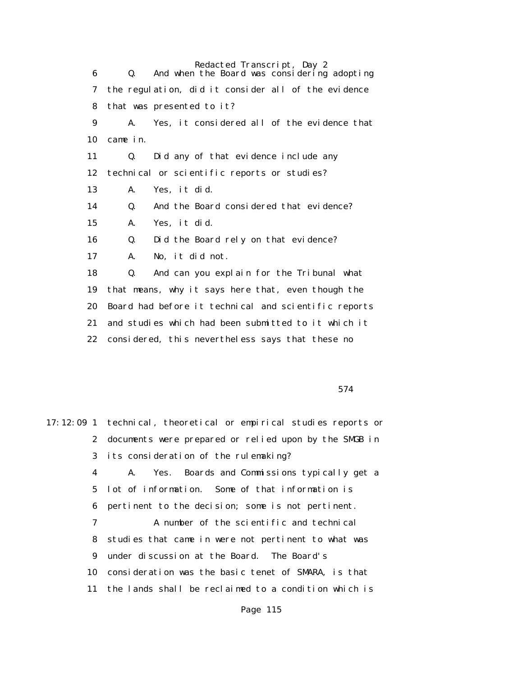Redacted Transcript, Day 2 6 Q. And when the Board was considering adopting 7 the regulation, did it consider all of the evidence 8 that was presented to it? 9 A. Yes, it considered all of the evidence that 10 came in. 11 Q. Did any of that evidence include any 12 technical or scientific reports or studies? 13 A. Yes, it did. 14 Q. And the Board considered that evidence? 15 A. Yes, it did. 16 Q. Did the Board rely on that evidence? 17 A. No, it did not. 18 Q. And can you explain for the Tribunal what 19 that means, why it says here that, even though the 20 Board had before it technical and scientific reports 21 and studies which had been submitted to it which it 22 considered, this nevertheless says that these no

574

17:12:09 1 technical, theoretical or empirical studies reports or 2 documents were prepared or relied upon by the SMGB in 3 its consideration of the rulemaking? 4 A. Yes. Boards and Commissions typically get a 5 lot of information. Some of that information is 6 pertinent to the decision; some is not pertinent. 7 A number of the scientific and technical 8 studies that came in were not pertinent to what was 9 under discussion at the Board. The Board's 10 consideration was the basic tenet of SMARA, is that 11 the lands shall be reclaimed to a condition which is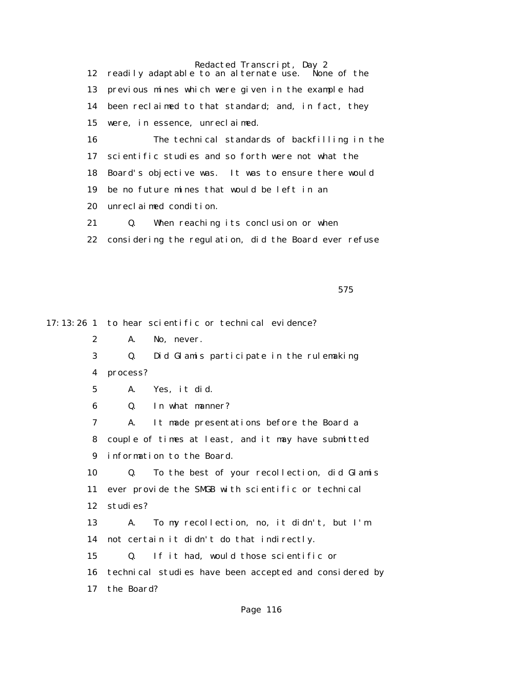12 readily adaptable to an alternate use. None of the 13 previous mines which were given in the example had 14 been reclaimed to that standard; and, in fact, they 15 were, in essence, unreclaimed. 16 The technical standards of backfilling in the

 17 scientific studies and so forth were not what the 18 Board's objective was. It was to ensure there would 19 be no future mines that would be left in an 20 unreclaimed condition.

21 Q. When reaching its conclusion or when

22 considering the regulation, did the Board ever refuse

 $575$ 

17:13:26 1 to hear scientific or technical evidence? 2 A. No, never. 3 Q. Did Glamis participate in the rulemaking 4 process? 5 A. Yes, it did. 6 Q. In what manner? 7 A. It made presentations before the Board a 8 couple of times at least, and it may have submitted 9 information to the Board. 10 Q. To the best of your recollection, did Glamis 11 ever provide the SMGB with scientific or technical 12 studies? 13 A. To my recollection, no, it didn't, but I'm 14 not certain it didn't do that indirectly. 15 Q. If it had, would those scientific or 16 technical studies have been accepted and considered by 17 the Board?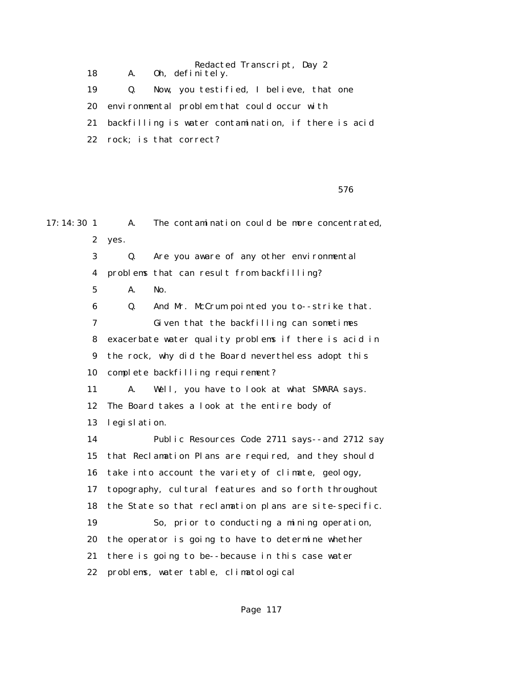Redacted Transcript, Day 2 18 A. Oh, definitely. 19 Q. Now, you testified, I believe, that one 20 environmental problem that could occur with 21 backfilling is water contamination, if there is acid 22 rock; is that correct?

 $576$ 

17:14:30 1 A. The contamination could be more concentrated. 2 yes. 3 Q. Are you aware of any other environmental 4 problems that can result from backfilling? 5 A. No. 6 Q. And Mr. McCrum pointed you to--strike that. 7 Given that the backfilling can sometimes 8 exacerbate water quality problems if there is acid in 9 the rock, why did the Board nevertheless adopt this 10 complete backfilling requirement? 11 A. Well, you have to look at what SMARA says. 12 The Board takes a look at the entire body of 13 legislation. 14 Public Resources Code 2711 says--and 2712 say 15 that Reclamation Plans are required, and they should 16 take into account the variety of climate, geology, 17 topography, cultural features and so forth throughout 18 the State so that reclamation plans are site-specific. 19 So, prior to conducting a mining operation, 20 the operator is going to have to determine whether 21 there is going to be--because in this case water 22 problems, water table, climatological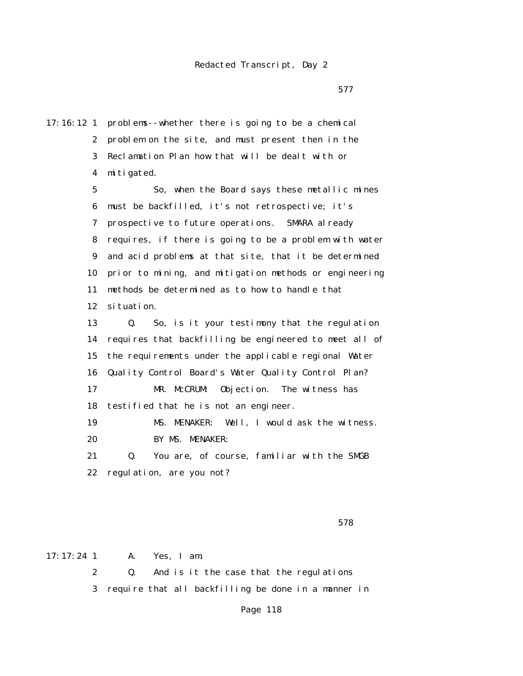<u>577</u>

17:16:12 1 problems--whether there is going to be a chemical 2 problem on the site, and must present then in the 3 Reclamation Plan how that will be dealt with or 4 mitigated. 5 So, when the Board says these metallic mines 6 must be backfilled, it's not retrospective; it's 7 prospective to future operations. SMARA already 8 requires, if there is going to be a problem with water 9 and acid problems at that site, that it be determined 10 prior to mining, and mitigation methods or engineering 11 methods be determined as to how to handle that 12 situation. 13 Q. So, is it your testimony that the regulation 14 requires that backfilling be engineered to meet all of 15 the requirements under the applicable regional Water 16 Quality Control Board's Water Quality Control Plan? 17 MR. McCRUM: Objection. The witness has 18 testified that he is not an engineer. 19 MS. MENAKER: Well, I would ask the witness. 20 BY MS. MENAKER: 21 Q. You are, of course, familiar with the SMGB 22 regulation, are you not?

 $578$ 

17:17:24 1 A. Yes, I am.

 2 Q. And is it the case that the regulations 3 require that all backfilling be done in a manner in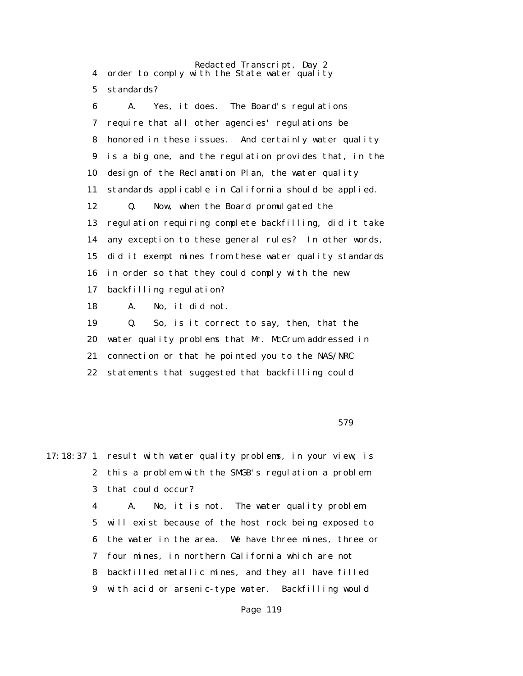Redacted Transcript, Day 2 4 order to comply with the State water quality 5 standards?

 6 A. Yes, it does. The Board's regulations 7 require that all other agencies' regulations be 8 honored in these issues. And certainly water quality 9 is a big one, and the regulation provides that, in the 10 design of the Reclamation Plan, the water quality 11 standards applicable in California should be applied. 12 Q. Now, when the Board promulgated the 13 regulation requiring complete backfilling, did it take 14 any exception to these general rules? In other words, 15 did it exempt mines from these water quality standards 16 in order so that they could comply with the new 17 backfilling regulation? 18 A. No, it did not.

 19 Q. So, is it correct to say, then, that the 20 water quality problems that Mr. McCrum addressed in 21 connection or that he pointed you to the NAS/NRC 22 statements that suggested that backfilling could

 $579$ 

17:18:37 1 result with water quality problems, in your view, is 2 this a problem with the SMGB's regulation a problem 3 that could occur?

> 4 A. No, it is not. The water quality problem 5 will exist because of the host rock being exposed to 6 the water in the area. We have three mines, three or 7 four mines, in northern California which are not 8 backfilled metallic mines, and they all have filled 9 with acid or arsenic-type water. Backfilling would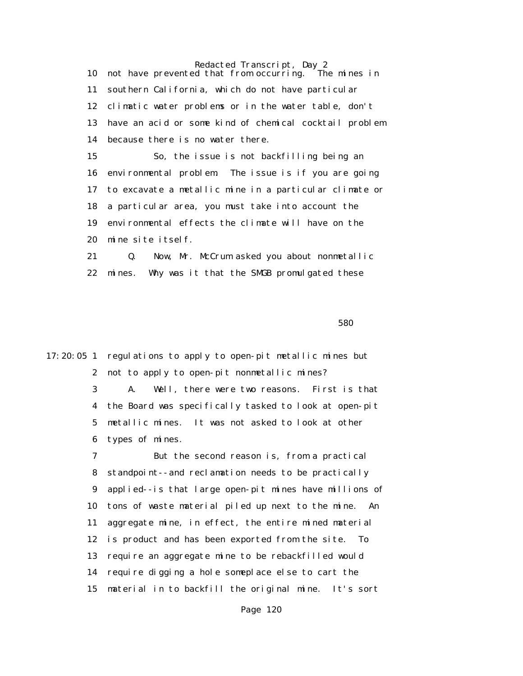Redacted Transcript, Day 2<br>d that from occurring. The mines in 10 not have prevented that from occurring. 11 southern California, which do not have particular 12 climatic water problems or in the water table, don't 13 have an acid or some kind of chemical cocktail problem 14 because there is no water there. 15 So, the issue is not backfilling being an 16 environmental problem. The issue is if you are going 17 to excavate a metallic mine in a particular climate or 18 a particular area, you must take into account the

 19 environmental effects the climate will have on the 20 mine site itself.

 21 Q. Now, Mr. McCrum asked you about nonmetallic 22 mines. Why was it that the SMGB promulgated these

 $580$ 

17:20:05 1 regulations to apply to open-pit metallic mines but 2 not to apply to open-pit nonmetallic mines?

> 3 A. Well, there were two reasons. First is that 4 the Board was specifically tasked to look at open-pit 5 metallic mines. It was not asked to look at other 6 types of mines.

 7 But the second reason is, from a practical 8 standpoint--and reclamation needs to be practically 9 applied--is that large open-pit mines have millions of 10 tons of waste material piled up next to the mine. An 11 aggregate mine, in effect, the entire mined material 12 is product and has been exported from the site. To 13 require an aggregate mine to be rebackfilled would 14 require digging a hole someplace else to cart the 15 material in to backfill the original mine. It's sort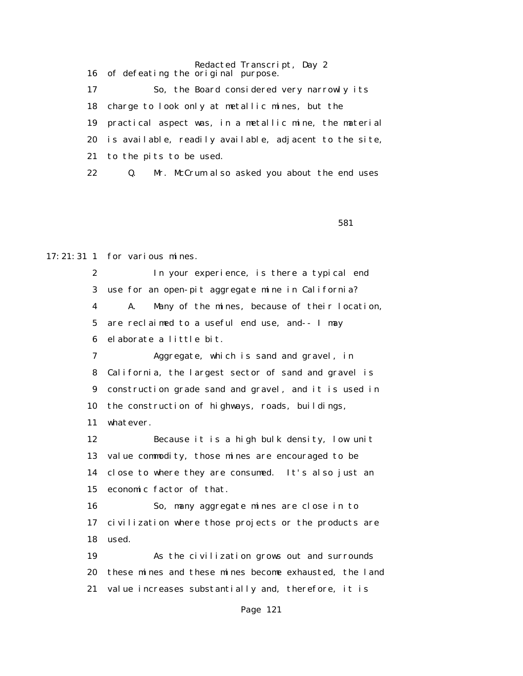Redacted Transcript, Day 2 16 of defeating the original purpose. 17 So, the Board considered very narrowly its 18 charge to look only at metallic mines, but the 19 practical aspect was, in a metallic mine, the material 20 is available, readily available, adjacent to the site, 21 to the pits to be used. 22 Q. Mr. McCrum also asked you about the end uses

 $581$ 

17:21:31 1 for various mines.

 2 In your experience, is there a typical end 3 use for an open-pit aggregate mine in California? 4 A. Many of the mines, because of their location, 5 are reclaimed to a useful end use, and-- I may 6 elaborate a little bit.

 7 Aggregate, which is sand and gravel, in 8 California, the largest sector of sand and gravel is 9 construction grade sand and gravel, and it is used in 10 the construction of highways, roads, buildings, 11 whatever.

 12 Because it is a high bulk density, low unit 13 value commodity, those mines are encouraged to be 14 close to where they are consumed. It's also just an 15 economic factor of that.

 16 So, many aggregate mines are close in to 17 civilization where those projects or the products are 18 used.

 19 As the civilization grows out and surrounds 20 these mines and these mines become exhausted, the land 21 value increases substantially and, therefore, it is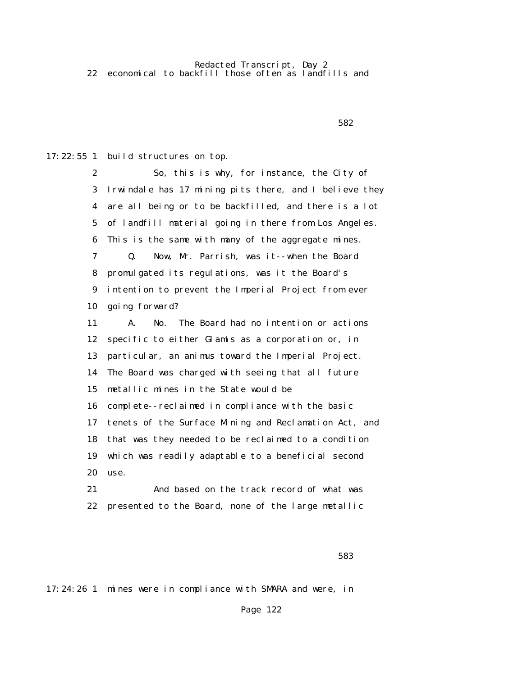$582$ 

17:22:55 1 build structures on top.

 2 So, this is why, for instance, the City of 3 Irwindale has 17 mining pits there, and I believe they 4 are all being or to be backfilled, and there is a lot 5 of landfill material going in there from Los Angeles. 6 This is the same with many of the aggregate mines. 7 Q. Now, Mr. Parrish, was it--when the Board 8 promulgated its regulations, was it the Board's 9 intention to prevent the Imperial Project from ever 10 going forward? 11 A. No. The Board had no intention or actions 12 specific to either Glamis as a corporation or, in 13 particular, an animus toward the Imperial Project. 14 The Board was charged with seeing that all future 15 metallic mines in the State would be 16 complete--reclaimed in compliance with the basic 17 tenets of the Surface Mining and Reclamation Act, and 18 that was they needed to be reclaimed to a condition 19 which was readily adaptable to a beneficial second 20 use. 21 And based on the track record of what was

22 presented to the Board, none of the large metallic

 $583$ 

17:24:26 1 mines were in compliance with SMARA and were, in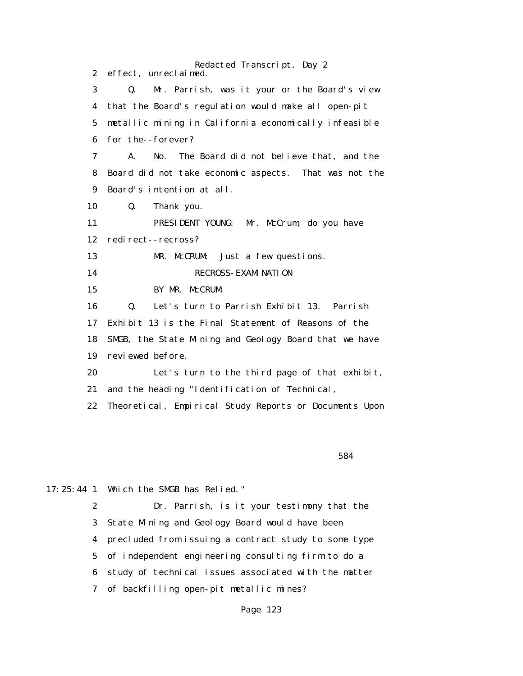Redacted Transcript, Day 2 2 effect, unreclaimed. 3 Q. Mr. Parrish, was it your or the Board's view 4 that the Board's regulation would make all open-pit 5 metallic mining in California economically infeasible 6 for the--forever? 7 A. No. The Board did not believe that, and the 8 Board did not take economic aspects. That was not the 9 Board's intention at all. 10 Q. Thank you. 11 PRESIDENT YOUNG: Mr. McCrum, do you have 12 redirect--recross? 13 MR. McCRUM: Just a few questions. 14 RECROSS- EXAMINATION 15 BY MR. McCRUM: 16 Q. Let's turn to Parrish Exhibit 13. Parrish 17 Exhibit 13 is the Final Statement of Reasons of the 18 SMGB, the State Mining and Geology Board that we have 19 reviewed before. 20 Let's turn to the third page of that exhibit, 21 and the heading "Identification of Technical, 22 Theoretical, Empirical Study Reports or Documents Upon

 $584$ 

17:25:44 1 Which the SMGB has Relied."

 2 Dr. Parrish, is it your testimony that the 3 State Mining and Geology Board would have been 4 precluded from issuing a contract study to some type 5 of independent engineering consulting firm to do a 6 study of technical issues associated with the matter 7 of backfilling open-pit metallic mines?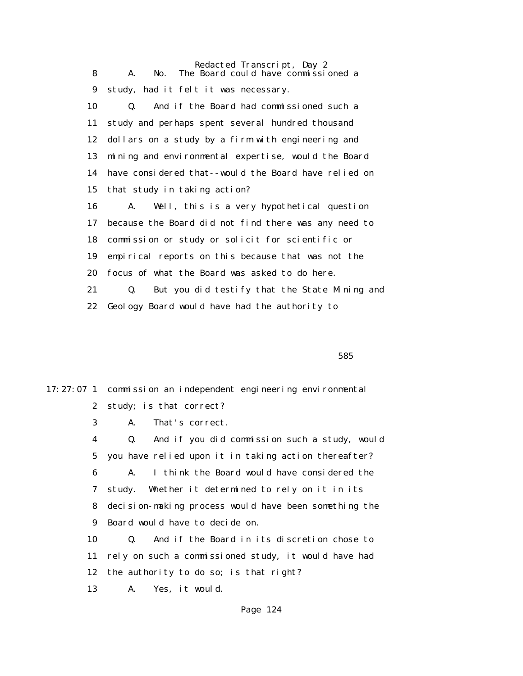Redacted Transcript, Day 2 8 A. No. The Board could have commissioned a 9 study, had it felt it was necessary. 10 Q. And if the Board had commissioned such a 11 study and perhaps spent several hundred thousand 12 dollars on a study by a firm with engineering and 13 mining and environmental expertise, would the Board 14 have considered that--would the Board have relied on 15 that study in taking action? 16 A. Well, this is a very hypothetical question 17 because the Board did not find there was any need to 18 commission or study or solicit for scientific or 19 empirical reports on this because that was not the 20 focus of what the Board was asked to do here. 21 Q. But you did testify that the State Mining and 22 Geology Board would have had the authority to

 $585$ 

17:27:07 1 commission an independent engineering environmental 2 study; is that correct? 3 A. That's correct. 4 Q. And if you did commission such a study, would 5 you have relied upon it in taking action thereafter? 6 A. I think the Board would have considered the 7 study. Whether it determined to rely on it in its 8 decision-making process would have been something the 9 Board would have to decide on. 10 Q. And if the Board in its discretion chose to 11 rely on such a commissioned study, it would have had 12 the authority to do so; is that right? 13 A. Yes, it would.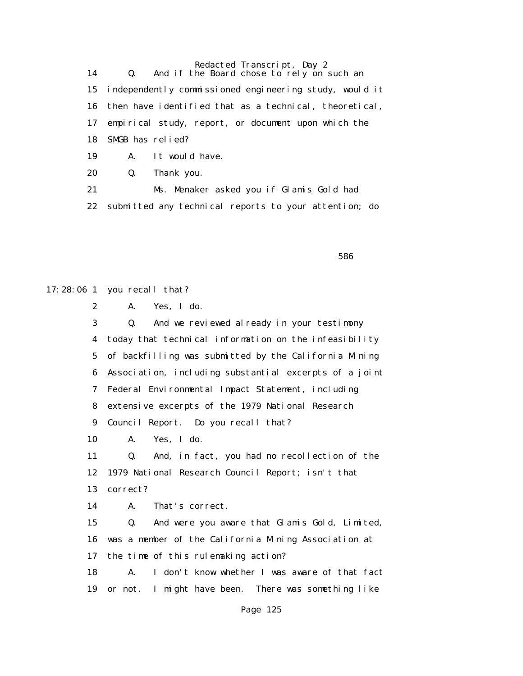14 Q. And if the Board chose to rely on such an 15 independently commissioned engineering study, would it 16 then have identified that as a technical, theoretical, 17 empirical study, report, or document upon which the 18 SMGB has relied? 19 A. It would have. 20 Q. Thank you.

 21 Ms. Menaker asked you if Glamis Gold had 22 submitted any technical reports to your attention; do

 $586$ 

17:28:06 1 you recall that? 2 A. Yes, I do.

> 3 Q. And we reviewed already in your testimony 4 today that technical information on the infeasibility 5 of backfilling was submitted by the California Mining 6 Association, including substantial excerpts of a joint 7 Federal Environmental Impact Statement, including 8 extensive excerpts of the 1979 National Research 9 Council Report. Do you recall that? 10 A. Yes, I do. 11 Q. And, in fact, you had no recollection of the 12 1979 National Research Council Report; isn't that 13 correct? 14 A. That's correct. 15 Q. And were you aware that Glamis Gold, Limited, 16 was a member of the California Mining Association at 17 the time of this rulemaking action?

> 18 A. I don't know whether I was aware of that fact 19 or not. I might have been. There was something like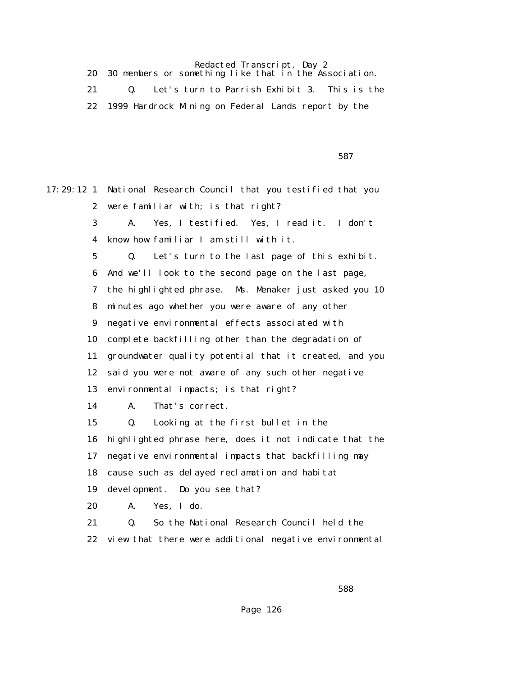| 30 members or something like that in the Association. |
|-------------------------------------------------------|
| Let's turn to Parrish Exhibit 3. This is the          |
| 1999 Hardrock Mining on Federal Lands report by the   |

 $587$ 

17:29:12 1 National Research Council that you testified that you 2 were familiar with; is that right? 3 A. Yes, I testified. Yes, I read it. I don't 4 know how familiar I am still with it. 5 Q. Let's turn to the last page of this exhibit. 6 And we'll look to the second page on the last page, 7 the highlighted phrase. Ms. Menaker just asked you 10 8 minutes ago whether you were aware of any other 9 negative environmental effects associated with 10 complete backfilling other than the degradation of 11 groundwater quality potential that it created, and you 12 said you were not aware of any such other negative 13 environmental impacts; is that right? 14 A. That's correct. 15 Q. Looking at the first bullet in the 16 highlighted phrase here, does it not indicate that the 17 negative environmental impacts that backfilling may 18 cause such as delayed reclamation and habitat 19 development. Do you see that? 20 A. Yes, I do. 21 Q. So the National Research Council held the 22 view that there were additional negative environmental

<u>588 and the state of the state of the state of the state of the state of the state of the state of the state of the state of the state of the state of the state of the state of the state of the state of the state of the s</u>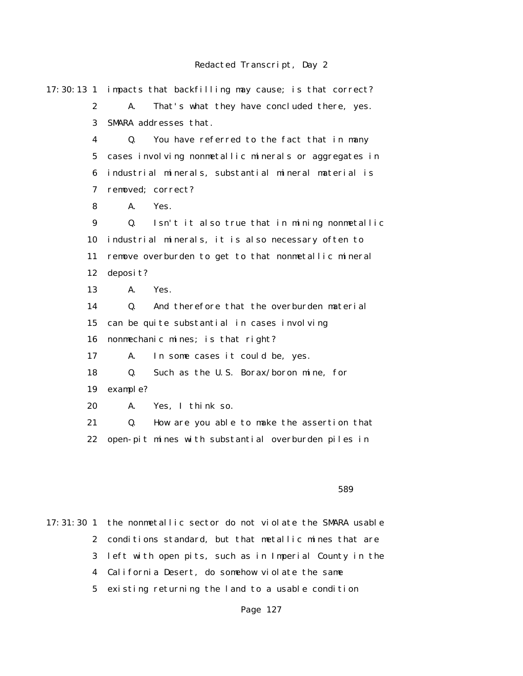17:30:13 1 impacts that backfilling may cause; is that correct? 2 A. That's what they have concluded there, yes. 3 SMARA addresses that. 4 Q. You have referred to the fact that in many 5 cases involving nonmetallic minerals or aggregates in 6 industrial minerals, substantial mineral material is 7 removed; correct? 8 A. Yes. 9 Q. Isn't it also true that in mining nonmetallic 10 industrial minerals, it is also necessary often to 11 remove overburden to get to that nonmetallic mineral 12 deposit? 13 A. Yes. 14 Q. And therefore that the overburden material 15 can be quite substantial in cases involving 16 nonmechanic mines; is that right? 17 A. In some cases it could be, yes. 18 Q. Such as the U.S. Borax/boron mine, for 19 example? 20 A. Yes, I think so. 21 Q. How are you able to make the assertion that 22 open-pit mines with substantial overburden piles in

 $589$ 

17:31:30 1 the nonmetallic sector do not violate the SMARA usable 2 conditions standard, but that metallic mines that are 3 left with open pits, such as in Imperial County in the 4 California Desert, do somehow violate the same 5 existing returning the land to a usable condition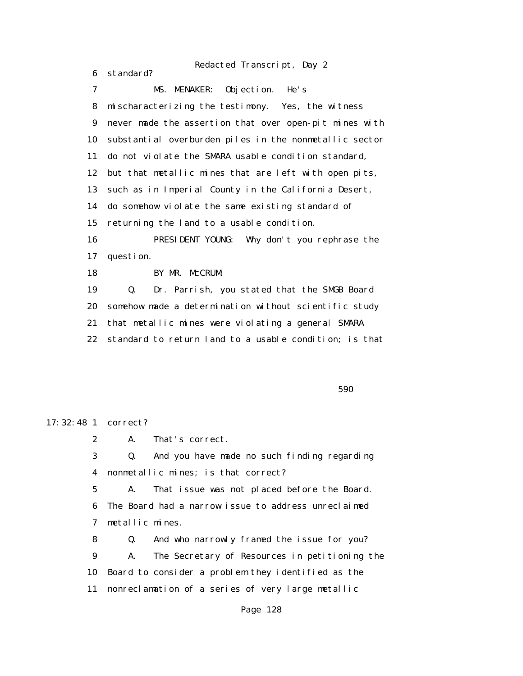6 standard? 7 MS. MENAKER: Objection. He's 8 mischaracterizing the testimony. Yes, the witness 9 never made the assertion that over open-pit mines with 10 substantial overburden piles in the nonmetallic sector 11 do not violate the SMARA usable condition standard, 12 but that metallic mines that are left with open pits, 13 such as in Imperial County in the California Desert, 14 do somehow violate the same existing standard of 15 returning the land to a usable condition. 16 PRESIDENT YOUNG: Why don't you rephrase the 17 question. 18 BY MR. McCRUM: 19 Q. Dr. Parrish, you stated that the SMGB Board 20 somehow made a determination without scientific study 21 that metallic mines were violating a general SMARA 22 standard to return land to a usable condition; is that

 $590$ 

17:32:48 1 correct?

2 A. That's correct.

 3 Q. And you have made no such finding regarding 4 nonmetallic mines; is that correct?

 5 A. That issue was not placed before the Board. 6 The Board had a narrow issue to address unreclaimed 7 metallic mines.

 8 Q. And who narrowly framed the issue for you? 9 A. The Secretary of Resources in petitioning the 10 Board to consider a problem they identified as the 11 nonreclamation of a series of very large metallic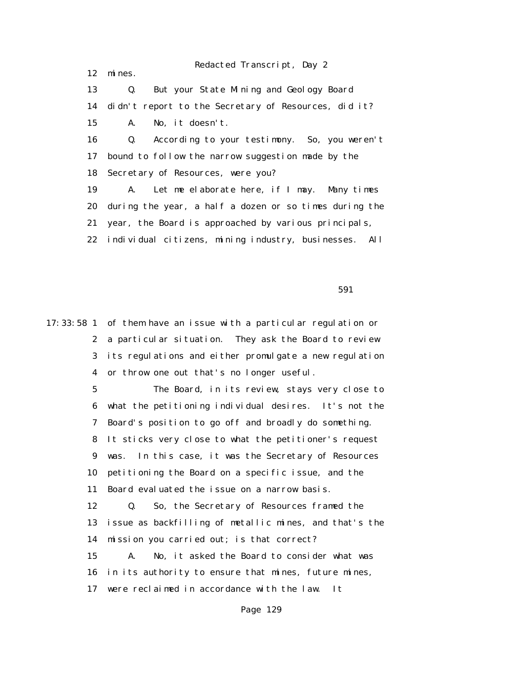12 mines.

 13 Q. But your State Mining and Geology Board 14 didn't report to the Secretary of Resources, did it? 15 A. No, it doesn't. 16 Q. According to your testimony. So, you weren't 17 bound to follow the narrow suggestion made by the 18 Secretary of Resources, were you? 19 A. Let me elaborate here, if I may. Many times 20 during the year, a half a dozen or so times during the 21 year, the Board is approached by various principals, 22 individual citizens, mining industry, businesses. All

 $591$ 

17:33:58 1 of them have an issue with a particular regulation or 2 a particular situation. They ask the Board to review 3 its regulations and either promulgate a new regulation 4 or throw one out that's no longer useful.

> 5 The Board, in its review, stays very close to 6 what the petitioning individual desires. It's not the 7 Board's position to go off and broadly do something. 8 It sticks very close to what the petitioner's request 9 was. In this case, it was the Secretary of Resources 10 petitioning the Board on a specific issue, and the 11 Board evaluated the issue on a narrow basis. 12 Q. So, the Secretary of Resources framed the 13 issue as backfilling of metallic mines, and that's the 14 mission you carried out; is that correct? 15 A. No, it asked the Board to consider what was

16 in its authority to ensure that mines, future mines,

17 were reclaimed in accordance with the law. It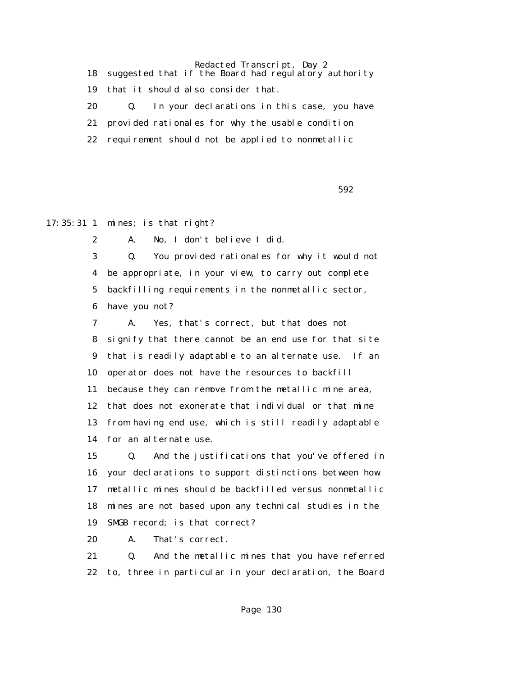18 suggested that if the Board had regulatory authority 19 that it should also consider that. 20 Q. In your declarations in this case, you have 21 provided rationales for why the usable condition 22 requirement should not be applied to nonmetallic

 $592$ 

17:35:31 1 mines; is that right?

2 A. No, I don't believe I did.

 3 Q. You provided rationales for why it would not 4 be appropriate, in your view, to carry out complete 5 backfilling requirements in the nonmetallic sector, 6 have you not?

 7 A. Yes, that's correct, but that does not 8 signify that there cannot be an end use for that site 9 that is readily adaptable to an alternate use. If an 10 operator does not have the resources to backfill 11 because they can remove from the metallic mine area, 12 that does not exonerate that individual or that mine 13 from having end use, which is still readily adaptable 14 for an alternate use.

 15 Q. And the justifications that you've offered in 16 your declarations to support distinctions between how 17 metallic mines should be backfilled versus nonmetallic 18 mines are not based upon any technical studies in the 19 SMGB record; is that correct?

20 A. That's correct.

 21 Q. And the metallic mines that you have referred 22 to, three in particular in your declaration, the Board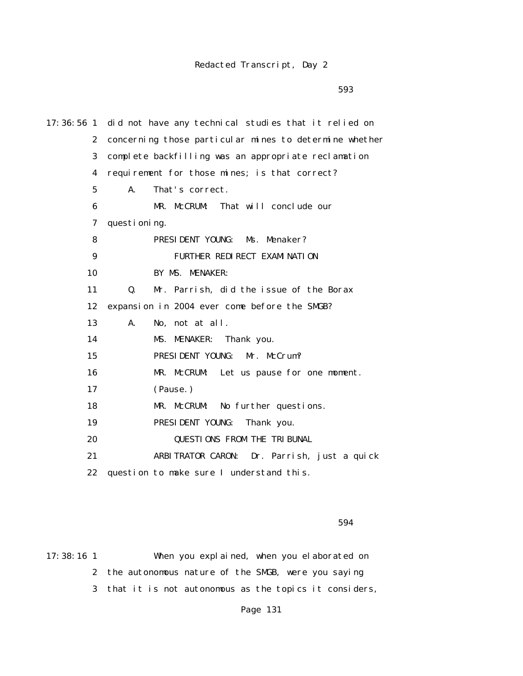$593$ 

| $17:36:56$ 1     | did not have any technical studies that it relied on   |
|------------------|--------------------------------------------------------|
| $\boldsymbol{2}$ | concerning those particular mines to determine whether |
| 3                | complete backfilling was an appropriate reclamation    |
| 4                | requirement for those mines; is that correct?          |
| $5\phantom{.0}$  | That's correct.<br>A.                                  |
| 6                | MR. McCRUM:<br>That will conclude our                  |
| 7                | questioning.                                           |
| 8                | PRESIDENT YOUNG: Ms. Menaker?                          |
| 9                | FURTHER REDIRECT EXAMINATION                           |
| 10               | BY MS. MENAKER:                                        |
| 11               | Mr. Parrish, did the issue of the Borax<br>Q.          |
| 12               | expansion in 2004 ever come before the SMGB?           |
| 13               | A.<br>No, not at all.                                  |
| 14               | MS. MENAKER:<br>Thank you.                             |
| 15               | PRESIDENT YOUNG:<br>Mr. McCrum?                        |
| 16               | MR. McCRUM: Let us pause for one moment.               |
| 17               | (Pause.)                                               |
| 18               | MR. McCRUM:<br>No further questions.                   |
| 19               | PRESIDENT YOUNG:<br>Thank you.                         |
| 20               | <b>QUESTIONS FROM THE TRIBUNAL</b>                     |
| 21               | ARBITRATOR CARON: Dr. Parrish, just a quick            |
| 22               | question to make sure I understand this.               |

 $594$ 

17:38:16 1 When you explained, when you elaborated on 2 the autonomous nature of the SMGB, were you saying 3 that it is not autonomous as the topics it considers,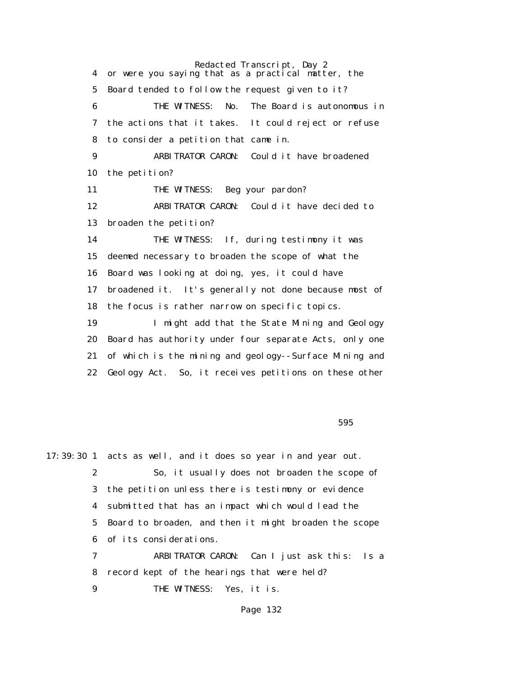Redacted Transcript, Day 2 4 or were you saying that as a practical matter, the 5 Board tended to follow the request given to it? 6 THE WITNESS: No. The Board is autonomous in 7 the actions that it takes. It could reject or refuse 8 to consider a petition that came in. 9 ARBITRATOR CARON: Could it have broadened 10 the petition? 11 THE WITNESS: Beg your pardon? 12 ARBITRATOR CARON: Could it have decided to 13 broaden the petition? 14 THE WITNESS: If, during testimony it was 15 deemed necessary to broaden the scope of what the 16 Board was looking at doing, yes, it could have 17 broadened it. It's generally not done because most of 18 the focus is rather narrow on specific topics. 19 I might add that the State Mining and Geology 20 Board has authority under four separate Acts, only one 21 of which is the mining and geology--Surface Mining and 22 Geology Act. So, it receives petitions on these other

 $595$ 

17:39:30 1 acts as well, and it does so year in and year out. 2 So, it usually does not broaden the scope of 3 the petition unless there is testimony or evidence 4 submitted that has an impact which would lead the 5 Board to broaden, and then it might broaden the scope 6 of its considerations. 7 ARBITRATOR CARON: Can I just ask this: Is a 8 record kept of the hearings that were held? 9 THE WITNESS: Yes, it is.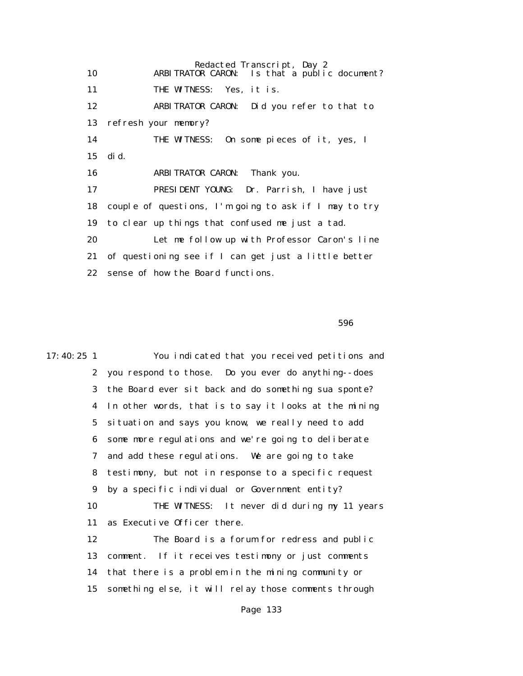Redacted Transcript, Day 2 10 ARBITRATOR CARON: Is that a public document? 11 THE WITNESS: Yes, it is. 12 ARBITRATOR CARON: Did you refer to that to 13 refresh your memory? 14 THE WITNESS: On some pieces of it, yes, I 15 did. 16 ARBITRATOR CARON: Thank you. 17 PRESIDENT YOUNG: Dr. Parrish, I have just 18 couple of questions, I'm going to ask if I may to try 19 to clear up things that confused me just a tad. 20 Let me follow up with Professor Caron's line 21 of questioning see if I can get just a little better 22 sense of how the Board functions.

 $596$ 

17:40:25 1 You indicated that you received petitions and 2 you respond to those. Do you ever do anything--does 3 the Board ever sit back and do something sua sponte? 4 In other words, that is to say it looks at the mining 5 situation and says you know, we really need to add 6 some more regulations and we're going to deliberate 7 and add these regulations. We are going to take 8 testimony, but not in response to a specific request 9 by a specific individual or Government entity? 10 THE WITNESS: It never did during my 11 years 11 as Executive Officer there. 12 The Board is a forum for redress and public 13 comment. If it receives testimony or just comments 14 that there is a problem in the mining community or 15 something else, it will relay those comments through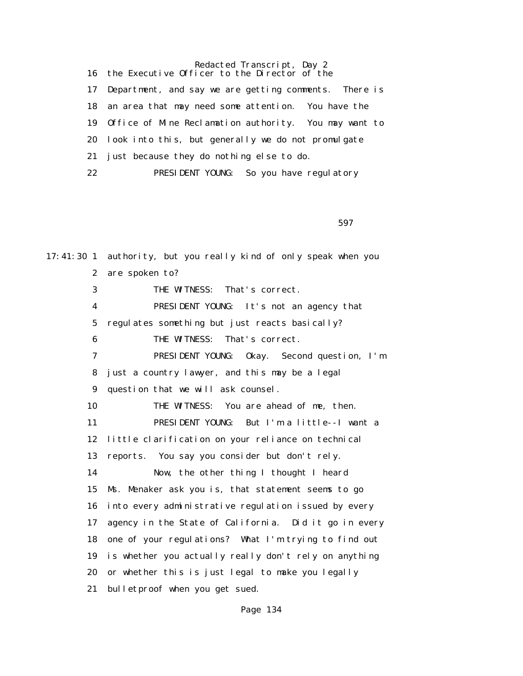Redacted Transcript, Day 2 16 the Executive Officer to the Director of the 17 Department, and say we are getting comments. There is 18 an area that may need some attention. You have the 19 Office of Mine Reclamation authority. You may want to 20 look into this, but generally we do not promulgate 21 just because they do nothing else to do. 22 PRESIDENT YOUNG: So you have regulatory

 $597$ 

17:41:30 1 authority, but you really kind of only speak when you 2 are spoken to? 3 THE WITNESS: That's correct. 4 PRESIDENT YOUNG: It's not an agency that 5 regulates something but just reacts basically? 6 THE WITNESS: That's correct. 7 PRESIDENT YOUNG: Okay. Second question, I'm 8 just a country lawyer, and this may be a legal 9 question that we will ask counsel. 10 THE WITNESS: You are ahead of me, then. 11 PRESIDENT YOUNG: But I'm a little--I want a 12 little clarification on your reliance on technical 13 reports. You say you consider but don't rely. 14 Now, the other thing I thought I heard 15 Ms. Menaker ask you is, that statement seems to go 16 into every administrative regulation issued by every 17 agency in the State of California. Did it go in every 18 one of your regulations? What I'm trying to find out 19 is whether you actually really don't rely on anything 20 or whether this is just legal to make you legally 21 bulletproof when you get sued.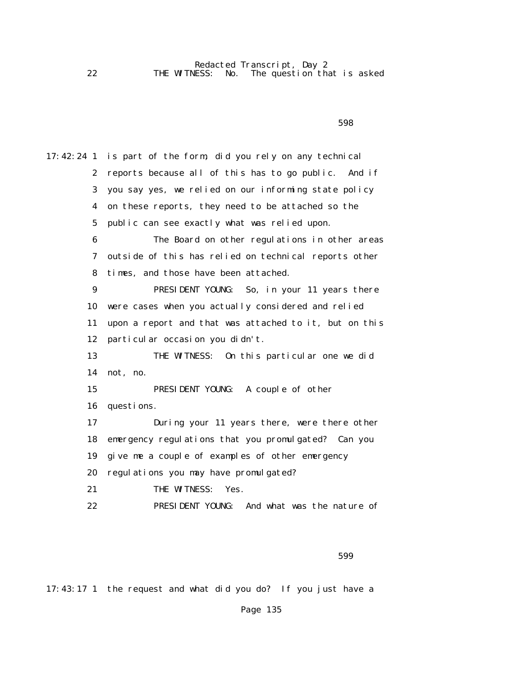17:42:24 1 is part of the form, did you rely on any technical 2 reports because all of this has to go public. And if 3 you say yes, we relied on our informing state policy 4 on these reports, they need to be attached so the 5 public can see exactly what was relied upon. 6 The Board on other regulations in other areas 7 outside of this has relied on technical reports other 8 times, and those have been attached. 9 PRESIDENT YOUNG: So, in your 11 years there 10 were cases when you actually considered and relied 11 upon a report and that was attached to it, but on this 12 particular occasion you didn't. 13 THE WITNESS: On this particular one we did 14 not, no. 15 PRESIDENT YOUNG: A couple of other 16 questions. 17 During your 11 years there, were there other 18 emergency regulations that you promulgated? Can you 19 give me a couple of examples of other emergency 20 regulations you may have promulgated? 21 THE WITNESS: Yes. 22 PRESIDENT YOUNG: And what was the nature of

 $599$ 

17:43:17 1 the request and what did you do? If you just have a

Page 135

 $598$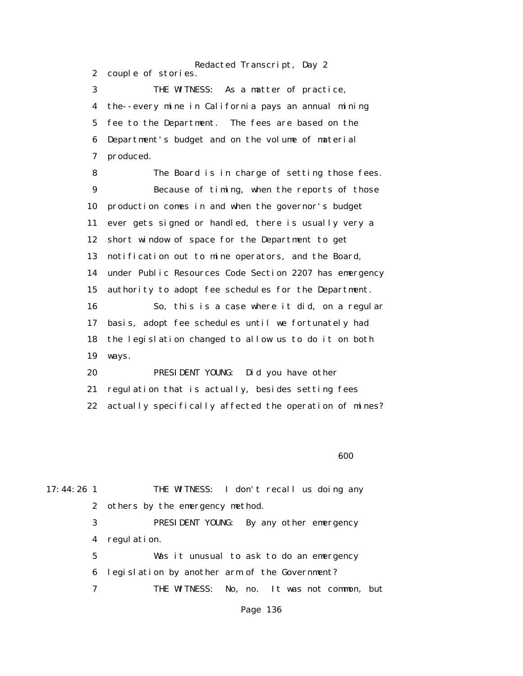Redacted Transcript, Day 2 2 couple of stories. 3 THE WITNESS: As a matter of practice, 4 the--every mine in California pays an annual mining 5 fee to the Department. The fees are based on the 6 Department's budget and on the volume of material 7 produced. 8 The Board is in charge of setting those fees. 9 Because of timing, when the reports of those 10 production comes in and when the governor's budget 11 ever gets signed or handled, there is usually very a 12 short window of space for the Department to get 13 notification out to mine operators, and the Board, 14 under Public Resources Code Section 2207 has emergency 15 authority to adopt fee schedules for the Department. 16 So, this is a case where it did, on a regular 17 basis, adopt fee schedules until we fortunately had 18 the legislation changed to allow us to do it on both 19 ways. 20 PRESIDENT YOUNG: Did you have other 21 regulation that is actually, besides setting fees

22 actually specifically affected the operation of mines?

 $\sim$  600  $\sim$  600  $\sim$  600  $\sim$  600  $\sim$  600  $\sim$  600  $\sim$  600  $\sim$  600  $\sim$  600  $\sim$  600  $\sim$  600  $\sim$  600  $\sim$  600  $\sim$  600  $\sim$  600  $\sim$  600  $\sim$  600  $\sim$  600  $\sim$  600  $\sim$  600  $\sim$  600  $\sim$  600  $\sim$  600  $\sim$  600  $\sim$ 

17:44:26 1 THE WITNESS: I don't recall us doing any 2 others by the emergency method. 3 PRESIDENT YOUNG: By any other emergency 4 regulation. 5 Was it unusual to ask to do an emergency

6 legislation by another arm of the Government?

7 THE WITNESS: No, no. It was not common, but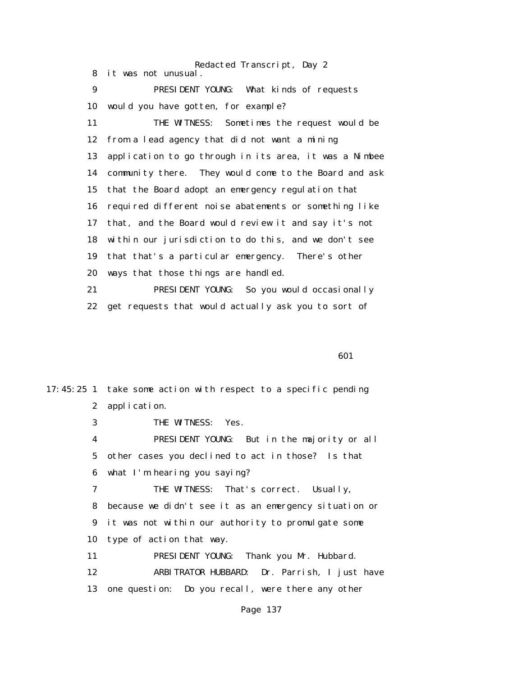Redacted Transcript, Day 2 8 it was not unusual. 9 PRESIDENT YOUNG: What kinds of requests 10 would you have gotten, for example? 11 THE WITNESS: Sometimes the request would be 12 from a lead agency that did not want a mining 13 application to go through in its area, it was a Nimbee 14 community there. They would come to the Board and ask 15 that the Board adopt an emergency regulation that 16 required different noise abatements or something like 17 that, and the Board would review it and say it's not 18 within our jurisdiction to do this, and we don't see 19 that that's a particular emergency. There's other 20 ways that those things are handled. 21 PRESIDENT YOUNG: So you would occasionally 22 get requests that would actually ask you to sort of

**601** 

17:45:25 1 take some action with respect to a specific pending 2 application. 3 THE WITNESS: Yes. 4 PRESIDENT YOUNG: But in the majority or all 5 other cases you declined to act in those? Is that 6 what I'm hearing you saying? 7 THE WITNESS: That's correct. Usually, 8 because we didn't see it as an emergency situation or 9 it was not within our authority to promulgate some 10 type of action that way. 11 PRESIDENT YOUNG: Thank you Mr. Hubbard. 12 ARBITRATOR HUBBARD: Dr. Parrish, I just have 13 one question: Do you recall, were there any other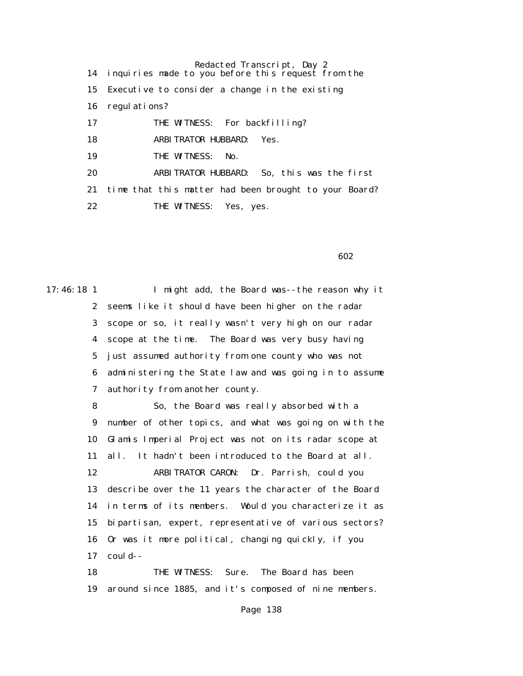Redacted Transcript, Day 2 14 inquiries made to you before this request from the 15 Executive to consider a change in the existing 16 regulations? 17 THE WITNESS: For backfilling? 18 ARBITRATOR HUBBARD: Yes. 19 THE WITNESS: No. 20 ARBITRATOR HUBBARD: So, this was the first 21 time that this matter had been brought to your Board? 22 THE WITNESS: Yes, yes.

 $\sim$  602

17:46:18 1 I might add, the Board was--the reason why it 2 seems like it should have been higher on the radar 3 scope or so, it really wasn't very high on our radar 4 scope at the time. The Board was very busy having 5 just assumed authority from one county who was not 6 administering the State law and was going in to assume 7 authority from another county.

 8 So, the Board was really absorbed with a 9 number of other topics, and what was going on with the 10 Glamis Imperial Project was not on its radar scope at 11 all. It hadn't been introduced to the Board at all. 12 ARBITRATOR CARON: Dr. Parrish, could you 13 describe over the 11 years the character of the Board 14 in terms of its members. Would you characterize it as 15 bipartisan, expert, representative of various sectors? 16 Or was it more political, changing quickly, if you 17 could--

 18 THE WITNESS: Sure. The Board has been 19 around since 1885, and it's composed of nine members.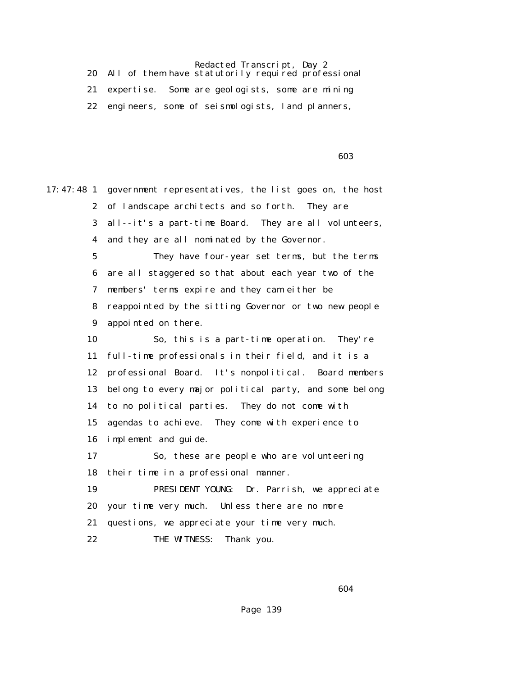20 All of them have statutorily required professional 21 expertise. Some are geologists, some are mining 22 engineers, some of seismologists, land planners,

 $\sim$  603

17:47:48 1 government representatives, the list goes on, the host 2 of landscape architects and so forth. They are 3 all--it's a part-time Board. They are all volunteers, 4 and they are all nominated by the Governor. 5 They have four-year set terms, but the terms 6 are all staggered so that about each year two of the 7 members' terms expire and they cam either be 8 reappointed by the sitting Governor or two new people 9 appointed on there. 10 So, this is a part-time operation. They're 11 full-time professionals in their field, and it is a 12 professional Board. It's nonpolitical. Board members 13 belong to every major political party, and some belong 14 to no political parties. They do not come with 15 agendas to achieve. They come with experience to 16 implement and guide. 17 So, these are people who are volunteering 18 their time in a professional manner. 19 PRESIDENT YOUNG: Dr. Parrish, we appreciate 20 your time very much. Unless there are no more 21 questions, we appreciate your time very much. 22 THE WITNESS: Thank you.

 $\sim$  604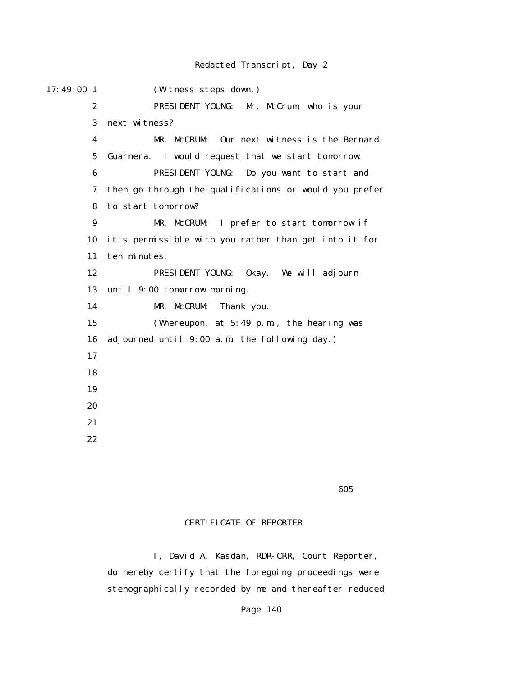| 17:49:00 1              | (Witness steps down.)                                  |
|-------------------------|--------------------------------------------------------|
| $\mathbf{2}$            | PRESIDENT YOUNG:<br>Mr. McCrum, who is your            |
| 3                       | next witness?                                          |
| $\overline{\mathbf{4}}$ | MR. McCRUM: Our next witness is the Bernard            |
| $\mathbf 5$             | Guarnera. I would request that we start tomorrow.      |
| 6                       | PRESIDENT YOUNG: Do you want to start and              |
| 7                       | then go through the qualifications or would you prefer |
| 8                       | to start tomorrow?                                     |
| 9                       | MR. McCRUM: I prefer to start tomorrow if              |
| 10                      | it's permissible with you rather than get into it for  |
| 11                      | ten minutes.                                           |
| 12                      | PRESIDENT YOUNG: 0kay. We will adjourn                 |
| 13                      | until 9:00 tomorrow morning.                           |
| 14                      | MR. McCRUM:<br>Thank you.                              |
| 15                      | (Whereupon, at $5:49$ p.m., the hearing was            |
| 16                      | adjourned until 9:00 a.m. the following day.)          |
| 17                      |                                                        |
| 18                      |                                                        |
| 19                      |                                                        |
| 20                      |                                                        |
| 21                      |                                                        |
| 22                      |                                                        |
|                         |                                                        |

 $\sim$  605

## CERTIFICATE OF REPORTER

 I, David A. Kasdan, RDR-CRR, Court Reporter, do hereby certify that the foregoing proceedings were stenographically recorded by me and thereafter reduced